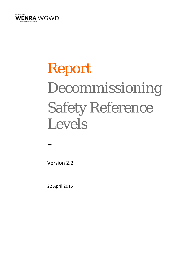

# Report Decommissioning Safety Reference Levels

Version 2.2

-

22 April 2015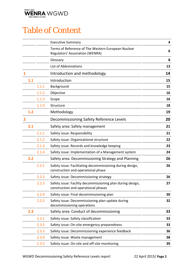

### Table of Content

|     |       | <b>Executive Summary</b>                                                                          | 4  |
|-----|-------|---------------------------------------------------------------------------------------------------|----|
|     |       | Terms of Reference of The Western European Nuclear<br>Regulators' Association (WENRA)             | 6  |
|     |       | Glossary                                                                                          | 8  |
|     |       | List of Abbreviations                                                                             | 13 |
|     |       | Introduction and methodology                                                                      | 14 |
| 1.1 |       | Introduction                                                                                      | 15 |
|     | 1.1.1 | Background                                                                                        | 15 |
|     | 1.1.2 | Objective                                                                                         | 16 |
|     | 1.1.3 | Scope                                                                                             | 16 |
|     | 1.1.4 | Structure                                                                                         | 18 |
| 1.2 |       | Methodology                                                                                       | 19 |
| 2   |       | Decommissioning Safety Reference Levels                                                           | 20 |
| 2.1 |       | Safety area: Safety management                                                                    | 21 |
|     | 2.1.1 | Safety issue: Responsibility                                                                      | 21 |
|     | 2.1.2 | Safety issue: Organizational structure                                                            | 22 |
|     | 2.1.3 | Safety issue: Records and knowledge keeping                                                       | 23 |
|     | 2.1.4 | Safety issue: Implementation of a Management system                                               | 24 |
| 2.2 |       | Safety area: Decommissioning Strategy and Planning                                                | 26 |
|     | 2.2.1 | Safety issue: Facilitating decommissioning during design,<br>construction and operational phase   | 26 |
|     | 2.2.2 | Safety issue: Decommissioning strategy                                                            | 26 |
|     | 2.2.3 | Safety issue: Facility decommissioning plan during design,<br>construction and operational phases | 27 |
|     | 2.2.4 | Safety issue: Final decommissioning plan                                                          | 30 |
|     | 2.2.5 | Safety issue: Decommissioning plan update during<br>decommissioning operations                    | 32 |
| 2.3 |       | Safety area: Conduct of decommissioning                                                           | 33 |
|     | 2.3.1 | Safety issue: Safety classification                                                               | 33 |
|     | 2.3.2 | Safety issue: On-site emergency preparedness                                                      | 33 |
|     | 2.3.3 | Safety issue: Decommissioning experience feedback                                                 | 36 |
|     | 2.3.4 | Safety issue: Waste management                                                                    | 38 |
|     | 2.3.5 | Safety issue: On-site and off-site monitoring                                                     | 39 |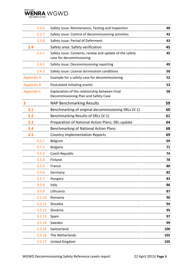| Western European<br>Nuclear Regulators Association | <b>WENRA</b> WGWD |
|----------------------------------------------------|-------------------|
|----------------------------------------------------|-------------------|

|                   | 2.3.6  | Safety issue: Maintenance, Testing and Inspection                                     | 40  |
|-------------------|--------|---------------------------------------------------------------------------------------|-----|
|                   | 2.3.7  | Safety issue: Control of decommissioning activities                                   | 42  |
|                   | 2.3.8  | Safety issue: Period of Deferment                                                     | 43  |
| 2.4               |        | Safety area: Safety verification                                                      | 45  |
|                   | 2.4.1  | Safety issue: Contents, review and update of the safety<br>case for decommissioning   | 45  |
|                   | 2.4.2  | Safety issue: Decommissioning reporting                                               | 49  |
|                   | 2.4.3  | Safety issue: License termination conditions                                          | 50  |
| <b>Appendix A</b> |        | Example for a safety case for decommissioning                                         | 52  |
| <b>Appendix B</b> |        | Postulated initiating events                                                          | 53  |
| <b>Appendix C</b> |        | Explanation of the relationship between Final<br>Decommissioning Plan and Safety Case | 58  |
| 3                 |        | <b>NAP Benchmarking Results</b>                                                       | 59  |
| 3.1               |        | Benchmarking of original decommissioning SRLs (V.1)                                   | 60  |
| 3.2               |        | Benchmarking Results of SRLs (V.1)                                                    | 61  |
| 3.3               |        | Preparation of National Action Plans, SRL-update                                      | 64  |
| 3.4               |        | Benchmarking of National Action Plans                                                 | 68  |
| 3.5               |        | <b>Country Implementation Reports</b>                                                 | 69  |
|                   | 3.5.1  | Belgium                                                                               | 69  |
|                   | 3.5.2  | <b>Bulgaria</b>                                                                       | 71  |
|                   | 3.5.3  | Czech Republic                                                                        | 74  |
|                   | 3.5.4  | Finland                                                                               | 78  |
|                   | 3.5.5  | France                                                                                | 80  |
|                   | 3.5.6  | Germany                                                                               | 82  |
|                   | 3.5.7  | Hungary                                                                               | 83  |
|                   | 3.5.8  | Italy                                                                                 | 86  |
|                   | 3.5.9  | Lithuania                                                                             | 87  |
|                   | 3.5.10 | Romania                                                                               | 90  |
|                   | 3.5.11 | Slovakia                                                                              | 94  |
|                   | 3.5.12 | Slovenia                                                                              | 95  |
|                   | 3.5.13 | Spain                                                                                 | 97  |
|                   | 3.5.14 | Sweden                                                                                | 99  |
|                   | 3.5.15 | Switzerland                                                                           | 100 |
|                   | 3.5.16 | The Netherlands                                                                       | 102 |
|                   | 3.5.17 | United Kingdom                                                                        | 105 |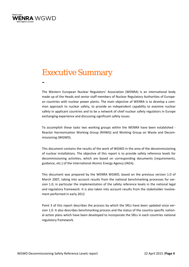

-

### Executive Summary

The Western European Nuclear Regulators' Association (WENRA) is an international body made up of the Heads and senior staff members of Nuclear Regulatory Authorities of Europe‐ an countries with nuclear power plants. The main objective of WENRA is to develop a common approach to nuclear safety, to provide an independent capability to examine nuclear safety in applicant countries and to be a network of chief nuclear safety regulators in Europe exchanging experience and discussing significant safety issues.

To accomplish these tasks two working groups within the WENRA have been established ‐ Reactor Harmonisation Working Group (RHWG) and Working Group on Waste and Decom‐ missioning (WGWD).

This document contains the results of the work of WGWD in the area of the decommissioning of nuclear installations. The objective of this report is to provide safety reference levels for decommissioning activities, which are based on corresponding documents (requirements, guidance, etc.) of the International Atomic Energy Agency (IAEA).

This document was prepared by the WENRA WGWD, based on the previous version 1.0 of March 2007, taking into account results from the national benchmarking processes for version 1.0, in particular the implementation of the safety reference levels in the national legal and regulatory framework. It is also taken into account results from the stakeholder involvement performed in early 2012

Point 3 of this report describes the process by which the SRLs have been updated since ver‐ sion 1.0. It also describes benchmarking process and the status of the country-specific national action plans which have been developed to incorporate the SRLs in each countries national regulatory framework.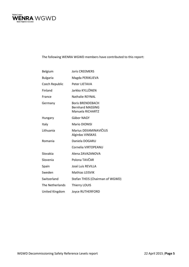

The following WENRA WGWD members have contributed to this report:

| Belgium         | <b>Joris CREEMERS</b>                                                         |
|-----------------|-------------------------------------------------------------------------------|
| <b>Bulgaria</b> | Magda PERIKLIEVA                                                              |
| Czech Republic  | Peter LIETAVA                                                                 |
| Finland         | Jarkko KYLLÖNEN                                                               |
| France          | <b>Nathalie REYNAL</b>                                                        |
| Germany         | <b>Boris BRENDEBACH</b><br><b>Bernhard MASSING</b><br><b>Manuela RICHARTZ</b> |
| Hungary         | Gábor NAGY                                                                    |
| Italy           | <b>Mario DIONISI</b>                                                          |
| Lithuania       | Marius DEKAMINAVIČIUS<br>Algirdas VINSKAS                                     |
| Romania         | Daniela DOGARU                                                                |
|                 | Cornelia VIRTOPEANU                                                           |
| Slovakia        | Alena ZAVAZANOVA                                                              |
| Slovenia        | Polona TAVČAR                                                                 |
| Spain           | José Luis REVILLA                                                             |
| Sweden          | <b>Mathias LEISVIK</b>                                                        |
| Switzerland     | Stefan THEIS (Chairman of WGWD)                                               |
| The Netherlands | Thierry LOUIS                                                                 |
| United Kingdom  | <b>Joyce RUTHERFORD</b>                                                       |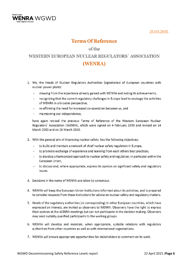

25.03.2015

### **Terms Of Reference**

#### ofthe

### **WESTERN EUROPEAN NUCLEAR REGULATORS' ASSOCIATION** (WENRA)

- 1. We, the Heads of Nuclear Regulatory Authorities (signatories) of European countries with nuclear power plants:
	- drawing from the experience already gained with WENRA and noting its achievements, ц.
	- recognizing that the current regulatory challenges in Europe lead to envisage the activities  $\sim$ of WENRA in a broader perspective,
	- re-affirming the need for increased co-operation between us, and
	- maintaining our independence,

have again revised the previous Terms of Reference of the Western European Nuclear Regulators' Association (WENRA), which were signed on 4 February 1999 and revised on 14 March 2003 and on 26 March 2010.

- 2. With the general aim of improving nuclear safety, has the following objectives:
	- to build and maintain a network of chief nuclear safety regulators in Europe.
	- to promote exchange of experience and learning from each others best practices.
	- to develop a harmonized approach to nuclear safety and regulation, in particular within the European Union,
	- to discuss and, where appropriate, express its opinion on significant safety and regulatory issues.
- 3. Decisions in the name of WENRA are taken by consensus.
- 4. WENRA will keep the European Union Institutions informed about its activities, and is prepared to consider requests from these institutions for advice on nuclear safety and regulatory matters.
- 5. Heads of the regulatory authorities (or corresponding) in other European countries, which have expressed an interest, are invited as observers to WENRA. Observers have the right to express their opinion at the WENRA meetings but can not participate in the decision making. Observers may send suitably qualified participants to the working groups.
- 6. WENRA will develop and maintain, when appropriate, suitable relations with regulatory authorities from other countries as well as with international organisations.
- 7. WENRA will ensure appropriate opportunities for stakeholders to comment on its work.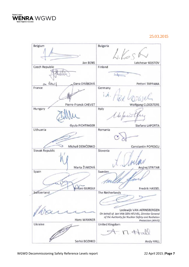

#### 25.03.2015

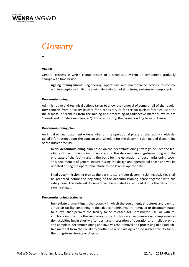

### **Glossary**

-

#### **Ageing**

General process in which characteristics of a structure, system or component gradually change with time or use.

**Ageing management:** Engineering, operations and maintenance actions to control within acceptable limits the ageing degradation of structures, systems or components.

#### **Decommissioning**

Administrative and technical actions taken to allow the removal of some or all of the regula‐ tory controls from a facility (except for a repository or for certain nuclear facilities used for the disposal of residues from the mining and processing of radioactive material, which are 'closed' and not 'decommissioned'). For a repository, the corresponding term is closure.

#### **Decommissioning plan**

An initial or final document – depending on the operational phase of the facility - with detailed information about the concept and schedule for the decommissioning and dismantling of the nuclear facility.

**Initial decommissioning plan** based on the decommissioning strategy includes the fea‐ sibility of decommissioning, main steps of the decommissioning/dismantling and the end state of the facility and is the basis for the estimation of decommissioning costs. This document is of general nature during the design and operational phase and will be updated during the operational phase to the level as appropriate.

**Final decommissioning plan** as the basis to start major decommissioning activities shall be prepared before the beginning of the decommissioning phase together with the safety case. This detailed document will be updated as required during the decommissioning stages.

#### **Decommissioning strategies**

**Immediate dismantling** is the strategy in which the equipment, structures and parts of a nuclear facility containing radioactive contaminants are removed or decontaminated to a level that permits the facility to be released for unrestricted use, or with re‐ strictions imposed by the regulatory body. In this case decommissioning implementa‐ tion activities begin shortly after permanent cessation of operations. It implies prompt and complete decommissioning and involves the removal and processing of all radioac‐ tive material from the facility to another new or existing licensed nuclear facility for ei‐ ther long‐term storage or disposal.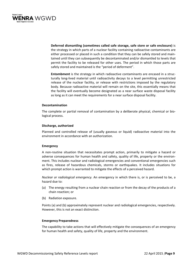

**Deferred dismantling (sometimes called safe storage, safe store or safe enclosure)** is the strategy in which parts of a nuclear facility containing radioactive contaminants are either processed or placed in such a condition that they can be safely stored and main‐ tained until they can subsequently be decontaminated and/or dismantled to levels that permit the facility to be released for other uses. The period in which those parts are safely stored and maintained is the "period of deferment".

**Entombment** is the strategy in which radioactive contaminants are encased in a struc‐ turally long‐lived material until radioactivity decays to a level permitting unrestricted release of the nuclear facility, or release with restrictions imposed by the regulatory body. Because radioactive material will remain on the site, this essentially means that the facility will eventually become designated as a near surface waste disposal facility as long as it can meet the requirements for a near surface disposal facility.

#### **Decontamination**

The complete or partial removal of contamination by a deliberate physical, chemical or bio‐ logical process.

#### **Discharge, authorized**

Planned and controlled release of (usually gaseous or liquid) radioactive material into the environment in accordance with an authorization.

#### **Emergency**

A non‐routine situation that necessitates prompt action, primarily to mitigate a hazard or adverse consequences for human health and safety, quality of life, property or the environment. This includes nuclear and radiological emergencies and conventional emergencies such as fires, release of hazardous chemicals, storms or earthquakes. It includes situations for which prompt action is warranted to mitigate the effects of a perceived hazard.

*Nuclear or radiological emergency.* An emergency in which there is, or is perceived to be, a hazard due to:

- (a) The energy resulting from a nuclear chain reaction or from the decay of the products of a chain reaction; or
- (b) Radiation exposure.

Points (a) and (b) approximately represent nuclear and radiological emergencies, respectively. However, this is not an exact distinction.

#### **Emergency Preparedness**

The capability to take actions that will effectively mitigate the consequences of an emergency for human health and safety, quality of life, property and the environment.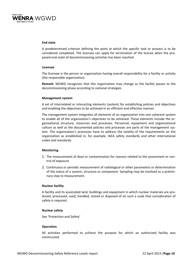

#### **End state**

A predetermined criterion defining the point at which the specific task or process is to be considered completed. The licensee can apply for termination of the license when the pro‐ posed end‐state of decommissioning activities has been reached.

#### **Licensee**

The licensee is the person or organization having overall responsibility for a facility or activity (the responsible organization)

**Remark:** WGWD recognizes that this organisation may change as the facility passes to the decommissioning phase according to national strategies

#### **Management system**

A set of interrelated or interacting elements (system) for establishing policies and objectives and enabling the objectives to be achieved in an efficient and effective manner.

The management system integrates all elements of an organization into one coherent system to enable all of the organization's objectives to be achieved. These elements include the or‐ ganizational structure, resources and processes. Personnel, equipment and organizational culture as well as the documented policies and processes are parts of the management system. The organization's processes have to address the totality of the requirements on the organization as established in, for example, IAEA safety standards and other international codes and standards.

#### **Monitoring**

- 1. The measurement of dose or contamination for reasons related to the assessment or con‐ trol of exposure
- 2. Continuous or periodic measurement of radiological or other parameters or determination of the status of a system, structure or component. Sampling may be involved as a prelimi‐ nary step to measurement.

#### **Nuclear facility**

A facility and its associated land, buildings and equipment in which nuclear materials are pro‐ duced, processed, used, handled, stored or disposed of on such a scale that consideration of safety is required.

#### **Nuclear safety**

See 'Protection and Safety'

#### **Operation**

All activities performed to achieve the purpose for which an authorized facility was constructed.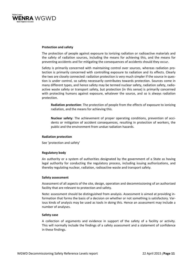

#### **Protection and safety**

The protection of people against exposure to ionizing radiation or radioactive materials and the safety of radiation sources, including the means for achieving this, and the means for preventing accidents and for mitigating the consequences of accidents should they occur.

Safety is primarily concerned with maintaining control over sources, whereas radiation pro‐ tection is primarily concerned with controlling exposure to radiation and its effects. Clearly the two are closely connected: radiation protection is very much simpler if the source in question is under control, so safety necessarily contributes towards protection. Sources come in many different types, and hence safety may be termed nuclear safety, radiation safety, radioactive waste safety or transport safety, but protection (in this sense) is primarily concerned with protecting humans against exposure, whatever the source, and so is always radiation protection.

**Radiation protection**: The protection of people from the effects of exposure to ionizing radiation, and the means for achieving this.

**Nuclear safety:** The achievement of proper operating conditions, prevention of accidents or mitigation of accident consequences, resulting in protection of workers, the public and the environment from undue radiation hazards.

#### **Radiation protection**

See 'protection and safety'

#### **Regulatory body**

An authority or a system of authorities designated by the government of a State as having legal authority for conducting the regulatory process, including issuing authorizations, and thereby regulating nuclear, radiation, radioactive waste and transport safety.

#### **Safety assessment**

Assessment of all aspects of the site, design, operation and decommissioning of an authorized facility that are relevant to protection and safety.

Note: assessment should be distinguished from analysis. Assessment is aimed at providing in‐ formation that forms the basis of a decision on whether or not something is satisfactory. Various kinds of analysis may be used as tools in doing this. Hence an assessment may include a number of analyses.

#### **Safety case**

A collection of arguments and evidence in support of the safety of a facility or activity. This will normally include the findings of a safety assessment and a statement of confidence in these findings.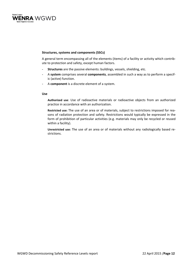

#### **Structures, systems and components (SSCs)**

A general term encompassing all of the elements (items) of a facility or activity which contrib‐ ute to protection and safety, except human factors.

- **Structures** are the passive elements: buildings, vessels, shielding, etc.
- A **system** comprises several **components**, assembled in such a way as to perform a specif‐ ic (active) function.
- A **component** is a discrete element of a system.

#### **Use**

**Authorized use**: Use of radioactive materials or radioactive objects from an authorized practice in accordance with an authorization.

**Restricted use:** The use of an area or of materials, subject to restrictions imposed for rea‐ sons of radiation protection and safety. Restrictions would typically be expressed in the form of prohibition of particular activities (e.g. materials may only be recycled or reused within a facility).

**Unrestricted use:** The use of an area or of materials without any radiologically based re‐ strictions.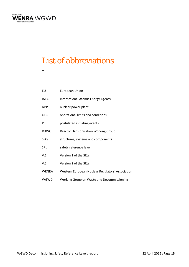

### List of abbreviations



| EU          | <b>European Union</b>                            |
|-------------|--------------------------------------------------|
| <b>IAFA</b> | <b>International Atomic Energy Agency</b>        |
| <b>NPP</b>  | nuclear power plant                              |
| <b>OLC</b>  | operational limits and conditions                |
| <b>PIE</b>  | postulated initiating events                     |
| RHWG        | <b>Reactor Harmonisation Working Group</b>       |
| <b>SSCs</b> | structures, systems and components               |
| <b>SRL</b>  | safety reference level                           |
| V.1         | Version 1 of the SRLs                            |
| V.2         | Version 2 of the SRLs                            |
| WFNRA       | Western European Nuclear Regulators' Association |
| WGWD        | Working Group on Waste and Decommissioning       |
|             |                                                  |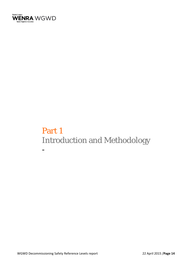

# Part 1 Introduction and Methodology

-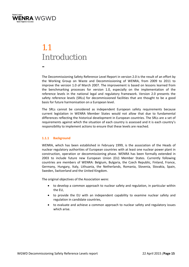

-

### 1.1 Introduction

The Decommissioning Safety Reference Level Report in version 2.0 is the result of an effort by the Working Group on Waste and Decommissioning of WENRA, from 2009 to 2011 to improve the version 1.0 of March 2007. The improvement is based on lessons learned from the benchmarking processes for version 1.0, especially on the implementation of the reference levels in the national legal and regulatory framework. Version 2.0 presents the safety reference levels (SRLs) for decommissioned facilities that are thought to be a good basis for future harmonisation on a European level.

The SRLs cannot be considered as independent European safety requirements because current legislation in WENRA Member States would not allow that due to fundamental differences reflecting the historical development in European countries. The SRLs are a set of requirements against which the situation of each country is assessed and it is each country's responsibility to implement actions to ensure that these levels are reached.

#### **1.1.1 Background**

WENRA, which has been established in February 1999, is the association of the Heads of nuclear regulatory authorities of European countries with at least one nuclear power plant in construction, operation or decommissioning phase. WENRA has been formally extended in 2003 to include future new European Union (EU) Member States. Currently following countries are members of WENRA: Belgium, Bulgaria, the Czech Republic, Finland, France, Germany, Hungary, Italy, Lithuania, the Netherlands, Romania, Slovenia, Slovakia, Spain, Sweden, Switzerland and the United Kingdom.

The original objectives of the Association were:

- to develop a common approach to nuclear safety and regulation, in particular within the EU,
- to provide the EU with an independent capability to examine nuclear safety and regulation in candidate countries,
- to evaluate and achieve a common approach to nuclear safety and regulatory issues which arise.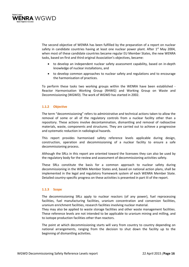

The second objective of WENRA has been fulfilled by the preparation of a report on nuclear safety in candidate countries having at least one nuclear power plant. After  $1<sup>st</sup>$  May 2004, when most of these candidate countries became regular EU Member States, the new WENRA tasks, based on first and third original Association's objectives, became:

- to develop an independent nuclear safety assessment capability, based on in‐depth knowledge of nuclear installations, and
- to develop common approaches to nuclear safety and regulations and to encourage the harmonisation of practices.

To perform these tasks two working groups within the WENRA have been established ‐ Reactor Harmonisation Working Group (RHWG) and Working Group on Waste and Decommissioning (WGWD). The work of WGWD has started in 2002.

#### **1.1.2 Objective**

The term "decommissioning" refers to administrative and technical actions taken to allow the removal of some or all of the regulatory controls from a nuclear facility other than a repository. These actions involve decontamination, dismantling and removal of radioactive materials, waste, components and structures. They are carried out to achieve a progressive and systematic reduction in radiological hazards.

This report provides harmonised safety reference levels applicable during design, construction, operation and decommissioning of a nuclear facility to ensure a safe decommissioning process.

Although the SRLs in this report are oriented toward the licensees they can also be used by the regulatory body for the review and assessment of decommissioning activities safety.

These SRLs constitute the basis for a common approach to nuclear safety during decommissioning in the WENRA Member States and, based on national action plans, shall be implemented in the legal and regulatory framework system of each WENRA Member State. Detailed country‐specific progress on these activities is presented in part III of the report.

#### **1.1.3 Scope**

The decommissioning SRLs apply to nuclear reactors (of any power), fuel reprocessing facilities, fuel manufacturing facilities, uranium concentration and conversion facilities, uranium enrichment facilities, research facilities involving nuclear material.

They may also be applied to waste storage facilities and other waste management facilities. These reference levels are not intended to be applicable to uranium mining and milling, and to isotope production facilities other than reactors.

The point at which decommissioning starts will vary from country to country depending on national arrangements, ranging from the decision to shut down the facility up to the beginning of dismantling activities.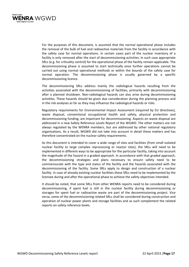

For the purposes of this document, is assumed that the normal operational phase includes the removal of the bulk of fuel and radioactive materials from the facility in accordance with the safety case for normal operations. In certain cases part of the nuclear inventory of a facility is only removed after the start of decommissioning activities. In such case appropriate SRLs (e.g. for criticality control) for the operational phase of the facility remain applicable. The decommissioning phase is assumed to start technically once further operations cannot be carried out using normal operational methods or within the bounds of the safety case for normal operation. The decommissioning phase is usually governed by a specific decommissioning licence.

The decommissioning SRLs address mainly the radiological hazards resulting from the activities associated with the decommissioning of facilities, primarily with decommissioning after a planned shutdown. Non-radiological hazards can also arise during decommissioning activities. These hazards should be given due consideration during the planning process and in the risk analyses as far as they may influence the radiological hazards or risks.

Regulatory requirements for Environmental Impact Assessment (required by EU directives), waste disposal, conventional occupational health and safety, physical protection and decommissioning funding, are important for decommissioning. Aspects on waste disposal are addressed in a new Safety Reference Levels Report of the WGWD. The other matters are not always regulated by the WENRA members, but are addressed by other national regulatory organisations. As a result, WGWD did not take into account in detail these matters and has therefore concentrated on the nuclear safety requirements.

As this document is intended to cover a wide range of sites and facilities (from small isolated nuclear facility to large complex reprocessing or reactor sites), the SRLs will need to be implemented in different ways to be appropriate for the particular facility, taking into account the magnitude of the hazard in a graded approach. In accordance with that graded approach, the decommissioning strategies and plans necessary to ensure safety need to be commensurate with the type and status of the facility and the hazards associated with the decommissioning of the facility. Some SRLs apply to design and construction of a nuclear facility. In case of already existing nuclear facilities these SRLs need to be implemented by the licensee during and after the operational phase to achieve the safety objectives intended.

It should be noted, that some SRLs from other WENRA reports need to be considered during decommissioning, if spent fuel is still in the nuclear facility during decommissioning or storages for spent fuel or radioactive waste are part of the decommissioning project. Vice versa, some of the decommissioning related SRLs shall be considered during construction and operation of nuclear power plants and storage facilities and as such complement the related reports on safety reference levels.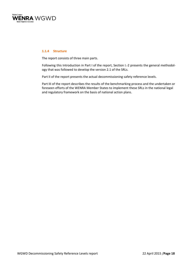

#### **1.1.4 Structure**

The report consists of three main parts.

Following this Introduction in Part I of the report, Section I.-2 presents the general methodology that was followed to develop the version 2.1 of the SRLs.

Part II of the report presents the actual decommissioning safety reference levels.

Part III of the report describes the results of the benchmarking process and the undertaken or foreseen efforts of the WENRA Member States to implement these SRLs in the national legal and regulatory framework on the basis of national action plans.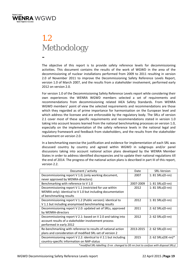

### 1.2 Methodology -

The objective of this report is to provide safety reference levels for decommissioning activities. This document contains the results of the work of WGWD in the area of the decommissioning of nuclear installations performed from 2009 to 2011 resulting in version 2.0 of November 2011 to improve the Decommissioning Safety Reference Levels Report, version 1.0 of March 2007, and the results from a stakeholder involvement, performed early 2012 on version 2.0.

For version 1.0 of the Decommissioning Safety Reference Levels report while considering their own experiences the WENRA WGWD members selected a set of requirements and recommendations from decommissioning related IAEA Safety Standards. From WENRA WGWD members' point of view the selected requirements and recommendations are those which they regarded as of prime importance for harmonisation on the European level and which address the licensee and are enforceable by the regulatory body. The SRLs of version 2.1 cover most of these specific requirements and recommendations stated in version 1.0 taking into account lessons learned from the national benchmarking processes on version 1.0, especially on the implementation of the safety reference levels in the national legal and regulatory framework and feedback from stakeholders, and the results from the stakeholder involvement on version 2.0.

In a benchmarking exercise the justification and evidence for implementation of each SRL was discussed country by country and agreed within WGWD in subgroups and/or panel discussions taking into account national action plans developed by the WENRA Member States in order to address identified discrepancies and to update their national regulations till the end of 2014. The progress of the national action plans is described in part III of this report, version 2.2.

| Document / activity                                                                | Date      | <b>SRL-Version</b> |  |
|------------------------------------------------------------------------------------|-----------|--------------------|--|
| Decommissioning report V 1.0; (only working document,                              | 2007      | $1: 81$ SRLs(D-nn) |  |
| never approved by WENRA-directors)                                                 |           |                    |  |
| Benchmarking with reference to V 1.0                                               | 2007-2009 | 1: 81 SRLs(D-nn)   |  |
| Decommissioning report V 1.1 (restricted for use within                            | 2012      | 1: 81 SRLs(D-nn)   |  |
| WENRA only): identical to V 1.0 but including documentation                        |           |                    |  |
| of benchmarking results                                                            |           |                    |  |
| Decommissioning report V 1.2 (Public version): identical to                        | 2012      | 1: 81 SRLs(D-nn)   |  |
| V 1.1 but including anonymised benchmarking results                                |           |                    |  |
| Decommissioning report V 2.0: updated set of SRLs, approved                        | 2011      | 2: 62 SRLs(D-nn)   |  |
| by WENRA-directors                                                                 |           |                    |  |
| Decommissioning report V 2.1: based on V 2.0 and taking into                       | 2012      | 2: 62 SRLs(D-nn)   |  |
| account results of a stakeholder involvement process                               |           |                    |  |
| performed in early 2012                                                            |           |                    |  |
| Re-benchmarking with reference to results of national action                       | 2013-2015 | 2: 62 SRLs(D-nn)   |  |
| plans and consideration of modified SRL-set of version 2                           |           |                    |  |
| Decommissioning report V 2.2: identical to V 2.1 but including                     | 2015      | 2: 62 SRLs(DE-nn)* |  |
| country-specific information on NAP-status                                         |           |                    |  |
| *modified SRL-labelling: D-nn changed to DE-nn (not to confuse with disposal SRLs) |           |                    |  |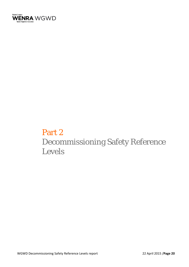

## Part 2 Decommissioning Safety Reference Levels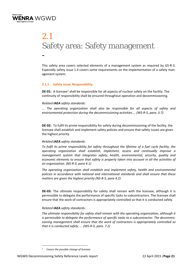

### 2.1 Safety area: Safety management

-

This safety area covers selected elements of a management system as required by GS‐R‐3. Especially safety issue 1.4 covers some requirements on the implementation of a safety man‐ agement system.

#### **2.1.1 Safety issue: Responsibility**

**DE-01:** A licensee<sup>1</sup> shall be responsible for all aspects of nuclear safety on the facility. The continuity of responsibility shall be ensured throughout operation and decommissioning.

#### *Related IAEA safety standards:*

*... The operating organization shall also be responsible for all aspects of safety and environmental protection during the decommissioning activities.... (WS‐R‐5, para. 3.7)* 

**DE‐02:** To fulfil its prime responsibility for safety during decommissioning of the facility, the licensee shall establish and implement safety policies and ensure that safety issues are given the highest priority.

#### *Related IAEA safety standards:*

*To fulfil its prime responsibility for safety throughout the lifetime of a fuel cycle facility, the operating organization shall establish, implement, assess and continually improve a management system that integrates safety, health, environmental, security, quality and economic elements to ensure that safety is properly taken into account in all the activities of an organization. (NS‐R‐5, para 4.1)*

*The operating organization shall establish and implement safety, health and environmental policies in accordance with national and international standards and shall ensure that these matters are given the highest priority (NS‐R‐5, para 4.2)*

**DE‐03:** The ultimate responsibility for safety shall remain with the licensee, although it is permissible to delegate the performance of specific tasks to subcontractors. The licensee shall ensure that the work of contractors is appropriately controlled so that it is conducted safely*.*

#### *Related IAEA safety standards:*

*The ultimate responsibility for safety shall remain with the operating organization, although it is permissible to delegate the performance of specific tasks to a subcontractor. The decommis‐ sioning management shall ensure that the work of contractors is appropriately controlled so that it is conducted safely. ... (WS‐R‐5, para. 7.2)*

 $\overline{a}$ 

<sup>1</sup> *Covers the possible change of licensee*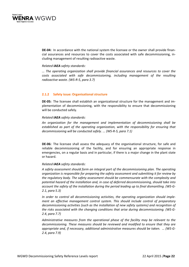

**DE-04:** In accordance with the national system the licensee or the owner shall provide financial assurances and resources to cover the costs associated with safe decommissioning, in‐ cluding management of resulting radioactive waste.

#### *Related IAEA safety standards:*

*... The operating organization shall provide financial assurances and resources to cover the costs associated with safe decommissioning, including management of the resulting radioactive waste. (WS‐R‐5, para 3.7)*

#### **2.1.2 Safety issue: Organisational structure**

**DE‐05:** The licensee shall establish an organizational structure for the management and im‐ plementation of decommissioning, with the responsibility to ensure that decommissioning will be conducted safely.

#### *Related IAEA safety standards:*

*An organization for the management and implementation of decommissioning shall be established as part of the operating organization, with the responsibility for ensuring that decommissioning will be conducted safely. ... (WS‐R‐5, para 7.1)*

**DE-06:** The licensee shall assess the adequacy of the organisational structure, for safe and reliable decommissioning of the facility, and for ensuring an appropriate response in emergencies, on a regular basis and in particular, if there is a major change in the plant state or hazard.

#### *Related IAEA safety standards:*

*A safety assessment should form an integral part of the decommissioning plan. The operating organization is responsible for preparing the safety assessment and submitting it for review by the regulatory body. The safety assessment should be commensurate with the complexity and potential hazard of the installation and, in case of deferred decommissioning, should take into account the safety of the installation during the period leading up to final dismantling. (WS‐G‐ 2.1, para 5.3)*

*In order to control all decommissioning activities, the operating organization should imple‐ ment an effective management control system. This should include control of preparatory decommissioning activities (such as the installation of new safety systems) and recognition of the risks associated with the changing conditions that arise during decommissioning. (WS‐G‐ 2.4, para 7.7)*

*Administrative measures from the operational phase of the facility may be relevant to the decommissioning. These measures should be reviewed and modified to ensure that they are appropriate and, if necessary, additional administrative measures should be taken. … (WS‐G‐ 2.4, para 7.9)*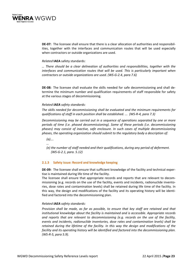

**DE-07:** The licensee shall ensure that there is a clear allocation of authorities and responsibilities, together with the interfaces and communication routes that will be used especially when contractors or outside organizations are used.

#### *Related* **IAEA** safety standards:

*… There should be a clear delineation of authorities and responsibilities, together with the interfaces and communication routes that will be used. This is particularly important when contractors or outside organizations are used. (WS‐G‐2.4, para 7.6)*

**DE‐08:** The licensee shall evaluate the skills needed for safe decommissioning and shall de‐ termine the minimum number and qualification requirements of staff responsible for safety at the various stages of decommissioning.

#### *Related IAEA safety standards:*

*The skills needed for decommissioning shall be evaluated and the minimum requirements for qualifications of staff in each position shall be established. ... (WS‐R‐4, para 7.3)* 

*Decommissioning may be carried out in a sequence of operations separated by one or more periods of time (i.e. phased decommissioning). Some of these periods (i.e. decommissioning phases) may consist of inactive, safe enclosure. In such cases of multiple decommissioning phases, the operating organization should submit to the regulatory body a description of:*

*(a)….*

*…*

*(e) the number of staff needed and their qualifications, during any period of deferment. (WS‐G‐2.1, para. 5.12)*

#### **2.1.3 Safety issue: Record and knowledge keeping**

**DE-09:** The licensee shall ensure that sufficient knowledge of the facility and technical expertise is maintained during life time of the facility.

The licensee shall ensure that appropriate records and reports that are relevant to decommissioning (e.g. records on the use of the facility, events and incidents, radionuclide invento‐ ries, dose rates and contamination levels) shall be retained during life time of the facility. In this way, the design and modifications of the facility and its operating history will be identi‐ fied and factored into the decommissioning plan.

#### *Related IAEA safety standards:*

*Provision shall be made, as far as possible, to ensure that key staff are retained and that institutional knowledge about the facility is maintained and is accessible. Appropriate records and reports that are relevant to decommissioning (e.g. records on the use of the facility, events and incidents, radionuclide inventories, dose rates and contamination levels) shall be retained during the lifetime of the facility. In this way the design and modifications of the facility and its operating history will be identified and factored into the decommissioning plan. (WS‐R‐5, para 5.9).*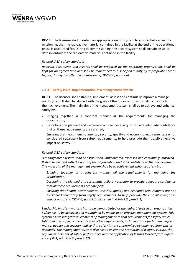

**DE-10:** The licensee shall maintain an appropriate record system to ensure, before decommissioning, that the radioactive material contained in the facility at the end of the operational phase is accounted for. During decommissioning, this record system shall include an up-todate inventory of the radioactive material contained in the facility.

#### *Related IAEA safety standards:*

*Relevant documents and records shall be prepared by the operating organization, shall be kept for an agreed time and shall be maintained to a specified quality by appropriate parties before, during and after decommissioning. (WS‐R‐5, para 7.6)* 

#### **2.1.4 Safety issue: Implementation of a management system**

**DE-11:** The licensee shall establish, implement, assess and continually improve a management system. It shall be aligned with the goals of the organization and shall contribute to their achievement. The main aim of the management system shall be to achieve and enhance safety by:

- ‐ Bringing together in a coherent manner all the requirements for managing the organization;
- ‐ Describing the planned and systematic actions necessary to provide adequate confidence that all these requirements are satisfied;
- ‐ Ensuring that health, environmental, security, quality and economic requirements are not considered separately from safety requirements, to help preclude their possible negative impact on safety.

#### *Related IAEA safety standards:*

*A management system shall be established, implemented, assessed and continually improved. It shall be aligned with the goals of the organization and shall contribute to their achievement. The main aim of the management system shall be to achieve and enhance safety by:*

- ‐ *Bringing together in a coherent manner all the requirements for managing the organization;*
- ‐ *Describing the planned and systematic actions necessary to provide adequate confidence that all these requirements are satisfied;*
- ‐ *Ensuring that health, environmental, security, quality and economic requirements are not considered separately from safety requirements, to help preclude their possible negative impact on safety. (GS‐R‐3; para 2.1, also cited in GS‐G‐3.3, para 2.1)*

*Leadership in safety matters has to be demonstrated at the highest levels in an organization. Safety has to be achieved and maintained by means of an effective management system. This system has to integrate all elements of management so that requirements for safety are es‐ tablished and applied coherently with other requirements, including those for human perfor‐ mance, quality and security, and so that safety is not compromised by other requirements or demands. The management system also has to ensure the promotion of a safety culture, the regular assessment of safety performance and the application of lessons learned from experi‐ ence. (SF‐1, principle 3, para 3.12)*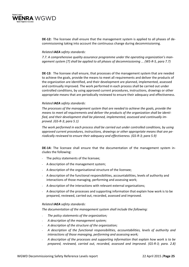

**DE-12:** The licensee shall ensure that the management system is applied to all phases of decommissioning taking into account the continuous change during decommissioning.

#### *Related IAEA safety standards:*

*7.7. A comprehensive quality assurance programme under the operating organization's man‐ agement system [7] shall be applied to all phases of decommissioning ... (WS‐R‐5, para 7.7)*

**DE‐13**: The licensee shall ensure, that processes of the management system that are needed to achieve the goals, provide the means to meet all requirements and deliver the products of the organization are identified, and their development are planned, implemented, assessed and continually improved. The work performed in each process shall be carried out under controlled conditions, by using approved current procedures, instructions, drawings or other appropriate means that are periodically reviewed to ensure their adequacy and effectiveness.

#### *Related IAEA safety standards:*

*The processes of the management system that are needed to achieve the goals, provide the means to meet all requirements and deliver the products of the organization shall be identi‐ fied, and their development shall be planned, implemented, assessed and continually im‐ proved. (GS‐R‐3; para 5.1)*

*The work performed in each process shall be carried out under controlled conditions, by using approved current procedures, instructions, drawings or other appropriate means that are pe‐ riodically reviewed to ensure their adequacy and effectiveness. (GS‐R‐3; para 5.9)*

**DE-14:** The licensee shall ensure that the documentation of the management system includes the following:

- The policy statements of the licensee;
- A description of the management system;
- A description of the organisational structure of the licensee;
- A description of the functional responsibilities, accountabilities, levels of authority and interactions of those managing, performing and assessing work;
- A description of the interactions with relevant external organisations;
- A description of the processes and supporting information that explain how work is to be prepared, reviewed, carried out, recorded, assessed and improved.

#### *Related IAEA safety standards:*

*The documentation of the management system shall include the following:*

- ‐ *The policy statements of the organization;*
- ‐ *A description of the management system;*
- ‐ *A description of the structure of the organization;*
- ‐ *A description of the functional responsibilities, accountabilities, levels of authority and interactions of those managing, performing and assessing work;*
- ‐ *A description of the processes and supporting information that explain how work is to be prepared, reviewed, carried out, recorded, assessed and improved. (GS‐R‐3; para. 2.8)*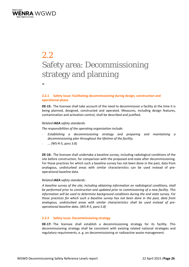

### 2.2 Safety area: Decommissioning strategy and planning

### -

#### **2.2.1 Safety issue: Facilitating decommissioning during design, construction and operational phase**

**DE‐15:** The licensee shall take account of the need to decommission a facility at the time it is being planned, designed, constructed and operated. Measures, including design features, contamination and activation control, shall be described and justified.

#### *Related IAEA safety standards:*

*The responsibilities of the operating organization include:*

- ‐ *Establishing a decommissioning strategy and preparing and maintaining a decommissioning plan throughout the lifetime of the facility;*
- ‐ *... (*WS‐R‐5, para 3.8)

**DE‐16:** The licensee shall undertake a baseline survey, including radiological conditions of the site before construction, for comparison with the proposed end-state after decommissioning. For those practices for which such a baseline survey has not been done in the past, data from analogous, undisturbed areas with similar characteristics can be used instead of pre‐ operational baseline data.

#### *Related IAEA safety standards:*

*A baseline survey of the site, including obtaining information on radiological conditions, shall be performed prior to construction and updated prior to commissioning of a new facility. This information will be used to determine background conditions during the end state survey. For those practices for which such a baseline survey has not been done in the past, data from analogous, undisturbed areas with similar characteristics shall be used instead of pre‐ operational baseline data. (WS‐R‐5, para 5.8)* 

#### **2.2.2 Safety issue: Decommissioning strategy**

**DE‐17:** The licensee shall establish a decommissioning strategy for its facility. This decommissioning strategy shall be consistent with existing related national strategies and regulatory requirements, e. g. on decommissioning or radioactive waste management.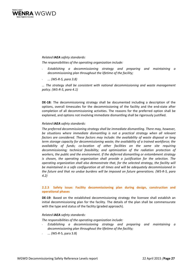

#### *Related IAEA safety standards:*

*The responsibilities of the operating organization include:*

- ‐ *Establishing a decommissioning strategy and preparing and maintaining a decommissioning plan throughout the lifetime of the facility;*
- ‐ *... (WS‐R‐5, para 3.8)*

*... The strategy shall be consistent with national decommissioning and waste management policy. (WS‐R‐5, para 4.1)*

**DE-18:** The decommissioning strategy shall be documented including a description of the options, overall timescales for the decommissioning of the facility and the end‐state after completion of all decommissioning activities. The reasons for the preferred option shall be explained, and options not involving immediate dismantling shall be rigorously justified.

#### *Related IAEA safety standards:*

*The preferred decommissioning strategy shall be immediate dismantling. There may, however, be situations where immediate dismantling is not a practical strategy when all relevant factors are considered. These factors may include: the availability of waste disposal or long term storage capacity for decommissioning waste; the availability of a trained workforce; the availability of funds; co‐location of other facilities on the same site requiring decommissioning; technical feasibility; and optimization of the radiation protection of workers, the public and the environment. If the deferred dismantling or entombment strategy is chosen, the operating organization shall provide a justification for the selection. The operating organization shall also demonstrate that, for the selected strategy, the facility will be maintained in a safe configuration at all times and will be adequately decommissioned in the future and that no undue burdens will be imposed on future generations. (WS‐R‐5, para 4.2)*

#### **2.2.3 Safety issue: Facility decommissioning plan during design, construction and operational phases**

**DE-19**: Based on the established decommissioning strategy the licensee shall establish an initial decommissioning plan for the facility. The details of the plan shall be commensurate with the type and status of the facility (graded approach).

#### *Related IAEA safety standards:*

*The responsibilities of the operating organization include:*

- ‐ *Establishing a decommissioning strategy and preparing and maintaining a decommissioning plan throughout the lifetime of the facility;*
- ‐ *... (WS‐R*‐5, para 3.8)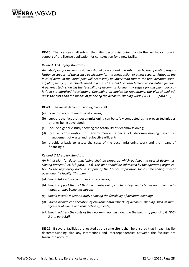

**DE‐20:** The licensee shall submit the initial decommissioning plan to the regulatory body in support of the licence application for construction for a new facility.

#### *Related IAEA safety standards:*

*An initial plan for decommissioning should be prepared and submitted by the operating organ‐ ization in support of the licence application for the construction of a new reactor. Although the level of detail in the initial plan will necessarily be lower than that in the final decommission‐ ing plan, many of the aspects listed in para. 5.11 should be considered in a conceptual fashion. A generic study showing the feasibility of decommissioning may suffice for this plan, particu‐ larly in standardized installations. Depending on applicable regulations, the plan should ad‐ dress the costs and the means of financing the decommissioning work. (WS‐G‐2.1, para 5.6)*

**DE-21:** The initial decommissioning plan shall:

- (a) take into account major safety issues;
- (b) support the fact that decommissioning can be safely conducted using proven techniques or ones being developed;
- (c) include a generic study showing the feasibility of decommissioning;
- (d) include consideration of environmental aspects of decommissioning, such as management of waste and radioactive effluents;
- (e) provide a basis to assess the costs of the decommissioning work and the means of financing it.

#### *Related IAEA safety standards:*

*An initial plan for decommissioning shall be prepared which outlines the overall decommis‐ sioning process (Ref. [2], para. 3.13). This plan should be submitted by the operating organiza‐ tion to the regulatory body in support of the licence application for commissioning and/or operating the facility. This plan:*

- *(a) Should take into account basic safety issues;*
- *(b) Should support the fact that decommissioning can be safely conducted using proven tech‐ niques or ones being developed;*
- *(c) Should include a generic study showing the feasibility of decommissioning;*
- *(d) Should include consideration of environmental aspects of decommissioning, such as man‐ agement of waste and radioactive effluents;*
- *(e) Should address the costs of the decommissioning work and the means of financing it. (WS‐ G‐2.4, para 5.6).*

**DE‐22:** If several facilities are located at the same site it shall be ensured that in each facility decommissioning plan any interactions and interdependencies between the facilities are taken into account.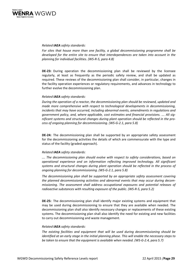

#### *Related IAEA safety standards:*

*For sites that house more than one facility, a global decommissioning programme shall be developed for the entire site to ensure that interdependences are taken into account in the planning for individual facilities. (WS‐R‐5, para 4.8)*

**DE‐23:** During operation the decommissioning plan shall be reviewed by the licensee regularly, at least as frequently as the periodic safety review, and shall be updated as required. These reviews of the decommissioning plan shall consider, in particular, changes in the facility operation experiences or regulatory requirements, and advances in technology to further evolve the decommissioning plan.

#### *Related IAEA safety standards:*

*During the operation of a reactor, the decommissioning plan should be reviewed, updated and made more comprehensive with respect to technological developments in decommissioning, incidents that may have occurred, including abnormal events, amendments in regulations and government policy, and, where applicable, cost estimates and financial provisions. …. All sig‐ nificant systems and structural changes during plant operation should be reflected in the pro‐ cess of ongoing planning for decommissioning. (WS‐G‐2.1, para 5.8)*

**DE-24:** The decommissioning plan shall be supported by an appropriate safety assessment for the decommissioning activities the details of which are commensurate with the type and status of the facility (graded approach).

#### *Related IAEA safety standards:*

*…. The decommissioning plan should evolve with respect to safety considerations, based on operational experience and on information reflecting improved technology. All significant systems and structural changes during plant operation should be reflected in the process of ongoing planning for decommissioning. (WS‐G‐2.1, para 5.8)*

*The decommissioning plan shall be supported by an appropriate safety assessment covering the planned decommissioning activities and abnormal events that may occur during decom‐ missioning. The assessment shall address occupational exposures and potential releases of radioactive substances with resulting exposure of the public. (WS‐R‐5, para 5.2)*

**DE-25:** The decommissioning plan shall identify major existing systems and equipment that may be used during decommissioning to ensure that they are available when needed. The decommissioning plan shall also identify necessary changes or replacements of these existing systems. The decommissioning plan shall also identify the need for existing and new facilities to carry out decommissioning and waste management.

#### *Related IAEA safety standards:*

*The existing facilities and equipment that will be used during decommissioning should be identified at an early stage in the initial planning phase. This will enable the necessary steps to be taken to ensure that the equipment is available when needed. (WS‐G‐2.4, para 5.7)*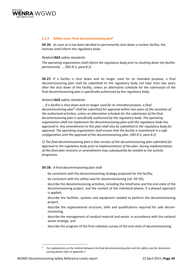

#### **2.2.4 Safety issue: Final decommissioning plan<sup>2</sup>**

**DE-26:** As soon as it has been decided to permanently shut down a nuclear facility, the licensee shall inform the regulatory body.

#### *Related IAEA safety standards:*

*The operating organization shall inform the regulatory body prior to shutting down the facility permanently. ... (WS‐R‐5, para 8.2)*

**DE‐27:** If a facility is shut down and no longer used for its intended purpose, a final decommissioning plan shall be submitted to the regulatory body not later than two years after the shut down of the facility, unless an alternative schedule for the submission of the final decommissioning plan is specifically authorized by the regulatory body.

#### *Related IAEA safety standards:*

*... If a facility is shut down and no longer used for its intended purpose, a final decommissioning plan5) shall be submitted for approval within two years of the cessation of the authorized activities, unless an alternative schedule for the submission of the final decommissioning plan is specifically authorized by the regulatory body. The operating organization shall not implement the decommissioning plan until the regulatory body has approved it. Any amendments to this plan shall also be submitted to the regulatory body for approval. The operating organization shall ensure that the facility is maintained in a safe configuration until the approval of the decommissioning plan. (WS‐R‐5, para 8.2)*

*5) The final decommissioning plan is that version of the decommissioning plan submitted for approval to the regulatory body prior to implementation of the plan. During implementation of this final plan revisions or amendments may subsequently be needed as the activity progresses.*

**DE‐28:** A final decommissioning plan shall

- be consistent with the decommissioning strategy proposed for the facility,
- be consistent with the safety case for decommissioning (ref. DE-50),
- ‐ describe the decommissioning activities, including the timeframe and the end‐state of the decommissioning project, and the content of the individual phases, if a phased approach is applied,
- ‐ describe the facilities, systems and equipment needed to perform the decommissioning project,
- describe the organisational structure, skills and qualifications required for safe decommissioning,
- ‐ describe the management of residual material and waste in accordance with the national waste strategy, and
- ‐ describe the program of the final radiation survey of the end‐state of decommissioning.

 $\overline{a}$ 

For explanations on the relation between the final decommissioning plan and the safety case for decommis*sioning please refer to appendix C.*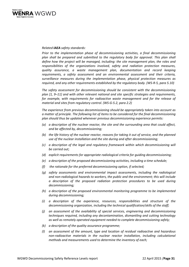

#### *Related IAEA safety standards:*

*Prior to the implementation phase of decommissioning activities, a final decommissioning plan shall be prepared and submitted to the regulatory body for approval. This plan shall define how the project will be managed, including: the site management plan, the roles and responsibilities of the organizations involved, safety and radiation protection measures, quality assurance, a waste management plan, documentation and record keeping requirements, a safety assessment and an environmental assessment and their criteria, surveillance measures during the implementation phase, physical protection measures as required, and any other requirements established by the regulatory body. (WS‐R‐5, para 5.10)*

*The safety assessment for decommissioning should be consistent with the decommissioning plan [1, 9–11] and with other relevant national and site specific strategies and requirements, for example, with requirements for radioactive waste management and for the release of material and sites from regulatory control. (WS‐G‐5.2, para 2.2)*

*The experience from previous decommissioning should be appropriately taken into account as a matter of principle. The following list of items to be considered for the final decommissioning plan should thus be updated whenever previous decommissioning experience permits:*

- *(a) a description of the nuclear reactor, the site and the surrounding area that could affect, and be affected by, decommissioning;*
- *(b) the life history of the nuclear reactor, reasons for taking it out of service, and the planned use of the nuclear installation and the site during and after decommissioning;*
- *(c) a description of the legal and regulatory framework within which decommissioning will be carried out;*
- *(d) explicit requirements for appropriate radiological criteria for guiding decommissioning;*
- *(e) a description of the proposed decommissioning activities, including a time schedule;*
- *(f) the rationale for the preferred decommissioning option, if selected;*
- *(g) safety assessments and environmental impact assessments, including the radiological and non‐radiological hazards to workers, the public and the environment; this will include a description of the proposed radiation protection procedures to be used during decommissioning;*
- *(h) a description of the proposed environmental monitoring programme to be implemented during decommissioning;*
- *(i) a description of the experience, resources, responsibilities and structure of the decommissioning organization, including the technical qualification/skills of the staff;*
- *(j) an assessment of the availability of special services, engineering and decommissioning techniques required, including any decontamination, dismantling and cutting technology as well as remotely operated equipment needed to complete decommissioning safely;*
- *(k) a description of the quality assurance programme;*
- *(l) an assessment of the amount, type and location of residual radioactive and hazardous non‐radioactive materials in the nuclear reactor installation, including calculational methods and measurements used to determine the inventory of each;*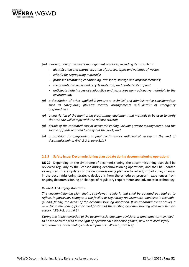

- *(m) a description of the waste management practices, including items such as:*
	- *identification and characterization of sources, types and volumes of waste;*
	- *criteria for segregating materials;*
	- *proposed treatment, conditioning, transport, storage and disposal methods;*
	- *the potential to reuse and recycle materials, and related criteria; and*
	- *anticipated discharges of radioactive and hazardous non‐radioactive materials to the environment;*
- *(n) a description of other applicable important technical and administrative considerations such as safeguards, physical security arrangements and details of emergency preparedness;*
- *(o) a description of the monitoring programme, equipment and methods to be used to verify that the site will comply with the release criteria;*
- *(p) details of the estimated cost of decommissioning, including waste management, and the source of funds required to carry out the work; and*
- *(q) a provision for performing a final confirmatory radiological survey at the end of decommissioning. (WS‐G‐2.1, para 5.11)*

#### **2.2.5 Safety issue: Decommissioning plan update during decommissioning operations**

**DE‐29:** Depending on the timeframe of decommissioning, the decommissioning plan shall be reviewed regularly by the licensee during decommissioning operations, and shall be updated as required. These updates of the decommissioning plan are to reflect, in particular, changes in the decommissioning strategy, deviations from the scheduled program, experiences from ongoing decommissioning or changes of regulatory requirements and advances in technology.

#### *Related IAEA safety standards:*

*The decommissioning plan shall be reviewed regularly and shall be updated as required to reflect, in particular, changes in the facility or regulatory requirements, advances in technolo‐ gy and, finally, the needs of the decommissioning operation. If an abnormal event occurs, a new decommissioning plan or modification of the existing decommissioning plan may be nec‐ essary. (WS‐R‐2. para 6.3).*

*During the implementation of the decommissioning plan, revisions or amendments may need to be made to the plan in the light of operational experience gained, new or revised safety requirements, or technological developments. (WS‐R‐2, para 6.4).*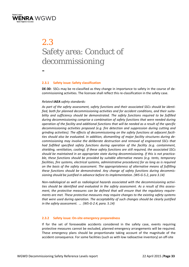

### 2.3 Safety area: Conduct of decommissioning

-

#### **2.3.1 Safety issue: Safety classification**

**DE-30:** SSCs may be re-classified as they change in importance to safety in the course of decommissioning activities. The licensee shall reflect this re‐classification in the safety case.

#### *Related IAEA safety standards:*

*As part of the safety assessment, safety functions and their associated SSCs should be identi‐ fied, both for planned decommissioning activities and for accident conditions, and their suita‐ bility and sufficiency should be demonstrated. The safety functions required to be fulfilled during decommissioning comprise a combination of safety functions that were needed during operation of the facility and additional functions that will be needed as a result of the specific decommissioning activities proposed (e.g. fire detection and suppression during cutting and grinding activities). The effects of decommissioning on the safety functions at adjacent facili‐ ties should also be evaluated. In addition, dismantling of major facility structures during de‐ commissioning may involve the deliberate destruction and removal of engineered SSCs that had fulfilled specified safety functions during operation of the facility (e.g. containment, shielding, ventilation, cooling). If these safety functions are still required, the associated SSCs should be maintained in an appropriate state during decommissioning. If this is not practica‐ ble, these functions should be provided by suitable alternative means (e.g. tents, temporary facilities, fire systems, electrical systems, administrative procedures) for as long as is required on the basis of the safety assessment. The appropriateness of alternative means of fulfilling these functions should be demonstrated. Any change of safety functions during decommis‐ sioning should be justified in advance before its implementation. (WS‐G‐5.2, para 3.14)*

*Non‐radiological as well as radiological hazards associated with the decommissioning activi‐ ties should be identified and evaluated in the safety assessment. As a result of this assess‐ ment, the protective measures can be defined that will ensure that the regulatory require‐ ments are met. These protective measures may require changes to the existing safety systems that were used during operation. The acceptability of such changes should be clearly justified in the safety assessment. … (WS‐G‐2.4, para. 5.14)*

#### **2.3.2 Safety issue: On‐site emergency preparedness**

If for the set of foreseeable accidents considered in the safety case, events requiring protective measures cannot be excluded, planned emergency arrangements will be required. These emergency plans should be proportionate taking account of the magnitude of the accident consequence. For some facilities (such as with low radioactive inventory) an off-site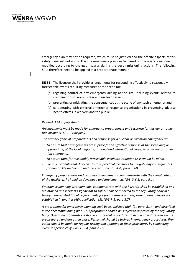

emergency plan may not be required, which must be justified and the off-site aspects of this safety issue will not apply. This site emergency plan can be based on the operational one but modified according to changed hazards during the decommissioning actions. The following SRLs therefore need to be applied in a proportionate manner.

**DE‐31:** The licensee shall provide arrangements for responding effectively to reasonably foreseeable events requiring measures at the scene for:

- (a) regaining control of any emergency arising at the site, including events related to combinations of non‐nuclear and nuclear hazards;
- (b) preventing or mitigating the consequences at the scene of any such emergency and
- (c) co‐operating with external emergency response organizations in preventing adverse health effects in workers and the public.

#### *Related IAEA safety standards:*

*Arrangements must be made for emergency preparedness and response for nuclear or radia‐ tion incidents (SF‐1, Principle 9)*

*The primary goals of preparedness and response for a nuclear or radiation emergency are:*

- *‐ To ensure that arrangements are in place for an effective response at the scene and, as appropriate, at the local, regional, national and international levels, to a nuclear or radia‐ tion emergency;*
- *‐ To ensure that, for reasonably foreseeable incidents, radiation risks would be minor;*
- *‐ For any incidents that do occur, to take practical measures to mitigate any consequences for human life and health and the environment. (SF‐1; para 3.34)*

*Emergency preparedness and response arrangements commensurate with the threat category of the facility, […], should be developed and implemented. (WS‐G‐6.1, para 5.14)*

*Emergency planning arrangements, commensurate with the hazards, shall be established and maintained and incidents significant to safety shall be reported to the regulatory body in a timely manner. Additional requirements for preparedness and response to emergencies are established in another IAEA publication [8]. (WS‐R‐5, para 8.7)*

*A programme for emergency planning shall be established (Ref. [2], para. 3.14) and described in the decommissioning plan. This programme should be subject to approval by the regulatory body. Operating organizations should ensure that procedures to deal with unforeseen events are prepared and are put in place. Personnel should be trained in emergency procedures. Pro‐ vision should be made for regular testing and updating of these procedures by conducting exercises periodically. (WS‐G‐2.4, para 7.27)*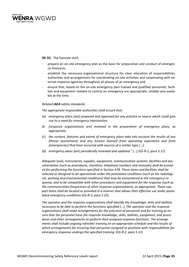

#### **DE‐32:** The licensee shall:

- ‐ prepare an on‐site emergency plan as the basis for preparation and conduct of emergen‐ cy measures,
- ‐ establish the necessary organizational structure for clear allocation of responsibilities, authorities and arrangements for coordinating on-site activities and cooperating with external response agencies throughout all phases of an emergency and
- ensure that, based on the on-site emergency plan trained and qualified personnel, facilities and equipment needed to control an emergency are appropriate, reliable and availa‐ ble at the time.

#### *Related IAEA safety standards:*

*The appropriate responsible authorities shall ensure that:* 

- *(a) emergency plans [are] prepared and approved for any practice or source which could give rise to a need for emergency intervention;*
- *(b [response organizations are] involved in the preparation of emergency plans, as appropriate;*
- *(c) the content, features and extent of emergency plans take into account the results of any [threat assessment] and any lessons learned from operating experience and from [emergencies] that have occurred with sources of a similar type […];*
- *(d) emergency plans [are] periodically reviewed and updated." […] (GS‐R‐2, para 5.17)*

*Adequate tools, instruments, supplies, equipment, communication systems, facilities and doc‐ umentation (such as procedures, checklists, telephone numbers and manuals) shall be provid‐ ed for performing the functions specified in Section 478. These items and facilities shall be selected or designed to be operational under the postulated conditions (such as the radiologi‐ cal, working and environmental conditions) that may be encountered in the emergency re‐ sponse, and to be compatible with other procedures and equipment for the response (such as the communication frequencies of other response organizations), as appropriate. These sup‐ port items shall be located or provided in a manner that allows their effective use under postu‐ lated emergency conditions (GS‐R‐2, para 5.25).*

*The operator and the response organizations shall identify the knowledge, skills and abilities necessary to be able to perform the functions specified […]. The operator and the response organizations shall make arrangements for the selection of personnel and for training to en‐ sure that the personnel have the requisite knowledge, skills, abilities, equipment, and proce‐ dures and other arrangements to perform their assigned response functions. The arrange‐ ments shall include ongoing refresher training on an appropriate schedule and the results of which arrangements for ensuring that personnel assigned to positions with responsibilities for emergency response undergo the specified training. (GS‐R‐2, para 5.31)*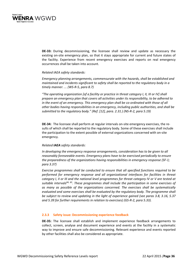

**DE-33:** During decommissioning, the licensee shall review and update as necessary the existing on-site emergency plan, so that it stays appropriate for current and future states of the facility. Experience from recent emergency exercises and reports on real emergency occurrences shall be taken into account.

#### *Related IAEA safety standards:*

*Emergency planning arrangements, commensurate with the hazards, shall be established and maintained and incidents significant to safety shall be reported to the regulatory body in a timely manner. ... (WS‐R‐5, para 8.7)*

*"The operating organization [of a facility or practice in threat category I, II, III or IV] shall prepare an emergency plan that covers all activities under its responsibility, to be adhered to in the event of an emergency. This emergency plan shall be co‐ordinated with those of all other bodies having responsibilities in an emergency, including public authorities, and shall be submitted to the regulatory body." (Ref. [12], para. 2.31.) (NS‐R‐2, para 5.19)*

**DE‐34:** The licensee shall perform at regular intervals on‐site emergency exercises, the re‐ sults of which shall be reported to the regulatory body. Some of these exercises shall include the participation to the extent possible of external organizations concerned with on‐site emergency.

#### *Related IAEA safety standards:*

*In developing the emergency response arrangements, consideration has to be given to all reasonably foreseeable events. Emergency plans have to be exercised periodically to ensure the preparedness of the organizations having responsibilities in emergency response (SF‐1; para 3.37)*

*Exercise programmes shall be conducted to ensure that all specified functions required to be performed for emergency response and all organizational interfaces for facilities in threat* category I, II or III and the national level programmes for threat category IV or V are tested at *suitable intervals84, 85. These programmes shall include the participation in some exercises of as many as possible of the organizations concerned. The exercises shall be systematically evaluated and some exercises shall be evaluated by the regulatory body. The programme shall be subject to review and updating in the light of experience gained (see paras 3.8, 3.16, 5.37 and 5.39 for further requirements in relation to exercises) (GS‐R‐2, para 5.33).*

#### **2.3.3 Safety issue: Decommissioning experience feedback**

**DE-35:** The licensee shall establish and implement experience feedback arrangements to collect, screen, analyse and document experience and events at the facility in a systematic way to improve and ensure safe decommissioning. Relevant experience and events reported by other facilities shall also be considered as appropriate.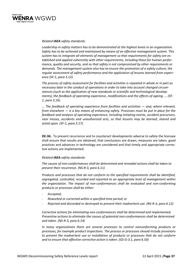

#### *Related IAEA safety standards:*

*Leadership in safety matters has to be demonstrated at the highest levels in an organization. Safety has to be achieved and maintained by means of an effective management system. This system has to integrate all elements of management so that requirements for safety are es‐ tablished and applied coherently with other requirements, including those for human perfor‐ mance, quality and security, and so that safety is not compromised by other requirements or demands. The management system also has to ensure the promotion of a safety culture, the regular assessment of safety performance and the application of lessons learned from experi‐ ence (SF‐1, para 3.12).*

*The process of safety assessment for facilities and activities is repeated in whole or in part as necessary later in the conduct of operations in order to take into account changed circum‐ stances (such as the application of new standards or scientific and technological develop‐ ments), the feedback of operating experience, modifications and the effects of ageing. ... (SF‐ 1, para 3.16).*

*... The feedback of operating experience from facilities and activities — and, where relevant, from elsewhere — is a key means of enhancing safety. Processes must be put in place for the feedback and analysis of operating experience, including initiating events, accident precursors, near misses, accidents and unauthorized acts, so that lessons may be learned, shared and acted upon. (SF‐1, para 3.17).*

**DE‐36:** To prevent recurrence and to counteract developments adverse to safety the licensee shall ensure that results are obtained, that conclusions are drawn, measures are taken, good practices and advances in technology are considered and that timely and appropriate correc‐ tive actions are implemented.

## *Related IAEA safety standards:*

*The causes of non‐conformances shall be determined and remedial actions shall be taken to prevent their recurrence. (NS‐R‐3, para 6.11)*

*Products and processes that do not conform to the specified requirements shall be identified, segregated, controlled, recorded and reported to an appropriate level of management within the organization. The impact of non‐conformances shall be evaluated and non‐conforming products or processes shall be either:*

- ‐ *Accepted;*
- ‐ *Reworked or corrected within a specified time period; or*
- ‐ *Rejected and discarded or destroyed to prevent their inadvertent use. (NS‐R‐3, para 6.12)*

*Corrective actions for eliminating non‐conformances shall be determined and implemented. Preventive actions to eliminate the causes of potential non‐conformances shall be determined and taken. (NS‐R‐3, para 6.14)*

*In many organizations there are several processes to control nonconforming products or processes, for example product inspections. The process or processes should include provisions to prevent the inadvertent use or installation of products or processes that do not conform and to ensure that effective corrective action is taken. (GS‐G‐3.1, para 6.50)*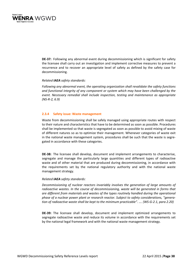

**DE-37:** Following any abnormal event during decommissioning which is significant for safety the licensee shall carry out an investigation and implement corrective measures to prevent a recurrence and to recover an appropriate level of safety as defined by the safety case for decommissioning.

#### *Related IAEA safety standards:*

*Following any abnormal event, the operating organization shall revalidate the safety functions and functional integrity of any component or system which may have been challenged by the event. Necessary remedial shall include inspection, testing and maintenance as appropriate (NS‐R‐2, 6.9)*

## **2.3.4 Safety issue: Waste management**

Waste from decommissioning shall be safely managed using appropriate routes with respect to their nature and characteristics that have to be determined as soon as possible. Procedures shall be implemented so that waste is segregated as soon as possible to avoid mixing of waste of different natures so as to optimize their management. Whenever categories of waste exit in the national waste management system, procedures shall be such that the waste is segregated in accordance with these categories.

**DE‐38:** The licensee shall develop, document and implement arrangements to characterise, segregate and manage the particularly large quantities and different types of radioactive waste and of other material that are produced during decommissioning, in accordance with the requirements set by the national regulatory authority and with the national waste management strategy.

#### *Related IAEA safety standards:*

*Decommissioning of nuclear reactors invariably involves the generation of large amounts of radioactive wastes. In the course of decommissioning, waste will be generated in forms that are different from materials and wastes of the types routinely handled during the operational phase of a nuclear power plant or research reactor. Subject to safety considerations, "genera‐* tion of radioactive waste shall be kept to the minimum practicable". .... (WS-G-2.1, para 2.20)

**DE-39:** The licensee shall develop, document and implement optimized arrangements to segregate radioactive waste and reduce its volume in accordance with the requirements set by the national legal framework and with the national waste management strategy.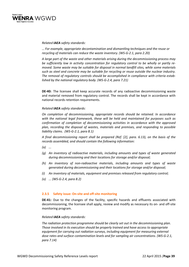

#### *Related IAEA safety standards:*

*… For example, appropriate decontamination and dismantling techniques and the reuse or recycling of materials can reduce the waste inventory. (WS‐G‐2.1, para 2.20)*

*A large part of the waste and other materials arising during the decommissioning process may be sufficiently low in activity concentration for regulatory control to be wholly or partly re‐ moved. Some waste may be suitable for disposal in normal landfill sites, while some materials such as steel and concrete may be suitable for recycling or reuse outside the nuclear industry. The removal of regulatory controls should be accomplished in compliance with criteria estab‐ lished by the national regulatory body. (WS‐G‐2.4, para 7.21)*

**DE‐40:** The licensee shall keep accurate records of any radioactive decommissioning waste and material removed from regulatory control. The records shall be kept in accordance with national records retention requirements.

#### *Related IAEA safety standards:*

*On completion of decommissioning, appropriate records should be retained. In accordance with the national legal framework, these will be held and maintained for purposes such as confirmation of completion of decommissioning activities in accordance with the approved plan, recording the disposal of wastes, materials and premises, and responding to possible liability claims. (WS‐G‐2.1, para 8.1)*

*A final decommissioning report shall be prepared (Ref. [2], para. 6.13), on the basis of the records assembled, and should contain the following information:*

- *(a) ...*
- *(g) An inventory of radioactive materials, including amounts and types of waste generated during decommissioning and their locations for storage and/or disposal;*
- *(h) An inventory of non‐radioactive materials, including amounts and types of waste generated during decommissioning and their locations for storage and/or disposal;*
- *(i) An inventory of materials, equipment and premises released from regulatory control;*
- *(o) ... (WS‐G‐2.4, para 8.2)*

## **2.3.5 Safety issue: On‐site and off‐site monitoring**

**DE-41:** Due to the changes of the facility, specific hazards and effluents associated with decommissioning, the licensee shall apply, review and modify as necessary its on‐ and off‐site monitoring program.

#### *Related IAEA safety standards:*

*The radiation protection programme should be clearly set out in the decommissioning plan. Those involved in its execution should be properly trained and have access to appropriate equipment for carrying out radiation surveys, including equipment for measuring external dose rates and surface contamination levels and for sampling air concentrations. (WS‐G‐2.1, para 7.14)*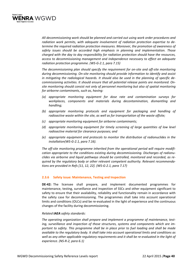

*All decommissioning work should be planned and carried out using work order procedures and radiation work permits, with adequate involvement of radiation protection expertise to de‐ termine the required radiation protection measures. Moreover, the promotion of awareness of safety issues should be accorded high emphasis in planning and implementation. Those charged with the day to day responsibility for radiation protection should have the resources, access to decommissioning management and independence necessary to effect an adequate radiation protection programme. (WS‐G‐2.1, para 7.15)*

*The decommissioning plan should specify the requirement for on‐site and off‐site monitoring during decommissioning. On‐site monitoring should provide information to identify and assist in mitigating the radiological hazards. It should also be used in the planning of specific de‐ commissioning activities. It should ensure that all potential release points are monitored. On‐ site monitoring should consist not only of personnel monitoring but also of spatial monitoring for airborne contaminants, such as, having:* 

- *(a) appropriate monitoring equipment for dose rate and contamination surveys for workplaces, components and materials during decontamination, dismantling and handling;*
- *(b) appropriate monitoring protocols and equipment for packaging and handling of radioactive waste within the site, as well as for transportation of the waste offsite;*
- *(c) appropriate monitoring equipment for airborne contaminants;*
- *(d) appropriate monitoring equipment for timely screening of large quantities of low level radioactive material for clearance purposes; and*
- *(e) appropriate equipment and protocols to monitor the distribution of radionuclides in the installation(WS‐G‐2.1, para 7.16).*

*The off‐site monitoring programme inherited from the operational period will require modifi‐ cation appropriate to the conditions existing during decommissioning. Discharges of radionu‐ clides via airborne and liquid pathways should be controlled, monitored and recorded, as re‐ quired by the regulatory body or other relevant competent authority. Relevant recommenda‐ tions are provided in Refs [11, 12, 22]. (WS‐G‐2.1, para 7.17)*

## **2.3.6 Safety issue: Maintenance, Testing and Inspection**

**DE‐42:** The licensee shall prepare, and implement documented programmes for maintenance, testing, surveillance and inspection of SSCs and other equipment significant to safety to ensure that their availability, reliability and functionality remain in accordance with the safety case for decommissioning. The programmes shall take into account operational limits and conditions (OLCs) and be re‐evaluated in the light of experience and the continuous changes of the facility during decommissioning.

#### *Related IAEA safety standards:*

*The operating organization shall prepare and implement a programme of maintenance, test‐ ing, surveillance and inspection of those structures, systems and components which are im‐ portant to safety. This programme shall be in place prior to fuel loading and shall be made available to the regulatory body. It shall take into account operational limits and conditions as well as any other applicable regulatory requirements and it shall be re‐evaluated in the light of experience. (NS‐R‐2, para 6.1)*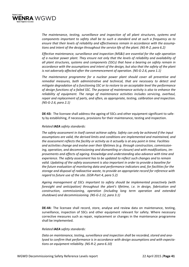

*The maintenance, testing, surveillance and inspection of all plant structures, systems and components important to safety shall be to such a standard and at such a frequency as to ensure that their levels of reliability and effectiveness remain in accordance with the assump‐* tions and intent of the design throughout the service life of the plant. (NS-R-2, para 6.2)

*Effective maintenance, surveillance and inspection (MS&I) are essential for the safe operation of a nuclear power plant. They ensure not only that the levels of reliability and availability of all plant structures, systems and components (SSCs) that have a bearing on safety remain in accordance with the assumptions and intent of the design, but also that the safety of the plant is not adversely affected after the commencement of operation. (NS‐G‐2.6, para 1.1)* 

*The maintenance programme for a nuclear power plant should cover all preventive and remedial measures, both administrative and technical, that are necessary to detect and mitigate degradation of a functioning SSC or to restore to an acceptable level the performance of design functions of a failed SSC. The purpose of maintenance activity is also to enhance the reliability of equipment. The range of maintenance activities includes servicing, overhaul, repair and replacement of parts, and often, as appropriate, testing, calibration and inspection. (NS‐G‐2.6, para 2.1)*

**DE‐43:** The licensee shall address the ageing of SSCs and other equipment significant to safe‐ ty by establishing, if necessary, provisions for their maintenance, testing and inspection.

## *Related IAEA safety standards:*

*The safety assessment in itself cannot achieve safety. Safety can only be achieved if the input assumptions are valid, the derived limits and conditions are implemented and maintained, and the assessment reflects the facility or activity as it actually is at any point in time. Facilities and activities change and evolve over their lifetimes (e.g. through construction, commission‐ ing, operation, and decommissioning and dismantling or closure) and with modifications, im‐ provements and effects of ageing. Knowledge and understanding also advance with time and experience. The safety assessment has to be updated to reflect such changes and to remain valid. Updating of the safety assessment is also important in order to provide a baseline for the future evaluation of monitoring data and performance indicators and, for facilities for the storage and disposal of radioactive waste, to provide an appropriate record for reference with regard to future use of the site. (GSR‐Part 4, para 5.2)*

*Ageing management of SSCs important to safety should be implemented proactively (with foresight and anticipation) throughout the plant's lifetime, i.e. in design, fabrication and construction, commissioning, operation (including long term operation and extended shutdown) and decommissioning. (NS‐G‐2.12, para 3.1)*

**DE‐44:** The licensee shall record, store, analyse and review data on maintenance, testing, surveillance, inspection of SSCs and other equipment relevant for safety. Where necessary corrective measures such as repair, replacement or changes in the maintenance programme shall be implemented.

#### *Related IAEA safety standards:*

*Data on maintenance, testing, surveillance and inspection shall be recorded, stored and ana‐ lysed to confirm that performance is in accordance with design assumptions and with expecta‐ tions on equipment reliability. (NS‐R‐2, para 6.10)*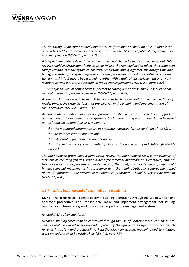

*The operating organization should monitor the performance or condition of SSCs against the goals it has set to provide reasonable assurance that the SSCs are capable of performing their intended function.(NS‐G‐ 2.6, para 2.7)* 

*A brief but complete review of the repairs carried out should be made and documented. This review should explicitly identify the cause of failure, the remedial action taken, the component that failed and its mode of failure, the total repair time and, if different, the outage time and,* finally, the state of the system after repair. Even if a system is found to be within its calibra*tion limits, this fact should be recorded, together with details of any replacement or any ad‐ justment carried out at the discretion of maintenance personnel. (NS‐G‐2.6, para 5.32)*

*... For major failures of components important to safety, a root cause analysis should be car‐ ried out in order to prevent recurrence. (NS‐G‐2.6, para 8.47).* 

*A common database should be established in order to share relevant data and evaluations of results among the organizations that are involved in the planning and implementation of MS&I activities. (NS‐G‐2.6, para 2.16)*

*An adequate condition monitoring programme should be established in support of optimisation of the maintenance programme. Such a monitoring programme should be based on the following assumptions as a minimum:*

- ‐ *that the monitored parameters are appropriate indicators for the condition of the SSCs,*
- ‐ *that acceptance criteria are available,*
- ‐ *that all potential failure modes are addressed,*
- ‐ *that the behaviour of the potential failure is traceable and predictable. (NS‐G‐2.6, para 2.8)*

*The maintenance group should periodically review the maintenance records for evidence of incipient or recurring failures. When a need for remedial maintenance is identified, either in this review or during preventive maintenance of the plant, the maintenance group should initiate remedial maintenance in accordance with the administrative procedures mentioned above. If appropriate, the preventive maintenance programme should be revised accordingly (NS‐G‐2.6, 8.48).*

## **2.3.7 Safety issue: Control of decommissioning activities**

**DE‐45:** The licensee shall control decommissioning operations through the use of written and approved procedures. The licensee shall make and implement arrangements for issuing, modifying and terminating work procedures as part of the management system.

#### *Related IAEA safety standards:*

*Decommissioning tasks shall be controlled through the use of written procedures. These pro‐ cedures shall be subject to review and approval by the appropriate organizations responsible for ensuring safety and practicability. A methodology for issuing, modifying and terminating work procedures shall be established. (WS‐R‐5, para 7.5)*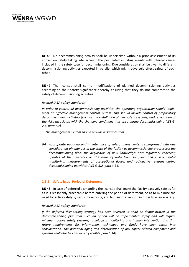

**DE‐46:** No decommissioning activity shall be undertaken without a prior assessment of its impact on safety taking into account the postulated initiating events with internal causes included in the safety case for decommissioning. Due consideration shall be given to different decommissioning activities executed in parallel which might adversely effect safety of each other.

**DE-47:** The licensee shall control modifications of planned decommissioning activities according to their safety significance thereby ensuring that they do not compromise the safety of decommissioning activities.

#### *Related IAEA safety standards:*

*In order to control all decommissioning activities, the operating organization should imple‐ ment an effective management control system. This should include control of preparatory decommissioning activities (such as the installation of new safety systems) and recognition of the risks associated with the changing conditions that arise during decommissioning (WS‐G‐ 2.4, para 7.7).*

- *... The management system should provide assurance that:*
- *...*
- *(h) Appropriate updating and maintenance of safety assessments are performed with due consideration of: changes in the state of the facility as decommissioning progresses; the decommissioning plan; the acquisition of new knowledge; new regulatory concerns; updates of the inventory on the basis of data from sampling and environmental monitoring; measurements of occupational doses; and radioactive releases during decommissioning activities; (WS‐G‐5.2, para 3.34)*

## **2.3.8 Safety issue: Period of Deferment**

**DE‐48:** In case of deferred dismantling the licensee shall make the facility passively safe as far as it is reasonably practicable before entering the period of deferment, so as to minimize the need for active safety systems, monitoring, and human intervention in order to ensure safety.

#### *Related IAEA safety standards:*

*If the deferred dismantling strategy has been selected, it shall be demonstrated in the decommissioning plan that such an option will be implemented safely and will require minimum active safety systems, radiological monitoring and human intervention and that future requirements for information, technology and funds have been taken into consideration. The potential aging and deterioration of any safety related equipment and systems shall also be considered (WS‐R‐5, para 5.14).*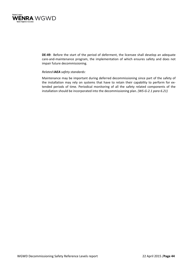

**DE‐49**: Before the start of the period of deferment, the licensee shall develop an adequate care‐and‐maintenance program, the implementation of which ensures safety and does not impair future decommissioning.

#### *Related IAEA safety standards:*

Maintenance may be important during deferred decommissioning since part of the safety of the installation may rely on systems that have to retain their capability to perform for ex‐ tended periods of time. Periodical monitoring of all the safety related components of the installation should be incorporated into the decommissioning plan. *(WS‐G‐2.1 para 6.21)*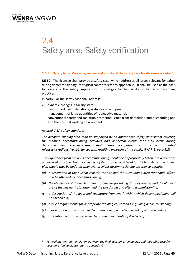

# 2.4 Safety area: Safety verification -

#### **2.4.1 Safety issue: Contents, review and update of the safety case for decommissioning**<sup>3</sup>

**DE‐50:** The licensee shall provide a safety case, which addresses all issues relevant for safety during decommissioning (for typical contents refer to appendix A). It shall be used as the basis for assessing the safety implications of changes to the facility or to decommissioning practices.

In particular the safety case shall address:

- ‐ dynamic changes in facility state,
- ‐ new or modified installations, systems and equipment,
- ‐ management of large quantities of radioactive material,
- ‐ conventional safety and radiation protection issues from demolition and dismantling and also the unusual working environment.

#### *Related IAEA safety standards:*

*The decommissioning plan shall be supported by an appropriate safety assessment covering the planned decommissioning activities and abnormal events that may occur during decommissioning. The assessment shall address occupational exposures and potential releases of radioactive substances with resulting exposure of the public. (WS‐R‐5, para 5.2)*

*The experience from previous decommissioning should be appropriately taken into account as a matter of principle. The following list of items to be considered for the final decommissioning plan should thus be updated whenever previous decommissioning experience permits:*

- *(a) a description of the nuclear reactor, the site and the surrounding area that could affect, and be affected by, decommissioning;*
- *(b) the life history of the nuclear reactor, reasons for taking it out of service, and the planned use of the nuclear installation and the site during and after decommissioning;*
- *(c) a description of the legal and regulatory framework within which decommissioning will be carried out;*
- *(d) explicit requirements for appropriate radiological criteria for guiding decommissioning;*
- *(e) a description of the proposed decommissioning activities, including a time schedule;*
- *(f) the rationale for the preferred decommissioning option, if selected;*

 $\overline{a}$ 

<sup>3</sup> *For explanations on the relation between the final decommissioning plan and the safety case for decommissioning please refer to appendix C*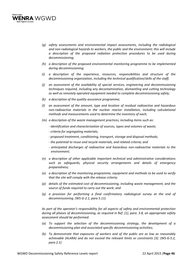

- *(g) safety assessments and environmental impact assessments, including the radiological and non‐radiological hazards to workers, the public and the environment; this will include a description of the proposed radiation protection procedures to be used during decommissioning;*
- *(h) a description of the proposed environmental monitoring programme to be implemented during decommissioning;*
- *(i) a description of the experience, resources, responsibilities and structure of the decommissioning organization, including the technical qualification/skills of the staff;*
- *(j) an assessment of the availability of special services, engineering and decommissioning techniques required, including any decontamination, dismantling and cutting technology as well as remotely operated equipment needed to complete decommissioning safely;*
- *(k) a description of the quality assurance programme;*
- *(l) an assessment of the amount, type and location of residual radioactive and hazardous non‐radioactive materials in the nuclear reactor installation, including calculational methods and measurements used to determine the inventory of each;*
- *(m) a description of the waste management practices, including items such as:*
	- *‐ identification and characterization of sources, types and volumes of waste;*
	- *‐ criteria for segregating materials;*
	- *‐ proposed treatment, conditioning, transport, storage and disposal methods;*
	- *‐ the potential to reuse and recycle materials, and related criteria; and*
	- *‐ anticipated discharges of radioactive and hazardous non‐radioactive materials to the environment;*
- *(n) a description of other applicable important technical and administrative considerations such as safeguards, physical security arrangements and details of emergency preparedness;*
- *(o) a description of the monitoring programme, equipment and methods to be used to verify that the site will comply with the release criteria;*
- *(p) details of the estimated cost of decommissioning, including waste management, and the source of funds required to carry out the work; and*
- *(q) a provision for performing a final confirmatory radiological survey at the end of decommissioning. (WS‐G‐2.1, para 5.11)*

*As part of the operator's responsibility for all aspects of safety and environmental protection during all phases of decommissioning, as required in Ref. [1], para. 3.8, an appropriate safety assessment should be performed:*

- *(a) To support the selection of the decommissioning strategy, the development of a decommissioning plan and associated specific decommissioning activities;*
- *(b) To demonstrate that exposures of workers and of the public are as low as reasonably achievable (ALARA) and do not exceed the relevant limits or constraints [3]. (WS‐G‐5.2, para 2.1)*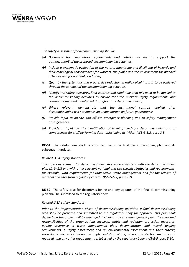

*The safety assessment for decommissioning should:*

- *(a) Document how regulatory requirements and criteria are met to support the authorization5 of the proposed decommissioning activities;*
- *(b) Include a systematic evaluation of the nature, magnitude and likelihood of hazards and their radiological consequences for workers, the public and the environment for planned activities and for accident conditions;*
- *(c) Quantify the systematic and progressive reduction in radiological hazards to be achieved through the conduct of the decommissioning activities;*
- *(d) Identify the safety measures, limit controls and conditions that will need to be applied to the decommissioning activities to ensure that the relevant safety requirements and criteria are met and maintained throughout the decommissioning;*
- *(e) Where relevant, demonstrate that the institutional controls applied after decommissioning will not impose an undue burden on future generations;*
- *(f) Provide input to on‐site and off‐site emergency planning and to safety management arrangements;*
- *(g) Provide an input into the identification of training needs for decommissioning and of competences for staff performing decommissioning activities. (WS‐G‐5.2, para 2.3)*

**DE-51:** The safety case shall be consistent with the final decommissioning plan and its subsequent updates.

## *Related IAEA safety standards:*

*The safety assessment for decommissioning should be consistent with the decommissioning plan [1, 9–11] and with other relevant national and site specific strategies and requirements, for example, with requirements for radioactive waste management and for the release of material and sites from regulatory control. (WS‐G‐5.2, para 2.2)*

**DE-52:** The safety case for decommissioning and any updates of the final decommissioning plan shall be submitted to the regulatory body.

#### *Related IAEA safety standards:*

*Prior to the implementation phase of decommissioning activities, a final decommissioning plan shall be prepared and submitted to the regulatory body for approval. This plan shall define how the project will be managed, including: the site management plan, the roles and responsibilities of the organizations involved, safety and radiation protection measures, quality assurance, a waste management plan, documentation and record keeping requirements, a safety assessment and an environmental assessment and their criteria, surveillance measures during the implementation phase, physical protection measures as required, and any other requirements established by the regulatory body. (WS‐R‐5, para 5.10)*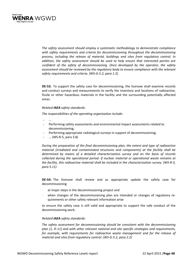

*The safety assessment should employ a systematic methodology to demonstrate compliance with safety requirements and criteria for decommissioning throughout the decommissioning process, including the release of material, buildings and sites from regulatory control. In addition, the safety assessment should be used to help ensure that interested parties are confident of the safety of decommissioning. Once developed by the operator, the safety assessment should be reviewed by the regulatory body to ensure compliance with the relevant safety requirements and criteria. (WS‐G‐5.2, para 1.3)*

**DE‐53:** To support the safety case for decommissioning, the licensee shall examine records and conduct surveys and measurements to verify the inventory and locations of radioactive, fissile or other hazardous materials in the facility and the surrounding potentially affected areas.

#### *Related IAEA safety standards:*

*The responsibilities of the operating organization include:*

- ...
- Performing safety assessments and environmental impact assessments related to decommissioning;
- Performing appropriate radiological surveys in support of decommissioning;
- ... (WS-R-5, para 3.8)

*During the preparation of the final decommissioning plan, the extent and type of radioactive material (irradiated and contaminated structures and components) at the facility shall be determined by means of a detailed characterization survey and on the basis of records collected during the operational period. If nuclear material or operational waste remains at the facility, this radioactive material shall be included in the characterization survey. (WS‐R‐5, para 5.11)*

**DE‐54:** The licensee shall review and as appropriate update the safety case for decommissioning

- at major steps in the decommissioning project and
- when changes of the decommissioning plan are intended or changes of regulatory requirements or other safety relevant information arise

to ensure the safety case is still valid and appropriate to support the safe conduct of the decommissioning work.

#### *Related IAEA safety standards:*

*The safety assessment for decommissioning should be consistent with the decommissioning plan [1, 9–11] and with other relevant national and site specific strategies and requirements, for example, with requirements for radioactive waste management and for the release of material and sites from regulatory control. (WS‐G‐5.2, para 2.2)*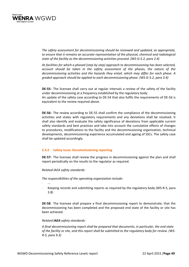

*The safety assessment for decommissioning should be reviewed and updated, as appropriate, to ensure that it remains an accurate representation of the physical, chemical and radiological state of the facility as the decommissioning activities proceed. (WS‐G‐5.2, para 2.4)*

*At facilities for which a phased (step by step) approach to decommissioning has been selected, account should be taken in the safety assessment of the phases, the nature of the decommissioning activities and the hazards they entail, which may differ for each phase. A graded approach should be applied to each decommissioning phase. (WS‐G‐5.2, para 3.4)*

**DE‐55:** The licensee shall carry out at regular intervals a review of the safety of the facility under decommissioning at a frequency established by the regulatory body.

An update of the safety case according to DE‐54 that also fulfils the requirements of DE‐56 is equivalent to the review required above.

**DE-56:** The review according to DE-55 shall confirm the compliance of the decommissioning activities and states with regulatory requirements and any deviations shall be resolved. It shall also identify and evaluate the safety significance of deviations from applicable current safety standards and best practices and take into account the cumulative effects of changes to procedures, modifications to the facility and the decommissioning organization, technical developments, decommissioning experience accumulated and ageing of SSCs. The safety case shall be updated accordingly.

## **2.4.2 Safety issue: Decommissioning reporting**

**DE‐57:** The licensee shall review the progress in decommissioning against the plan and shall report periodically on the results to the regulator as required.

*Related IAEA safety standards:*

*The responsibilities of the operating organization include:*

- ‐ ...
- Keeping records and submitting reports as required by the regulatory body (WS-R-5, para 3.8)

**DE-58**: The licensee shall prepare a final decommissioning report to demonstrate, that the decommissioning has been completed and the proposed end state of the facility or site has been achieved.

#### *Related IAEA safety standards:*

*A final decommissioning report shall be prepared that documents, in particular, the end state* of the facility or site, and this report shall be submitted to the requlatory body for review. (WS-*R‐5, para 9.3)*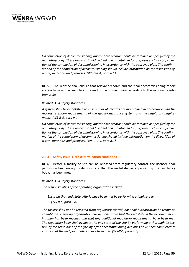

*On completion of decommissioning, appropriate records should be retained as specified by the regulatory body. These records should be held and maintained for purposes such as confirma‐ tion of the completion of decommissioning in accordance with the approved plan. The confir‐ mation of the completion of decommissioning should include information on the disposition of waste, materials and premises. (WS‐G‐2.4, para 8.1)*

**DE‐59:** The licensee shall ensure that relevant records and the final decommissioning report are available and accessible at the end of decommissioning according to the national regulatory system.

#### *Related IAEA safety standards:*

*A system shall be established to ensure that all records are maintained in accordance with the records retention requirements of the quality assurance system and the regulatory require‐ ments. (WS‐R‐5, para 9.4)*

*On completion of decommissioning, appropriate records should be retained as specified by the regulatory body. These records should be held and maintained for purposes such as confirma‐ tion of the completion of decommissioning in accordance with the approved plan. The confir‐ mation of the completion of decommissioning should include information on the disposition of waste, materials and premises. (WS‐G‐2.4, para 8.1)*

## **2.4.3 Safety issue: License termination conditions**

**DE‐60:** Before a facility or site can be released from regulatory control, the licensee shall perform a final survey to demonstrate that the end‐state, as approved by the regulatory body, has been met.

#### *Related IAEA safety standards:*

*The responsibilities of the operating organization include:*

- ‐ *...*
- ‐ *Ensuring that end state criteria have been met by performing a final survey;*
- ‐ *... (WS‐R‐5, para 3.8)*

*The facility shall not be released from regulatory control, nor shall authorization be terminat‐ ed until the operating organization has demonstrated that the end state in the decommission‐ ing plan has been reached and that any additional regulatory requirements have been met. The regulatory body shall evaluate the end state of the site by performing a thorough inspec‐ tion of the remainder of the facility after decommissioning activities have been completed to ensure that the end point criteria have been met. (WS‐R‐5, para 9.2)*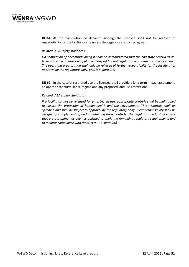

**DE‐61:** At the completion of decommissioning, the licensee shall not be relieved of responsibility for the facility or site unless the regulatory body has agreed.

#### *Related IAEA safety standards:*

*On completion of decommissioning it shall be demonstrated that the end state criteria as de‐ fined in the decommissioning plan and any additional regulatory requirements have been met. The operating organization shall only be relieved of further responsibility for the facility after approval by the regulatory body. (WS‐R‐5, para 9.1)*

**DE-62:** In the case of restricted use the licensee shall provide a long term impact assessment, an appropriate surveillance regime and any proposed land use restrictions.

#### *Related IAEA safety standards:*

*If a facility cannot be released for unrestricted use, appropriate controls shall be maintained to ensure the protection of human health and the environment. These controls shall be specified and shall be subject to approval by the regulatory body. Clear responsibility shall be assigned for implementing and maintaining these controls. The regulatory body shall ensure that a programme has been established to apply the remaining regulatory requirements and to monitor compliance with them. (WS‐R‐5, para 9.6)*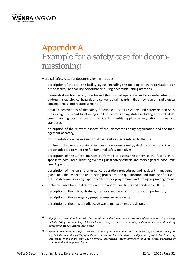

## Appendix A Example for a safety case for decommissioning

A typical safety case for decommissioning includes:

- description of the site, the facility layout (including the radiological characterisation plan of the facility) and facility performance during decommissioning activities,
- ‐ demonstration how safety is achieved (for normal operation and accidental situations, addressing radiological hazards and conventional hazards<sup>1)</sup>, that may result in radiological consequences, and related scenario<sup>2)</sup>),
- detailed descriptions of the safety functions; all safety systems and safety-related SSCs; their design basis and functioning in all decommissioning states including anticipated de‐ commissioning occurrences and accidents identify applicable regulations codes and standards,
- description of the relevant aspects of the decommissioning organization and the management of safety,
- ‐ documentation on the evaluation of the safety aspects related to the site,
- outline of the general safety objectives of decommissioning, design concept and the approach adopted to meet the fundamental safety objectives,
- description of the safety analyses performed to assess the safety of the facility in response to postulated initiating events against safety criteria and radiological release limits (see Appendix B),
- ‐ description of the on‐site emergency operation procedures and accident management guidelines, the inspection and testing provisions, the qualification and training of person‐ nel, the decommissioning experience feedback programme, and the ageing management,
- ‐ technical bases for and description of the operational limits and conditions (OLCs),
- description of the policy, strategy, methods and provisions for radiation protection,
- ‐ description of the emergency preparedness arrangements,
- ‐ description of the on‐site radioactive waste management provisions.

*\_\_\_\_\_\_\_\_\_\_\_\_\_\_\_\_\_\_\_\_\_\_\_\_\_\_\_\_\_\_*

**<sup>1)</sup>** *Significant conventional hazards that are of particular importance in the case of decommissioning are e.g. include: lifting and handling of heavy loads, use of hazardous materials for decontamination, stability of decontaminated structures, demolition.*

<sup>&</sup>lt;sup>2)</sup> Scenario related to radiological hazards that are of particular importance in the case of decommissioning are *e.g. include: extensive cutting of activated and contaminated material, modification of safety barriers, entry into areas of the plant that were normally inaccessible, decontamination of large items, dispersion of contamination during demolition.*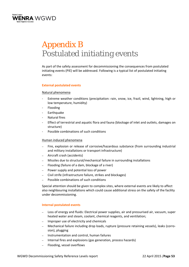

## Appendix B Postulated initiating events

As part of the safety assessment for decommissioning the consequences from postulated initiating events (PIE) will be addressed. Following is a typical list of postulated initiating events:

#### **External postulated events**

#### Natural phenomena

- Extreme weather conditions (precipitation: rain, snow, ice, frazil, wind, lightning, high or low temperature, humidity)
- **Flooding**
- **Earthquake**
- ‐ Natural fires
- ‐ Effect of terrestrial and aquatic flora and fauna (blockage of inlet and outlets, damages on structure)
- Possible combinations of such conditions

## Human induced phenomena

- Fire, explosion or release of corrosive/hazardous substance (from surrounding industrial and military installations or transport infrastructure)
- Aircraft crash (accidents)
- Missiles due to structural/mechanical failure in surrounding installations
- Flooding (failure of a dam, blockage of a river)
- Power supply and potential loss of power
- Civil strife (infrastructure failure, strikes and blockages)
- Possible combinations of such conditions

Special attention should be given to complex sites, where external events are likely to affect also neighbouring installations which could cause additional stress on the safety of the facility under decommissioning.

## **Internal postulated events**

- Loss of energy and fluids: Electrical power supplies, air and pressurised air, vacuum, super heated water and steam, coolant, chemical reagents, and ventilation;
- Improper use of electricity and chemicals
- Mechanical failure including drop loads, rupture (pressure retaining vessels), leaks (corro‐ sion), plugging
- Instrumentation and control, human failures
- Internal fires and explosions (gas generation, process hazards)
- Flooding, vessel overflows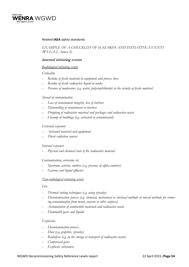

## *Related IAEA safety standards:*

*EXAMPLE OF A CHECKLIST OF HAZARDS AND INITIATING EVENTS (WS-G-5.2, Annex I):* 

## **Internal initiating events**

*Radiological initiating events* 

## *Criticality*

- *Residue of fissile material in equipment and process lines*
- *Residue of fissile radioactive liquid in tanks*
- *Presence of moderators (e.g. water, polyvinylchloride) in the vicinity of fissile material*

## *Spread of contamination*

- *Loss of containment integrity, loss of barriers*
- *Dismantling of containment or barriers*
- *Dropping of radioactive material and packages and radioactive waste*
- *Cleanup of buildings (e.g. activated or contaminated)*

## *External exposure*

- *Activated material and equipment*
- *Direct radiation sources*

## *Internal exposure*

– *Physical and chemical state of the radioactive material* 

## *Contamination, corrosion, etc.*

- *Spectrum, activity, emitters (e.g. presence of alpha emitters)*
- *Gaseous and liquid effluents*

## *Non-radiological initiating events*

## *Fire*

- *Thermal cutting techniques (e.g. using zircaloy)*
- *Decontamination process (e.g. chemical, mechanical or electrical methods or mixed methods for removing contamination from metal, concrete or other surfaces)*
- *Accumulation of combustible materials and radioactive waste*
- *Flammable gases and liquids*

## *Explosion*

- *Decontamination process*
- *Dust (e.g. graphite, zircaloy)*
- *Radiolysis (e.g. in the storage or transport of radioactive waste)*
- *Compressed gases*
- *Explosive substances*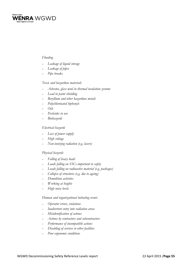

## *Flooding*

- *Leakage of liquid storage*
- *Leakage of pipes*
- *Pipe breaks*

## *Toxic and hazardous materials*

- *Asbestos, glass wool in thermal insulation systems*
- *Lead in paint shielding*
- *Beryllium and other hazardous metals*
- *Polychlorinated biphenyls*
- *Oils*
- *Pesticides in use*
- *Biohazards*

## *Electrical hazards*

- *Loss of power supply*
- *High voltage*
- *Non-ionizing radiation (e.g. lasers)*

## *Physical hazards*

- *Falling of heavy loads*
- *Loads falling on SSCs important to safety*
- *Loads falling on radioactive material (e.g. packages)*
- *Collapse of structures (e.g. due to ageing)*
- *Demolition activities*
- *Working at heights*
- *High noise levels*

## *Human and organizational initiating events*

- *Operator errors, violations*
- *Inadvertent entry into radiation areas*
- *Misidentification of actions*
- *Actions by contractors and subcontractors*
- *Performance of incompatible actions*
- *Disabling of services to other facilities*
- *Poor ergonomic conditions*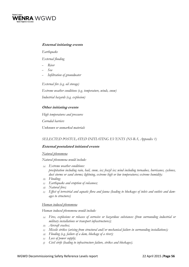

## **External initiating events**

*Earthquake* 

*External flooding* 

- *River*
- *Sea*
- *Infiltration of groundwater*

*External fire (e.g. oil storage) Extreme weather conditions (e.g. temperature, winds, snow) Industrial hazards (e.g. explosion)* 

## **Other initiating events**

*High temperatures and pressures Corroded barriers Unknown or unmarked materials* 

## *SELECTED POSTULATED INITIATING EVENTS (NS-R-5, Appendix 1)*

## **External postulated initiated events**

*Natural phenomena* 

*Natural phenomena would include:* 

- *(a) Extreme weather conditions: precipitation including rain, hail, snow, ice; frazil ice; wind including tornadoes, hurricanes, cyclones, dust storms or sand storms; lightning, extreme high or low temperatures; extreme humidity;*
- *(b) Flooding;*
- *(c) Earthquake and eruption of volcanoes;*
- *(d) Natural fires;*
- *(e) Effect of terrestrial and aquatic flora and fauna (leading to blockages of inlets and outlets and damages to structures)*

## *Human induced phenomena*

*Human induced phenomena would include:* 

- *(a) Fires, explosions or releases of corrosive or hazardous substances (from surrounding industrial or military installations or transport infrastructures);*
- *(b) Aircraft crashes;*
- *(c) Missile strikes (arising from structural and/or mechanical failure in surrounding installations);*
- *(d) Flooding (e.g. failure of a dam, blockage of a river);*
- *(e) Loss of power supply;*
- *(f) Civil strife (leading to infrastructure failure, strikes and blockages).*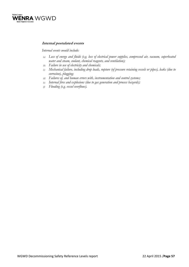

## **Internal postulated events**

## *Internal events would include:*

- *(a) Loss of energy and fluids (e.g. loss of electrical power supplies, compressed air, vacuum, superheated water and steam, coolant, chemical reagents, and ventilation);*
- *(b) Failure in use of electricity and chemicals;*
- *(c) Mechanical failure, including drop loads, rupture (of pressure retaining vessels or pipes), leaks (due to corrosion), plugging;*
- *(d) Failures of, and human errors with, instrumentation and control systems;*
- *(e) Internal fires and explosions (due to gas generation and process hazards);*
- *(f) Flooding (e.g. vessel overflows).*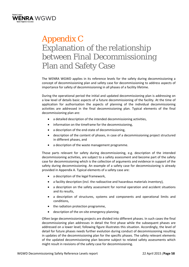

## Appendix C Explanation of the relationship between Final Decommissioning Plan and Safety Case

The WENRA WGWD applies in its reference levels for the safety during decommissioning a concept of decommissioning plan and safety case for decommissioning to address aspects of importance for safety of decommissioning in all phases of a facility lifetime.

During the operational period the initial and updated decommissioning plan is addressing on a low level of details basic aspects of a future decommissioning of the facility. At the time of application for authorisation the aspects of planning of the individual decommissioning activities are addressed in the final decommissioning plan. Typical elements of the final decommissioning plan are:

- a detailed description of the intended decommissioning activities,
- information on the timeframe for the decommissioning,
- a description of the end-state of decommissioning,
- description of the content of phases, in case of a decommissioning project structured in different phases, and
- a description of the waste management programme.

Those parts relevant for safety during decommissioning, e.g. description of the intended decommissioning activities, are subject to a safety assessment and become part of the safety case for decommissioning which is the collection of arguments and evidence in support of the safety during decommissioning. An example of a safety case for decommissioning is already provided in Appendix A. Typical elements of a safety case are:

- a description of the legal framework,
- a facility description (incl. the radioactive and hazardous materials inventory),
- a description on the safety assessment for normal operation and accident situations and its results,
- a description of structures, systems and components and operational limits and conditions,
- the radiation protection programme,
- description of the on‐site emergency planning.

Often large decommissioning projects are divided into different phases. In such cases the final decommissioning plan addresses in detail the first phase while the subsequent phases are addressed on a lower level; following figure illustrates this situation. Accordingly, the level of detail for future phases needs further evolution during conduct of decommissioning resulting in updates of the decommissioning plan for the specific phases. The safety relevant elements of the updated decommissioning plan become subject to related safety assessments which might result in revisions of the safety case for decommissioning.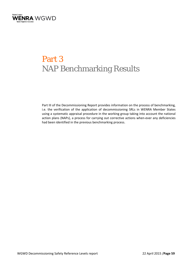

## Part 3 NAP Benchmarking Results

Part III of the Decommissioning Report provides information on the process of benchmarking, i.e. the verification of the application of decommissioning SRLs in WENRA Member States using a systematic appraisal procedure in the working group taking into account the national action plans (NAPs), a process for carrying out corrective actions when‐ever any deficiencies had been identified in the previous benchmarking process.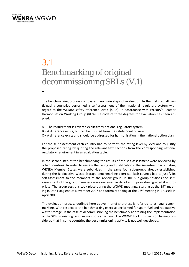

-

# 3.1 Benchmarking of original decommissioning SRLs (V.1)

The benchmarking process compassed two main steps of evaluation. In the first step all par‐ ticipating countries performed a self‐assessment of their national regulatory system with regard to the WENRA safety reference levels (SRLs). In accordance with WENRA's Reactor Harmonisation Working Group (RHWG) a code of three degrees for evaluation has been ap‐ plied:

- A The requirement is covered explicitly by national regulatory system.
- B A difference exists, but can be justified from the safety point of view.

C – A difference exists and should be addressed for harmonisation in the national action plan.

For the self-assessment each country had to perform the rating level by level and to justify the proposed rating by quoting the relevant text sections from the corresponding national regulatory requirement in an evaluation table.

In the second step of the benchmarking the results of the self-assessment were reviewed by other countries. In order to review the rating and justifications, the seventeen participating WENRA Member States were subdivided in the same four sub‐groups already established during the Radioactive Waste Storage benchmarking exercise. Each country had to justify its self-assessment to the members of the review group. In the sub-group sessions the selfassessment of the group members were reviewed in detail and up- or downgraded if appropriate. The group sessions took place during the WGWD meetings, starting at the 19<sup>th</sup> meeting in Den Haag end of November 2007 and formally ending at the 22<sup>nd</sup> meeting in Brussels in April 2009.

The evaluation process outlined here above in brief shortness is referred to as **legal bench‐ marking**. With respect to the benchmarking exercise performed for spent fuel and radioactive waste storage, in the case of decommissioning the benchmark addressing the implementation of the SRLs in existing facilities was not carried out. The WGWD took this decision having considered that in some countries the decommissioning activity is not well developed.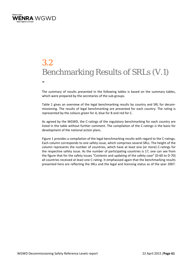

## 3.2 Benchmarking Results of SRLs (V.1) -

The summary of results presented in the following tables is based on the summary tables, which were prepared by the secretaries of the sub‐groups.

Table 1 gives an overview of the legal benchmarking results by country and SRL for decom‐ missioning. The results of legal benchmarking are presented for each country. The rating is represented by the colours green for A, blue for B and red for C.

As agreed by the WGWD, the C-ratings of the regulatory benchmarking for each country are listed in the table without further comment. The compilation of the C-ratings is the basis for development of the national action plans.

Figure 1 provides a compilation of the legal benchmarking results with regard to the C-ratings. Each column corresponds to one safety issue, which comprises several SRLs. The height of the column represents the number of countries, which have at least one (or more) C-ratings for the respective safety issue. As the number of participating countries is 17, one can see from the figure that for the safety issues "Contents and updating of the safety case" (D‐60 to D‐70) all countries received at least one C-rating. It emphasised again that the benchmarking results presented here are reflecting the SRLs and the legal and licensing status as of the year 2007.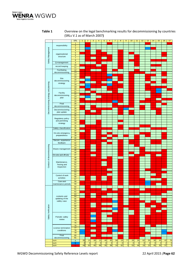

SRL | 1 | 2 | 3 | 4 | 5 | 6 | 7 | 8 | 9 | 10 | 11 | 12 | 13 | 14 | 15 | 16 | 17 1 A C AAA C AAAAAA C AAA C responsibility 2 A C AAAAAAAAAAAAAAA Management Safety Management 3 A AAAAAAAAAA C AAA 4 A C A C AAA C AAAAAAAAA 5 C C A C C A A C A C AAAAA C A organisational 6 A CCCCC A C A A C AAAA C A **structure** 7 A C A C A C A C A A C AAAAAA Safety 8 A CCCCC A C A C C A A CCC A Q-management 9 10 CCC A C A A C A A C A A C C A A record keeping 11 A CCCC A A C AAAAAAAAA Facilitating 12 C C A A C A C AAA C A A C AAA decommissioning 13 CCCCC AAAA CCC AAA C A 14 CCCCC C C A C A A C C A C A Site 15 C A CCCC A C A C A A C AAAA 16 A CCC A C A C A A C A A C A decommissioning 17 C A A C A A C A A C AAA C A C A Decommissioning strategy and planning Decommissioning strategy and planning strategy 18 A CCC C C A C A A C AAAA 19 C C C A CCC A C A A CCCC A 20 A C AAA C C A A C A A C C A C 21 A A C AAA C A A C AAA C A A Facility 22 C C C A C A C A A C A C A C A C A A A C A C A C A C A C A C A C A C A C A C A decommissioning 23 A A A CCCC A C AAA C C A A plan 24 C A A CCCCC A C A A C C A C C 25 CCCCCC C A C A CCCC A A Final 26 AAAAAA C A A C AAA C A C A decommissioning 27 C A C AAA CCCC A C A C AAA Decommissioning 28 C A CCCC A C A A C A C C A A 29 A C A C AAA C A C AAAA C A A plan update 30 A CCC AAA C A C AAAA C A A 31 AAAAAAAAAAAAAAAAA Regulatory policy 32 AAAAAAAAAAAAAAAAA and permitting 33 C A A C AAA C AAAAAAAAA strategy 34 C A A C AAAAAAAAAAAAA 35 A CCC AAA C AAA C C AAAA Safety classification 36 37 A C A C AAAAAAAAAAAAA On-site emergency 38 C C A C A C AAAAA C C A A C A preparedness 39 C C A C C A C A C A C A C A A C A 40 C C A C A C AAAA C AAAA C A Decom. experience 41 A CCCC A A C A C C A A C C A A feedback 42 A CCC A C A C A C C A A C C A A Conduct of decommissioning Conduct of decommissioning 43 A C A C AAA C A A C AAAAAA 44 A C A C AAA C AAA C AAAAA Waste management 45 C C A C AAA C AAA C AAA C A The Con-site and off-site 46<br>
On-site and off-site 47 46 CCCC AAA C A C A CCCCC A 48 CCCC A C AAA C C A A CCC A 49 CCCCCC A C A C C A A CCC A Maintenance, 50 CCCC A C A C A C C A A CCC A Testing and 51 CCCC A C A C A C C A A CCC A Inspection 52 CCCCCC A C A C C A A CCC A 53 CCCCC A A C A C C A CCC A A 54 CCCCCC A C A C C A A CCC A Control of work 55 CCCCC A A C A C C AAA C A A 56 A C A C A C A C A C C A A C C A A activities 57 A C A C A C A C A CCC AAA C A Care-and-58 CCCCCC A C A CCC CCC A maintenance periods 59 CCCCCC A C A CCC C A C A 60 A C AAAAAAAAAAAAAAA 61 A CCC A C A C A C C A CCCCC 62 CCCCCCCC A CCCCCCC A 63 A C A C C A A C A C C A A C C A A contents and 64 A C A C AAA C AAAAAAAAA updating of the 65 CCCCCC A C A C C AAAA C A safety case 66 CCCCCC C A CCC A C A C A 67 C C C C C A C A C A C C A C C A C C A C C A C C A C C A C C A C C A C C A C C A C C Safety Verification Safety Verification 68 C C A CCC A CCCC A C A C C A 69 CCCC A A C A C C A A C C A A 70 CCCCCC A C A A C A A C A C A 71 C C A C A A C C A A C A A CCC A 72 C C C A CCC A C C A CCCC A Periodic safety 73 C C A C A A C C A C C A CCCC A review 74 C C C A A C C A C C A CCCC A 75 CCCCCCCC A C C A CCCC A 76 A C A C AAA C A C C A A C AAA License termination 77 A CCC A C A C A CCC AAAAA conditions 78 C A C A C C A CCC AAA A 79 | **Cocooo** | Cocooo | Cocooo | Cocooo | Cocooo | Cocooo | Cocooo | Cocooo | Cocooo | Cocooo | Cocooo | Cocoo Final 80 A C A C AAA C A CCC AAAAA decommissioning 81 A A CCCC A C A C C A A C C A A sum A 35 13 39 13 46 40 58 19 77 28 35 62 55 36 44 42 76 sum B 2 5 2 0 0 3 4 0 1 0 0 0 3 0 2 2 0 sum C 44 63 40 68 35 38 19 62 3 53 46 19 23 45 35 37 5

**Table 1** Overview on the legal benchmarking results for decommissioning by countries (SRLs V.1 as of March 2007**)**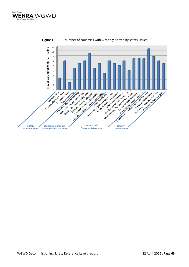



## **Figure 1** Number of countries with C-ratings sorted by safety issues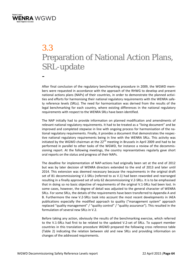

## 3.3 Preparation of National Action Plans, SRL-update -

After final conclusion of the regulatory benchmarking procedure in 2009, the WGWD members were requested in accordance with the approach of the RHWG to develop and present national actions plans (NAPs) of their countries, in order to demonstrate the planned activities and efforts for harmonising their national regulatory requirements with the WENRA safe‐ ty reference levels (SRLs). The need for harmonisation was derived from the results of the legal benchmarking for each country, where existing differences in the national regulatory requirements with respect to the WENRA SRLs have been identified.

The NAP initially had to provide information on planned modification and amendments of relevant national regulatory requirements. It had to be treated as a "living document" and be improved and completed stepwise in line with ongoing process for harmonisation of the national regulatory requirements. Finally, it provides a document that demonstrates the respec‐ tive national regulatory requirements being in line with the WENRA SRLs. This activity was initiated by the WGWD chairman at the 22<sup>nd</sup> meeting in Brussels in April 2009 and had to be performed in parallel to other tasks of the WGWD, for instance a review of the decommissioning report. At the following meetings, the country representatives regularly gave short oral reports on the status and progress of their NAPs.

The deadline for implementation of NAP-actions had originally been set at the end of 2012 but was by later decision of WENRA directors extended to the end of 2013 and later until 2014. This extension was deemed necessary because the requirements in the original draft set of 81 decommissioning V.1‐SRLs (referred to as V.1) had been reworded and rearranged resulting in a finally approved set of only 62 decommissioning V.2‐SRLs. It is to be emphasised that in doing so no basic objective of requirements of the original V.1‐SRLs had been lost. In some cases, however, the degree of detail was adjusted to the general character of WENRA SRLs. For some SRLs, the details of the requirements have been transferred to Appendix A and B. Furthermore the new V.2‐SRLs took into account the most recent developments in IAEA publications especially the modified approach to quality ("management system" approach replaced "quality management" / "quality control" / "quality assurance"). This resulted in the formulation of several new SRLs in V.2.

Before taking any action, obviously the results of the benchmarking exercise, which referred to the V.1‐SRLs had first to be related to the updated V.2‐set of SRLs. To support member countries in this translation procedure WGWD prepared the following cross reference table (Table 2) indicating the relation between old and new SRLs and providing information on changes of the addressed requirements.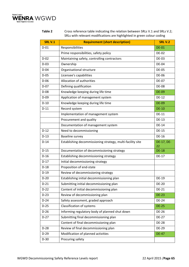

**Table 2** Cross reference table indicating the relation between SRLs V.1 and SRLs V.2; SRLs with relevant modifications are highlighted in green colour coding

| <b>SRL V.1</b> | <b>Requirement (short description)</b>                     | <b>SRL V.2</b>   |
|----------------|------------------------------------------------------------|------------------|
| $D-01$         | Responsibilities                                           | <b>DE-01</b>     |
|                | Prime responsibilities, safety policy                      | <b>DE-02</b>     |
| $D-02$         | Maintaining safety, controlling contractors                | <b>DE-03</b>     |
| $D-03$         | Ownership                                                  | <b>DE-04</b>     |
| $D-04$         | Organisational structure                                   | <b>DE-05</b>     |
| $D-05$         | Licensee's capabilities                                    | <b>DE-06</b>     |
| $D-06$         | Allocation of authorities                                  | <b>DE-07</b>     |
| $D-07$         | Defining qualification                                     | <b>DE-08</b>     |
| $D-08$         | Knowledge keeping during life time                         | <b>DE-09</b>     |
| $D-09$         | Application of management system                           | <b>DE-12</b>     |
| $D-10$         | Knowledge keeping during life time                         | <b>DE-09</b>     |
| $D-11$         | Record system                                              | <b>DE-10</b>     |
|                | Implementation of management system                        | <b>DE-11</b>     |
|                | Procurement and quality                                    | <b>DE-13</b>     |
|                | Documentation of management system                         | <b>DE-14</b>     |
| $D-12$         | Need to decommissioning                                    | <b>DE-15</b>     |
| $D-13$         | <b>Baseline survey</b><br><b>DE-16</b>                     |                  |
| $D-14$         | Establishing decommissioning strategy, multi-facility site | DE-17, DE-<br>22 |
| $D-15$         | Documentation of decommissioning strategy                  | <b>DE-18</b>     |
| $D-16$         | Establishing decommissioning strategy                      | <b>DE-17</b>     |
| $D-17$         | Initial decommissioning strategy                           |                  |
| $D-18$         | Proposition of end-state                                   |                  |
| $D-19$         | Review of decommissioning strategy                         |                  |
| $D-20$         | Establishing initial decommissioning plan                  | <b>DE-19</b>     |
| $D-21$         | Submitting initial decommissioning plan                    | <b>DE-20</b>     |
| $D-22$         | Content of initial decommissioning plan                    | <b>DE-21</b>     |
| $D-23$         | Review of decommissioning plan                             | <b>DE-23</b>     |
| $D-24$         | Safety assessment, graded approach                         | <b>DE-24</b>     |
| $D-25$         | Classification of systems                                  | <b>DE-25</b>     |
| $D-26$         | Informing regulatory body of planned shut down             | <b>DE-26</b>     |
| $D-27$         | Submitting final decommissioning plan                      | <b>DE-27</b>     |
|                | Content of final decommissioning plan                      | <b>DE-28</b>     |
| $D-28$         | Review of final decommissioning plan                       | <b>DE-29</b>     |
| $D-29$         | Modification of planned activities                         | <b>DE-47</b>     |
| $D-30$         | Procuring safety                                           |                  |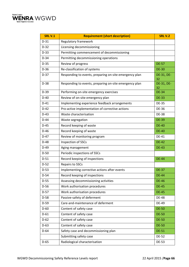

| <b>SRL V.1</b> | <b>Requirement (short description)</b>                 | <b>SRL V.2</b>   |  |  |
|----------------|--------------------------------------------------------|------------------|--|--|
| $D-31$         | Regulatory framework                                   |                  |  |  |
| $D-32$         | Licensing decommissioning                              |                  |  |  |
| $D-33$         | Permitting commencement of decommissioning             |                  |  |  |
| $D-34$         | Permitting decommissioning operations                  |                  |  |  |
| $D-35$         | Review of progress                                     | <b>DE-57</b>     |  |  |
| $D-36$         | Re-classification of systems                           | <b>DE-30</b>     |  |  |
| $D-37$         | Responding to events, preparing on-site emergency plan | DE-31, DE-<br>32 |  |  |
| $D-38$         | Responding to events, preparing on-site emergency plan | DE-31, DE-<br>32 |  |  |
| $D-39$         | Performing on-site emergency exercises                 | <b>DE-34</b>     |  |  |
| $D-40$         | Review of on-site emergency plan                       | <b>DE-33</b>     |  |  |
| $D-41$         | Implementing experience feedback arrangements          | <b>DE-35</b>     |  |  |
| $D-42$         | Pro-active implementation of corrective actions        | <b>DE-36</b>     |  |  |
| $D-43$         | Waste characterisation                                 | <b>DE-38</b>     |  |  |
| $D-44$         | Waste segregation                                      | <b>DE-39</b>     |  |  |
| $D-45$         | Record keeping of waste                                | <b>DE-40</b>     |  |  |
| $D-46$         | Record keeping of waste                                | <b>DE-40</b>     |  |  |
| $D-47$         | Review of monitoring program                           | <b>DE-41</b>     |  |  |
| $D-48$         | Inspection of SSCs                                     | <b>DE-42</b>     |  |  |
| $D-49$         | Aging management                                       | <b>DE-43</b>     |  |  |
| $D-50$         | Periodic inspections of SSCs                           |                  |  |  |
| $D-51$         | Record keeping of inspections                          | <b>DE-44</b>     |  |  |
| $D-52$         | Repairs to SSCs                                        |                  |  |  |
| $D-53$         | Implementing corrective actions after events           | <b>DE-37</b>     |  |  |
| $D-54$         | Record keeping of inspections                          | <b>DE-44</b>     |  |  |
| $D-55$         | Assessing decommissioning activities                   | <b>DE-46</b>     |  |  |
| $D-56$         | Work authorisation procedures                          | <b>DE-45</b>     |  |  |
| $D-57$         | Work authorisation procedures                          | <b>DE-45</b>     |  |  |
| $D-58$         | Passive-safety of deferment                            | <b>DE-48</b>     |  |  |
| $D-59$         | Care-and-maintenance of deferment                      | <b>DE-49</b>     |  |  |
| $D-60$         | Content of safety case                                 | <b>DE-50</b>     |  |  |
| $D-61$         | Content of safety case                                 | <b>DE-50</b>     |  |  |
| $D-62$         | Content of safety case<br><b>DE-50</b>                 |                  |  |  |
| $D-63$         | Content of safety case<br><b>DE-50</b>                 |                  |  |  |
| $D-64$         | Safety case and decommissioning plan                   | <b>DE-51</b>     |  |  |
|                | Submitting safety case                                 | <b>DE-52</b>     |  |  |
| $D-65$         | Radiological characterisation                          | <b>DE-53</b>     |  |  |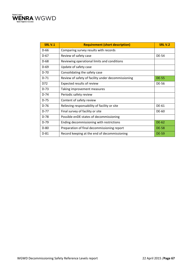

| <b>SRL V.1</b> | <b>Requirement (short description)</b>                       | <b>SRL V.2</b> |  |  |
|----------------|--------------------------------------------------------------|----------------|--|--|
| D-66           | Comparing survey results with records                        |                |  |  |
| $D-67$         | Review of safety case                                        | <b>DE-54</b>   |  |  |
| D-68           | Reviewing operational limits and conditions                  |                |  |  |
| $D-69$         | Update of safety case                                        |                |  |  |
| $D-70$         | Consolidating the safety case                                |                |  |  |
| $D-71$         | Review of safety of facility under decommissioning           | <b>DE-55</b>   |  |  |
| D72            | Expected results of review                                   | <b>DE-56</b>   |  |  |
| $D-73$         | Taking improvement measures                                  |                |  |  |
| $D-74$         | Periodic safety review                                       |                |  |  |
| $D-75$         | Content of safety review                                     |                |  |  |
| $D-76$         | Relieving responsability of facility or site<br><b>DE-61</b> |                |  |  |
| $D-77$         | <b>DE-60</b><br>Final survey of facility or site             |                |  |  |
| $D-78$         | Possible enDE-states of decommissioning                      |                |  |  |
| $D-79$         | Ending decommissioning with restrictions<br><b>DE-62</b>     |                |  |  |
| $D-80$         | Preparation of final decommissioning report                  | <b>DE-58</b>   |  |  |
| $D-81$         | Record keeping at the end of decommissioning                 | <b>DE-59</b>   |  |  |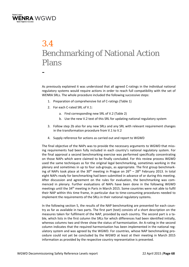

-

# 3.4 Benchmarking of National Action Plans

As previously explained it was understood that all agreed C‐ratings in the individual national regulatory systems would require actions in order to reach full compatibility with the set of WENRA SRLs. The whole procedure included the following successive steps:

- 1. Preparation of comprehensive list of C-ratings (Table 1)
- 2. For each C-rated SRL of V.1:
	- a. Find corresponding new SRL of V.2 (Table 2)
	- b. Use the new V.2 text of this SRL for updating national regulatory system
- 3. Follow step 2b also for any new SRLs and any SRL with relevant requirement changes in the transformation procedure from V.1 to V.2
- 4. Supply reference for actions as carried out and report to WGWD

The final objective of the NAPs was to provide the necessary arguments to WGWD that missing requirements had been fully included in each country's national regulatory system. For the final approval a second benchmarking exercise was performed specifically concentrating on those NAPs which were claimed to be finally concluded. For this review process WGWD used the same techniques as for the original legal benchmarking, sometimes working in the plenary and sometimes in up to four sub‐groups, as appropriate. The first group benchmark‐ ing of NAPs took place at the  $30<sup>th</sup>$  meeting in Prague on  $26<sup>th</sup>$  –  $28<sup>th</sup>$  February 2013. In total eight NAPs ready for benchmarking had been submitted in advance of or during this meeting. After discussion and agreement on the rules for evaluation, the benchmarking was commenced in plenary. Further evaluations of NAPs have been done in the following WGWD meetings until the 34<sup>th</sup> meeting in Paris in March 2015. Some countries were not able to fulfil their NAP within this time frame, in particular due to time‐consuming procedures needed to implement the requirements of the SRLs in their national regulatory systems.

In the following section 5, the results of the NAP benchmarking are presented for each country as far as available in two parts. The first part (text) consists of a short description on the measures taken for fulfilment of the NAP, provided by each country. The second part is a ta‐ ble, which lists in the first column the SRLs for which differences had been identified initially, whereas columns two and three show the status of harmonisation. An A-rating in the second column indicates that the required harmonisation has been implemented in the national regulatory system and was agreed by the WGWD. For countries, whose NAP benchmarking pro‐ cedure could not yet be concluded by the WGWD at least at their meeting in March 2015 information as provided by the respective country representative is presented.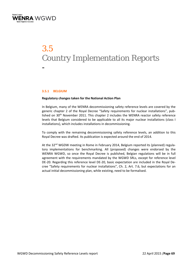

## 3.5 Country Implementation Reports -

#### **3.5.1 BELGIUM**

#### **Regulatory changes taken for the National Action Plan**

In Belgium, many of the WENRA decommissioning safety reference levels are covered by the generic chapter 2 of the Royal Decree "Safety requirements for nuclear installations", pub‐ lished on  $30<sup>th</sup>$  November 2011. This chapter 2 includes the WENRA reactor safety reference levels that Belgium considered to be applicable to all its major nuclear installations (class I installations), which includes installations in decommissioning.

To comply with the remaining decommissioning safety reference levels, an addition to this Royal Decree was drafted. Its publication is expected around the end of 2014.

At the 32<sup>nd</sup> WGDW meeting in Rome in February 2014, Belgium reported its (planned) regulatory implementations for benchmarking. All (proposed) changes were endorsed by the WENRA WGWD, so once the Royal Decree is published, Belgian regulations will be in full agreement with the requirements mandated by the WGWD SRLs, except for reference level DE-20. Regarding this reference level DE-20, basic expectation are included in the Royal Decree "Safety requirements for nuclear installations", Ch. 2, Art. 7.6, but expectations for an actual initial decommissioning plan, while existing, need to be formalised.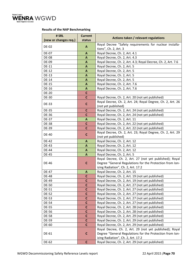

## **Results of the NAP Benchmarking**

| # SRL<br><b>Current</b> |                           | Actions taken / relevant regulations                                             |
|-------------------------|---------------------------|----------------------------------------------------------------------------------|
| (new or changes req.)   | status                    |                                                                                  |
| <b>DE-02</b>            | A                         | Royal Decree "Safety requirements for nuclear installa-<br>tions", Ch. 2, Art. 3 |
|                         |                           |                                                                                  |
| <b>DE-07</b>            | A                         | Royal Decree, Ch. 2, Art. 4.1                                                    |
| <b>DE-08</b>            | A                         | Royal Decree, Ch. 2, Art. 4.3                                                    |
| <b>DE-09</b>            | A                         | Royal Decree, Ch. 2, Art. 4.3; Royal Decree, Ch. 2, Art. 7.6                     |
| <b>DE-11</b>            | A                         | Royal Decree, Ch. 2, Art. 5                                                      |
| <b>DE-12</b>            | A                         | Royal Decree, Ch. 2, Art. 5                                                      |
| <b>DE-13</b>            | A                         | Royal Decree, Ch. 2, Art. 5                                                      |
| <b>DE-14</b>            | A                         | Royal Decree, Ch. 2, Art. 5                                                      |
| <b>DE-15</b>            | A                         | Royal Decree, Ch. 2, Art. 7.6                                                    |
| <b>DE-16</b>            | $\boldsymbol{\mathsf{A}}$ | Royal Decree, Ch. 2, Art. 7.6                                                    |
| <b>DE-20</b>            | $\mathbf c$               |                                                                                  |
| <b>DE-30</b>            | C                         | Royal Decree, Ch. 2, Art. 20 (not yet published)                                 |
| <b>DE-33</b>            | C                         | Royal Decree, Ch. 2, Art. 24; Royal Degree, Ch. 2, Art. 26                       |
|                         |                           | (not yet published)                                                              |
| <b>DE-35</b>            | C                         | Royal Decree, Ch. 2, Art. 24 (not yet published)                                 |
| <b>DE-36</b>            | $\mathbf c$               | Royal Decree, Ch. 2, Art. 24 (not yet published)                                 |
| <b>DE-37</b>            | A                         | Royal Decree, Ch. 2, Art. 11                                                     |
| <b>DE-38</b>            | C                         | Royal Decree, Ch. 2, Art. 22 (not yet published)                                 |
| <b>DE-39</b>            | $\mathsf{C}$              | Royal Decree, Ch. 2, Art. 22 (not yet published)                                 |
| <b>DE-40</b>            | C                         | Royal Decree, Ch. 2, Art. 23; Royal Degree, Ch. 2, Art. 29                       |
|                         |                           | (not yet published)                                                              |
| <b>DE-42</b>            | A                         | Royal Decree, Ch. 2, Art. 12                                                     |
| <b>DE-43</b>            | A                         | Royal Decree, Ch. 2, Art. 12                                                     |
| <b>DE-44</b>            | A                         | Royal Decree, Ch. 2, Art. 12                                                     |
| <b>DE-45</b>            | A                         | Royal Decree, Ch. 2, Art. 5                                                      |
|                         |                           | Royal Decree, Ch. 2, Art. 27 (not yet published); Royal                          |
| <b>DE-46</b>            | C                         | Degree "General Regulations for the Protection from Ion-                         |
|                         |                           | izing Radiation", Ch. 2, Art. 17.2                                               |
| <b>DE-47</b>            | A                         | Royal Decree, Ch. 2, Art. 15                                                     |
| <b>DE-48</b>            | $\mathbf c$               | Royal Decree, Ch. 2, Art. 19 (not yet published)                                 |
| DE-49                   | C                         | Royal Decree, Ch. 2, Art. 19 (not yet published)                                 |
| <b>DE-50</b>            | $\mathbf c$               | Royal Decree, Ch. 2, Art. 27 (not yet published)                                 |
| <b>DE-51</b>            | $\mathbf c$               | Royal Decree, Ch. 2, Art. 27 (not yet published)                                 |
| <b>DE-52</b>            | C                         | Royal Decree, Ch. 2, Art. 27 (not yet published)                                 |
| <b>DE-53</b>            | $\mathsf{C}$              | Royal Decree, Ch. 2, Art. 27 (not yet published)                                 |
| <b>DE-54</b>            | $\mathbf c$               | Royal Decree, Ch. 2, Art. 27 (not yet published)                                 |
| <b>DE-55</b>            | $\mathbf c$               | Royal Decree, Ch. 2, Art. 28 (not yet published)                                 |
| <b>DE-56</b>            | $\mathbf c$               | Royal Decree, Ch. 2, Art. 28 (not yet published)                                 |
| <b>DE-58</b>            | $\mathbf c$               | Royal Decree, Ch. 2, Art. 29 (not yet published)                                 |
| <b>DE-59</b>            | $\mathbf c$               | Royal Decree, Ch. 2, Art. 29 (not yet published)                                 |
| <b>DE-60</b>            | C                         | Royal Decree, Ch. 2, Art. 29 (not yet published)                                 |
|                         |                           | Royal Decree, Ch. 2, Art. 29 (not yet published); Royal                          |
| DE-61                   | $\mathbf c$               | Degree "General Regulations for the Protection from Ion-                         |
|                         |                           | izing Radiation", Ch. 2, Art. 17.2                                               |
| DE-62                   | $\mathsf{C}$              | Royal Decree, Ch. 2, Art. 29 (not yet published)                                 |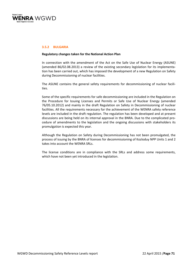

#### **3.5.2 BULGARIA**

#### **Regulatory changes taken for the National Action Plan**

In connection with the amendment of the Act on the Safe Use of Nuclear Energy (ASUNE) (amended 86/02.08.2013) a review of the existing secondary legislation for its implementa‐ tion has been carried out, which has imposed the development of a new Regulation on Safety during Decommissioning of nuclear facilities.

The ASUNE contains the general safety requirements for decommissioning of nuclear facilities.

Some of the specific requirements for safe decommissioning are included in the Regulation on the Procedure for Issuing Licenses and Permits or Safe Use of Nuclear Energy (amended 76/05.10.2012) and mainly in the draft Regulation on Safety in Decommissioning of nuclear facilities. All the requirements necessary for the achievement of the WENRA safety reference levels are included in the draft regulation. The regulation has been developed and at present discussions are being held on its internal approval in the BNRA. Due to the complicated pro‐ cedure of amendments to the legislation and the ongoing discussions with stakeholders its promulgation is expected this year.

Although the Regulation on Safety during Decommissioning has not been promulgated, the process of issuing by the BNRA of licenses for decommissioning of Kozloduy NPP Units 1 and 2 takes into account the WENRA SRLs.

The license conditions are in compliance with the SRLs and address some requirements, which have not been yet introduced in the legislation.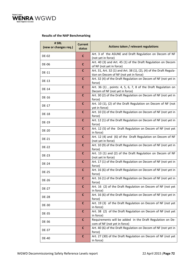

## **Results of the NAP Benchmarking**

| # SRL<br>(new or changes req.) | <b>Current</b><br>status | Actions taken / relevant regulations                                                                          |  |
|--------------------------------|--------------------------|---------------------------------------------------------------------------------------------------------------|--|
| DE-02                          | C                        | Art. 3 of the ASUNE and Draft Regulation on Decom of NF<br>(not yet in force)                                 |  |
| <b>DE-06</b>                   | C                        | Art. 40 (3) and Art. 45 (1) of the Draft Regulation on Decom<br>of NF (not yet in force)                      |  |
| DE-11                          | C                        | Art. 31, Art. 32 (1) and Art. 38 (1), (2), (4) of the Draft Regula-<br>tion on Decom of NF (not yet in force) |  |
| DE-13                          | $\mathbf{C}$             | Art. 32 (4) of the Draft Regulation on Decom of NF (not yet in<br>force)                                      |  |
| DE-14                          | $\mathbf{C}$             | Art. 36 (1), points: 4, 5, 6, 7, 8 of the Draft Regulation on<br>Decom of NF (not yet in force)               |  |
| DE-16                          | $\mathsf{C}$             | Art. 30 (2) of the Draft Regulation on Decom of NF (not yet in<br>force)                                      |  |
| DE-17                          | $\mathbf C$              | Art. 10 (1), (2) of the Draft Regulation on Decom of NF (not<br>yet in force)                                 |  |
| <b>DE-18</b>                   | $\mathbf{C}$             | Art. 10 (3) of the Draft Regulation on Decom of NF (not yet in<br>force)                                      |  |
| DE-19                          | $\mathbf{C}$             | Art. 12 (1) of the Draft Regulation on Decom of NF (not yet in<br>force)                                      |  |
| <b>DE-20</b>                   | $\mathbf{C}$             | Art. 12 (5) of the Draft Regulation on Decom of NF (not yet<br>in force)                                      |  |
| DE-21                          | $\mathsf{C}$             | Art. 12 (4) and (6) of the Draft Regulation on Decom of NF<br>(not yet in force)                              |  |
| <b>DE-22</b>                   | $\mathbf{C}$             | Art. 10 (9) of the Draft Regulation on Decom of NF (not yet in<br>force)                                      |  |
| <b>DE-23</b>                   | $\mathbf C$              | Art. 13 (1) and (2) of the Draft Regulation on Decom of NF<br>(not yet in force)                              |  |
| DE-24                          | $\mathsf{C}$             | Art. 17 (1) of the Draft Regulation on Decom of NF (not yet in<br>force)                                      |  |
| <b>DE-25</b>                   | $\mathbf{C}$             | Art. 16 (6) of the Draft Regulation on Decom of NF (not yet in<br>force)                                      |  |
| DE-26                          | $\mathbf{C}$             | Art. 16 (1) of the Draft Regulation on Decom of NF (not yet in<br>force)                                      |  |
| <b>DE-27</b>                   | C                        | Art. 16 (2) of the Draft Regulation on Decom of NF (not yet<br>in force)                                      |  |
| <b>DE-28</b>                   | $\mathbf{C}$             | Art. 16 (6) of the Draft Regulation on Decom of NF (not yet in<br>force)                                      |  |
| <b>DE-30</b>                   | $\mathsf{C}$             | Art. 19 (3) of the Draft Regulation on Decom of NF (not yet<br>in force)                                      |  |
| <b>DE-35</b>                   | $\mathsf{C}$             | Art. 38 (2) of the Draft Regulation on Decom of NF (not yet<br>in force)                                      |  |
| DE-36                          | $\mathbf C$              | Requirements will be added in the Draft Regulation on De-<br>com of NF (not yet in force)                     |  |
| <b>DE-37</b>                   | $\mathsf{C}$             | Art. 40 (6) of the Draft Regulation on Decom of NF (not yet in<br>force)                                      |  |
| <b>DE-40</b>                   | $\mathsf{C}$             | Art. 27 (30) of the Draft Regulation on Decom of NF (not yet<br>in force)                                     |  |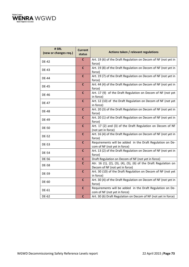

| # SRL<br>(new or changes req.) | <b>Current</b><br>status | Actions taken / relevant regulations                                                              |  |
|--------------------------------|--------------------------|---------------------------------------------------------------------------------------------------|--|
| <b>DE-42</b>                   | $\mathbf{C}$             | Art. 19 (6) of the Draft Regulation on Decom of NF (not yet in<br>force)                          |  |
| DE-43                          | $\mathbf{C}$             | Art. 19 (8) of the Draft Regulation on Decom of NF (not yet in<br>force)                          |  |
| DE-44                          | $\mathbf{C}$             | Art. 19 (7) of the Draft Regulation on Decom of NF (not yet in<br>force)                          |  |
| <b>DE-45</b>                   | $\mathbf{C}$             | Art. 44 (4) of the Draft Regulation on Decom of NF (not yet in<br>force)                          |  |
| DE-46                          | $\mathsf{C}$             | Art. 17 (9) of the Draft Regulation on Decom of NF (not yet<br>in force)                          |  |
| DE-47                          | $\mathsf{C}$             | Art. 12 (10) of the Draft Regulation on Decom of NF (not yet<br>in force)                         |  |
| <b>DE-48</b>                   | $\mathsf{C}$             | Art. 20 (3) of the Draft Regulation on Decom of NF (not yet in<br>force)                          |  |
| DE-49                          | $\mathsf{C}$             | Art. 20 (1) of the Draft Regulation on Decom of NF (not yet in<br>force)                          |  |
| <b>DE-50</b>                   | $\mathsf{C}$             | Art. 17 (2) and (3) of the Draft Regulation on Decom of NF<br>(not yet in force)                  |  |
| <b>DE-52</b>                   | $\mathsf{C}$             | Art. 16 (4) of the Draft Regulation on Decom of NF (not yet in<br>force)                          |  |
| <b>DE-53</b>                   | $\mathsf{C}$             | Requirements will be added in the Draft Regulation on De-<br>com of NF (not yet in force)         |  |
| DE-54                          | $\mathsf{C}$             | Art. 13 (2) of the Draft Regulation on Decom of NF (not yet in<br>force)                          |  |
| <b>DE-56</b>                   | C                        | Draft Regulation on Decom of NF (not yet in force)                                                |  |
| <b>DE-58</b>                   | $\mathsf{C}$             | Atr. 16 (1), (2), (3), (4), (5), (6) of the Draft Regulation on<br>Decom of NF (not yet in force) |  |
| <b>DE-59</b>                   | $\mathbf{C}$             | Art. 30 (10) of the Draft Regulation on Decom of NF (not yet<br>in force)                         |  |
| DE-60                          | $\mathsf{C}$             | Art. 30 (4) of the Draft Regulation on Decom of NF (not yet in<br>force)                          |  |
| DE-61                          | $\mathbf{C}$             | Requirements will be added in the Draft Regulation on De-<br>com of NF (not yet in force)         |  |
| DE-62                          | $\mathbf{C}$             | Art. 30 (6) Draft Regulation on Decom of NF (not yet in force)                                    |  |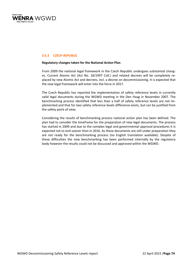

## **3.5.3 CZECH REPUBLIC**

## **Regulatory changes taken for the National Action Plan**

From 2009 the national legal framework in the Czech Republic undergoes substantial changes. Current Atomic Act (Act No. 18/1997 Coll.) and related decrees will be completely re‐ placed by new Atomic Act and decrees, incl. a decree on decommissioning. It is expected that the new legal framework will enter into the force in 2017.

The Czech Republic has reported the implementation of safety reference levels in currently valid legal documents during the WGWD meeting in the Den Haag in November 2007. The benchmarking process identified that less than a half of safety reference levels are not im‐ plemented and that for two safety reference levels difference exists, but can be justified from the safety point of view.

Considering the results of benchmarking process national action plan has been defined. The plan had to consider the timeframe for the preparation of new legal documents. The process has started in 2009 and due to the complex legal and governmental approval procedures it is expected not to end sooner than in 2016. As these documents are still under preparation they are not ready for the benchmarking process (no English translation available). Despite of these difficulties the new benchmarking has been performed internally by the regulatory body however the results could not be discussed and approved within the WGWD.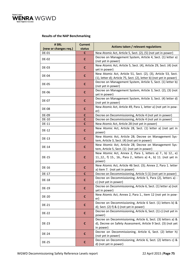

| # SRL                 | <b>Current</b> | Actions taken / relevant regulations                                              |  |
|-----------------------|----------------|-----------------------------------------------------------------------------------|--|
| (new or changes req.) | status         |                                                                                   |  |
| DE-01                 | C.             | New Atomic Act, Article 5, Sect. (2), (5) (not yet in power)                      |  |
| <b>DE-02</b>          | C              | Decree on Management System, Article 4, Sect. (1) letter a)<br>(not yet in power) |  |
|                       |                | New Atomic Act, Article 5, Sect. (4), Article 29, Sect. (4) (not                  |  |
| <b>DE-03</b>          | $\mathbf{C}$   | yet in power)                                                                     |  |
|                       |                | New Atomic Act, Article 51, Sect. (2), (3), Article 53, Sect.                     |  |
| <b>DE-04</b>          | $\mathsf{C}$   | (1), letter d); Article 75, Sect. (2), letter b) (not yet in power)               |  |
|                       |                | Decree on Management System, Article 5, Sect. (1) letter b)                       |  |
| <b>DE-05</b>          | C              | (not yet in power)                                                                |  |
|                       |                | Decree on Management System, Article 3, Sect. (2), (3) (not                       |  |
| <b>DE-06</b>          | C              | yet in power)                                                                     |  |
|                       |                | Decree on Management System, Article 3, Sect. (4) letter d)                       |  |
| <b>DE-07</b>          | C              | (not yet in power)                                                                |  |
|                       |                | New Atomic Act, Article 49, Para 1, letter a) (not yet in pow-                    |  |
| <b>DE-08</b>          | C              | er)                                                                               |  |
| <b>DE-09</b>          | C              | Decree on Decommissioning, Article 4 (not yet in power)                           |  |
| <b>DE-10</b>          | C              | Decree on Decommissioning, Article 4 (not yet in power)                           |  |
| <b>DE-11</b>          | $\mathbf{C}$   | New Atomic Act, Article 28 (not yet in power)                                     |  |
|                       |                | New Atomic Act, Article 28, Sect. (1) letter a) (not yet in                       |  |
| DE-12                 | C              | power)                                                                            |  |
|                       |                | New Atomic Act, Article 28; Decree on Management Sys-                             |  |
| <b>DE-13</b>          | C              | tem, Article 3, Sect. (4) (not yet in power)                                      |  |
|                       |                | New Atomic Act, Article 28; Decree on Management Sys-                             |  |
| DE-14                 | C              | tem, Article 5, Sect. (1) (not yet in power)                                      |  |
|                       |                | New Atomic Act, Annex 2, Para 1, letters a) 7., b) 12., e)                        |  |
| <b>DE-15</b>          | C              | 11., 12., f) 15., 16., Para 2., letters a) 4., b) 11. (not yet in                 |  |
|                       |                | power)                                                                            |  |
|                       |                | New Atomic Act, Article 46 Sect. (3); Annex 2, Para 1. letter                     |  |
| <b>DE-16</b>          | C              | a) item 7. (not yet in power)                                                     |  |
| <b>DE-17</b>          | $\mathbf C$    | Decree on Decommissioning, Article 5 (1) (not yet in power)                       |  |
| <b>DE-18</b>          | C              | Decree on Decommissioning, Article 5, Para (2), letters a) -                      |  |
|                       |                | c) (not yet in power)                                                             |  |
| <b>DE-19</b>          | $\mathbf C$    | Decree on Decommissioning, Article 6, Sect. (1) letter a) (not                    |  |
|                       |                | yet in power)                                                                     |  |
| <b>DE-20</b>          | $\mathsf{C}$   | New Atomic Act, Annex 2, Para 1., item 12 (not yet in pow-                        |  |
|                       |                | er)                                                                               |  |
| DE-21                 | C              | Decree on Decommissioning, Article 6 Sect. (1) letters b) &                       |  |
|                       |                | d); Sect. (2) f) & i) (not yet in power)                                          |  |
| <b>DE-22</b>          | C              | Decree on Decommissioning, Article 6, Sect. (1) c) (not yet in                    |  |
|                       |                | power)                                                                            |  |
|                       |                | Decree on Decommissioning, Article 6, Sect. (3) letters a) &                      |  |
| <b>DE-23</b>          | C              | d), Decree on Safety Assessment, Article 9 Sect. (3) (not yet                     |  |
|                       |                | in power)                                                                         |  |
| DE-24                 | $\mathsf{C}$   | Decree on Decommissioning, Article 6, Sect. (2) letter h)                         |  |
|                       |                | (not yet in power)                                                                |  |
| <b>DE-25</b>          | C              | Decree on Decommissioning, Article 6, Sect. (2) letters c) &                      |  |
|                       |                | d) (not yet in power)                                                             |  |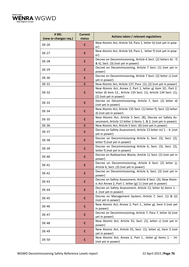

| # SRL<br>(new or changes req.) | <b>Current</b><br>status | Actions taken / relevant regulations                                                                                                                        |  |
|--------------------------------|--------------------------|-------------------------------------------------------------------------------------------------------------------------------------------------------------|--|
| <b>DE-26</b>                   | $\mathbf{C}$             | New Atomic Act, Article 54, Para 1, letter b) (not yet in pow-<br>er)                                                                                       |  |
| <b>DE-27</b>                   | C                        | New Atomic Act, Article 54, Para 1, letter f) (not yet in pow-<br>er)                                                                                       |  |
| <b>DE-28</b>                   | $\mathsf{C}$             | Decree on Decommissioning, Article 6 Sect. (2) letters b) - f)<br>& k), Sect. (3) (not yet in power)                                                        |  |
| <b>DE-29</b>                   | $\mathsf{C}$             | Decree on Decommissioning, Article 7 Sect. (1) (not yet in<br>power)                                                                                        |  |
| <b>DE-30</b>                   | C                        | Decree on Decommissioning, Article 7 Sect. (2) letter c) (not<br>yet in power)                                                                              |  |
| <b>DE-31</b>                   | C                        | New Atomic Act, Article 137, Para (1); (2) (not yet in power)                                                                                               |  |
| DE-32                          | $\mathbf C$              | New Atomic Act, Annex 2, Part 1, letter g) item 10., Part 2.<br>letter d) item 12., Article 133 Sect. (1), Article 134 Sect. (1),<br>(2) (not yet in power) |  |
| <b>DE-33</b>                   | $\mathsf{C}$             | Decree on Decommissioning, Article 7, Sect. (2) letter d)<br>(not yet in power)                                                                             |  |
| DE-34                          | C                        | New Atomic Act, Article 135 Sect. (1) letter f); Sect. (2) letter<br>d) (not yet in power)                                                                  |  |
| <b>DE-35</b>                   | C                        | New Atomic Act, Article 5 Sect. (8), Decree on Safety As-<br>sessment, Article 12 letter i) items 1. & 2. (not yet in power)                                |  |
| <b>DE-36</b>                   | С                        | New Atomic Act, Article 5 Sect. (6) (not yet in power)                                                                                                      |  |
| <b>DE-37</b>                   | C                        | Decree on Safety Assessment, Article 13 letter m) 1. - 4. (not<br>yet in power)                                                                             |  |
| <b>DE-38</b>                   | C                        | Decree on Decommissioning Article 6, Sect. (3), Sect. (2),<br>letter f) (not yet in power)                                                                  |  |
| <b>DE-39</b>                   | C                        | Decree on Decommissioning Article 6, Sect. (3), Sect. (2),<br>letter f) (not yet in power)                                                                  |  |
| <b>DE-40</b>                   | C                        | Decree on Radioactive Waste, Article 11 Sect. (1) (not yet in<br>power)                                                                                     |  |
| <b>DE-41</b>                   | C                        | Decree on Decommissioning, Article 6 Sect. (2) letter j),<br>Article 6, Sect. (3) (not yet in power)                                                        |  |
| <b>DE-42</b>                   | C                        | Decree on Decommissioning, Article 6, Sect. (3) (not yet in<br>power)                                                                                       |  |
| DE-43                          | C                        | Decree on Safety Assessment, Article 8 Sect. (3); New Atom-<br>ic Act Annex 2, Part 1. letter (g) 11 (not yet in power)                                     |  |
| <b>DE-44</b>                   | C                        | Decree on Safety Assessment; Article 12, letter b) items 1. -<br>3. (not yet in power)                                                                      |  |
| <b>DE-45</b>                   | C                        | Decree on Management System; Article 7, Sect. (1) & (2)<br>(not yet in power)                                                                               |  |
| <b>DE-46</b>                   | C                        | New Atomic Act; Annex 2, Part 1., letter g), item 3 (not yet<br>in power)                                                                                   |  |
| <b>DE-47</b>                   | C                        | Decree on Decommissioning; Article 7, Para 7, letter b) (not<br>yet in power)                                                                               |  |
| <b>DE-48</b>                   | C                        | New Atomic Act; Article 55, Sect. (1), letter c) (not yet in<br>power)                                                                                      |  |
| <b>DE-49</b>                   | C                        | New Atomic Act; Article 55, Sect. (1), letter a), item 3 (not<br>yet in power)                                                                              |  |
| <b>DE-50</b>                   | C                        | New Atomic Act; Annex 2, Part 1., letter g) items 1. - 14.<br>(not yet in power)                                                                            |  |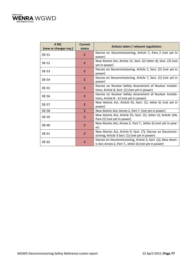

| # SRL<br>(new or changes req.) | <b>Current</b><br>status | Actions taken / relevant regulations                                                                                 |
|--------------------------------|--------------------------|----------------------------------------------------------------------------------------------------------------------|
| <b>DE-51</b>                   | $\mathbf c$              | Decree on Decommissioning; Article 7, Para 2 (not yet in<br>power)                                                   |
| <b>DE-52</b>                   | $\mathbf c$              | New Atomic Act; Article 15, Sect. (2) letter d); Sect. (3) (not<br>yet in power)                                     |
| <b>DE-53</b>                   | $\mathbf c$              | Decree on Decommissioning, Article 2, Sect. (2) (not yet in<br>power)                                                |
| <b>DE-54</b>                   | $\mathbf c$              | Decree on Decommissioning, Article 7, Sect. (1) (not yet in<br>power)                                                |
| <b>DE-55</b>                   | $\mathbf c$              | Decree on Nuclear Safety Assessment of Nuclear Installa-<br>tions, Article 8, Sect. (1) (not yet in power)           |
| <b>DE-56</b>                   | $\mathbf c$              | Decree on Nuclear Safety Assessment of Nuclear Installa-<br>tions, Article 8 - 12 (not yet in power)                 |
| <b>DE-57</b>                   | $\mathbf C$              | New Atomic Act, Article 55, Sect. (1), letter b) (not yet in<br>power)                                               |
| <b>DE-58</b>                   | C                        | New Atomic Act; Annex 2, Part 7. (not yet in power)                                                                  |
| <b>DE-59</b>                   | $\mathbf c$              | New Atomic Act, Article 55, Sect. (1), letter e); Article 104,<br>Para (1) (not yet in power)                        |
| <b>DE-60</b>                   | $\mathbf{C}$             | New Atomic Act; Annex 2, Part 7., letter d) (not yet in pow-<br>er)                                                  |
| <b>DE-61</b>                   | $\mathbf C$              | New Atomic Act, Article 9, Sect. (7); Decree on Decommis-<br>sioning; Article 3 Sect. (1) (not yet in power)         |
| DE-62                          | $\mathbf{C}$             | Decree on Decommissioning, Article 3, Sect. (2); New Atom-<br>ic Act; Annex 2, Part 7., letter d) (not yet in power) |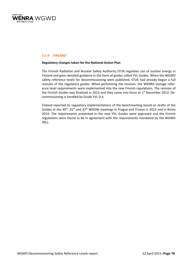

## **3.5.4 FINLAND**

## **Regulatory changes taken for the National Action Plan**

The Finnish Radiation and Nuclear Safety Authority STUK regulates use of nuclear energy in Finland and gives detailed guidance in the form of guides called YVL Guides. When the WGWD safety reference levels for decommissioning were published, STUK had already begun a full revision of the regulatory guides. When performing the revision, the WENRA storage refer‐ ence level requirements were implemented into the new Finnish regulations. The revision of the Finnish Guides was finalised in 2013 and they came into force at  $1<sup>st</sup>$  December 2013. Decommissioning is handled by Guide YVL D.4.

Finland reported its regulatory implementations of the benchmarking based on drafts of the Guides at the 30<sup>th</sup>, 31<sup>th</sup> and 32<sup>th</sup> WGDW meetings in Prague and Trnava in 2013 and in Rome 2014. The requirements presented in the new YVL Guides were approved and the Finnish regulations were found to be in agreement with the requirements mandated by the WGWD SRLs.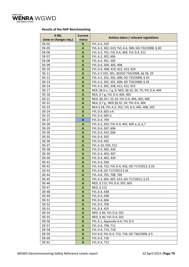

| # SRL                 | <b>Current</b>            | Actions taken / relevant regulations                  |  |
|-----------------------|---------------------------|-------------------------------------------------------|--|
| (new or changes req.) | status                    |                                                       |  |
| <b>DE-02</b>          | A                         | <b>YVL A.3, 310</b>                                   |  |
| <b>DE-05</b>          | A                         | YVL A.3, 302, 610; YVL A.4, 369; GD-733/2008, § 30    |  |
| <b>DE-06</b>          | A                         | YVL A.3, 701; YVL A.4, 369; YVL D.4, 511              |  |
| <b>DE-07</b>          | A                         | YVL A.3, 302, 606                                     |  |
| <b>DE-08</b>          | A                         | YVL A.4, 301, 369                                     |  |
| <b>DE-09</b>          | A                         | YVL D.4, 369, 405, 408                                |  |
| <b>DE-10</b>          | $\mathbf{A}$              | YVL D.4, 408, 419, 422, 423, 424                      |  |
| <b>DE-11</b>          | A                         | YVL A.3 103, 301, 302GD 733/2008, §§ 28, 29           |  |
| <b>DE-12</b>          | A                         | YVL A.3, 202, 301, 608; GD 733/2008, § 29             |  |
| <b>DE-13</b>          | A                         | YVL A.3, 202, 301, 608; GD 733/2008, § 29             |  |
| <b>DE-14</b>          | A                         | YVL A.3, 302, 328, 411, 412, 413                      |  |
| <b>DE-17</b>          | A                         | NEA, §§ 6 a, 7 g, 9; NED, §§ 32, 34, 75; YVL D.4, 404 |  |
| <b>DE-18</b>          | A                         | NEA, § 7 g; YVL D.4, 404, 405                         |  |
| <b>DE-21</b>          | A                         | NED, §§ 24 f, 32.10; YVL D.4, 404, 405, 406           |  |
| <b>DE-22</b>          | A                         | NEA, § 7 g ; NED §§ 32, 34; YVL D.4, 404              |  |
| <b>DE-23</b>          | $\mathbf{A}$              | NEA § 28; YVL A.3, 352; YVL D.4, 405, 408, 502        |  |
| <b>DE-24</b>          | A                         | YVL D.4, 605 a-h                                      |  |
| <b>DE-25</b>          | A                         | YVL D.4, 605 d                                        |  |
| <b>DE-27</b>          | B                         | <b>YVL D.4, 709</b>                                   |  |
| <b>DE-28</b>          | A                         | YVL A.3, 202; YVL D.4, 405, 605 a, d, e, f            |  |
| <b>DE-29</b>          | A                         | YVL D.4, 507, 606                                     |  |
| <b>DE-30</b>          | A                         | YVL D.4, 432, 606                                     |  |
| <b>DE-35</b>          | A                         | <b>YVL D.4, 502</b>                                   |  |
| DE-36                 | A                         | <b>YVL D.4, 502</b>                                   |  |
| <b>DE-37</b>          | $\mathbf{A}$              | YVL A.10, 502, 512                                    |  |
| <b>DE-38</b>          | A                         | YVL D.4, 402, 430                                     |  |
| <b>DE-39</b>          | A                         | YVL D.4, 402, 407                                     |  |
| <b>DE-40</b>          | A                         | YVL D.4, 402, 430                                     |  |
| <b>DE-41</b>          | A                         | <b>YVL D.4, 509</b>                                   |  |
| <b>DE-42</b>          | A                         | YVL A.8, 722; YVL D.4, 432; GD 717/2013, § 26         |  |
| DE-43                 | A                         | YVL A.8; GD 717/2013 § 26                             |  |
| <b>DE-44</b>          | A                         | YVL A.8, 705, 708, 709                                |  |
| <b>DE-45</b>          | A                         | YVL A.3, 605, 607, 613; GD 717/2013, § 23             |  |
| <b>DE-46</b>          | A                         | NED, § 112; YVL D.4, 507, 605                         |  |
| <b>DE-47</b>          | $\boldsymbol{\mathsf{A}}$ | NED, § 112                                            |  |
| <b>DE-48</b>          | A                         | <b>YVL D.4, 438</b>                                   |  |
| <b>DE-49</b>          | A                         | <b>YVL D.4, 438</b>                                   |  |
| <b>DE-51</b>          | A                         | <b>YVL D.4, 606</b>                                   |  |
| <b>DE-52</b>          | A                         | <b>YVL D.4, 709</b>                                   |  |
| <b>DE-53</b>          | A                         | <b>YVL D.4, 425</b>                                   |  |
| <b>DE-54</b>          | A                         | NED, § 36; YVL D.4, 501                               |  |
| <b>DE-55</b>          | A                         | NED, § 36; YVL D.4, 501                               |  |
| <b>DE-56</b>          | A                         | YVL A.1, Appendix A.4; YVL D.4                        |  |
| <b>DE-57</b>          | A                         | YVL D.4, 709, 711                                     |  |
| <b>DE-58</b>          | A                         | YVL D.4, 713, 718                                     |  |
| <b>DE-59</b>          | A                         | YLV A.9; YVL D.4, 713, 718, GD 736/2008, § 9          |  |
| <b>DE-60</b>          | A                         | <b>YVL D.4, 718</b>                                   |  |
| DE-61                 | A                         | <b>YVL D.4, 712</b>                                   |  |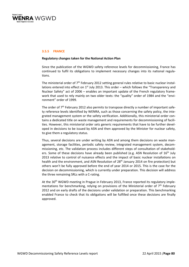

## **3.5.5 FRANCE**

## **Regulatory changes taken for the National Action Plan**

Since the publication of the WGWD safety reference levels for decommissioning, France has continued to fulfil its obligations to implement necessary changes into its national regula‐ tions.

The ministerial order of 7<sup>th</sup> February 2012 setting general rules relative to basic nuclear installations entered into effect on  $1<sup>st</sup>$  July 2013. This order – which follows the "Transparency and Nuclear Safety" act of 2006 – enables an important update of the French regulatory frame‐ work that used to rely mainly on two older texts: the "quality" order of 1984 and the "environment" order of 1999.

The order of  $7<sup>th</sup>$  February 2012 also permits to transpose directly a number of important safety reference levels identified by WENRA, such as those concerning the safety policy, the inte‐ grated management system or the safety verification. Additionally, this ministerial order con‐ tains a dedicated title on waste management and requirements for decommissioning of facili‐ ties. However, this ministerial order sets generic requirements that have to be further devel‐ oped in decisions to be issued by ASN and then approved by the Minister for nuclear safety, to give them a regulatory status.

Thus, several decisions are under writing by ASN and among them decisions on waste man‐ agement, storage facilities, periodic safety review, integrated management system, decommissioning, etc. The validation process includes different steps of consultation of stakehold‐ ers. Some of these decisions have already been published (e.g. ASN Resolution of  $16<sup>th</sup>$  July 2013 relative to control of nuisance effects and the impact of basic nuclear installations on health and the environment, and ASN Resolution of 28<sup>th</sup> January 2014 on fire protection) but others won't be fully approved before the end of year 2014 or 2015. This is the case for the decision on decommissioning, which is currently under preparation. This decision will address the three remaining SRLs with a C‐rating.

At the 30<sup>th</sup> WGWD meeting in Prague in February 2013, France reported its regulatory implementations for benchmarking, relying on provisions of the Ministerial order of 7<sup>th</sup> February 2012 and on early drafts of the decisions under validation or preparation. This benchmarking enabled France to check that its obligations will be fulfilled once these decisions are finally approved.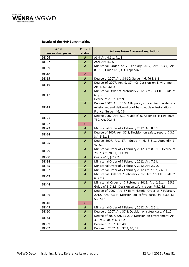

| # SRL                 | <b>Current</b> | Actions taken / relevant regulations                                                                                     |  |
|-----------------------|----------------|--------------------------------------------------------------------------------------------------------------------------|--|
| (new or changes req.) | status         |                                                                                                                          |  |
| <b>DE-06</b>          | A              | ASN, Art. 4.1.1, 4.1.3                                                                                                   |  |
| <b>DE-07</b>          | A              | ASN, Art. 4.2.6                                                                                                          |  |
| <b>DE-09</b>          | $\mathsf{A}$   | Ministerial Order of 7 February 2012, Art. 8.3.4; Art.                                                                   |  |
|                       |                | 8.3.1.II; Guide n° 6, § 3, Appendix 1                                                                                    |  |
| <b>DE-10</b>          | $\mathbf c$    |                                                                                                                          |  |
| <b>DE-15</b>          | A              | Decree of 2007, Art. 8-I-10; Guide n° 6, §§ 3, 6.2                                                                       |  |
| DE-16                 | A              | Decree of 2007, Art. 9, 37, 40; Decision on Environment,<br>Art. 3.3.7, 3.3.8                                            |  |
|                       | $\mathbf{A}$   | Ministerial Order of 7February 2012, Art. 8.3.1.III; Guide n°                                                            |  |
| <b>DE-17</b>          |                | 6, 63;                                                                                                                   |  |
|                       |                | Decree of 2007, Art. 9                                                                                                   |  |
| <b>DE-18</b>          | $\mathsf{A}$   | Decree 2007, Art. 8.10; ASN policy concerning the decom-<br>missioning and delicensing of basic nuclear installations in |  |
|                       |                | France; Guide n° 6, § 3                                                                                                  |  |
|                       | $\mathbf{A}$   | Decree 2007, Art. 8.10; Guide n° 6, Appendix 1; Law 2006-                                                                |  |
| <b>DE-21</b>          |                | 739, Art. 20.I, II                                                                                                       |  |
| <b>DE-22</b>          | $\mathbf{C}$   |                                                                                                                          |  |
| <b>DE-23</b>          | A              | Ministerial Order of 7 February 2012, Art. 8.3.1                                                                         |  |
| A                     |                | Decree of 2007, Art. 37.2; Decision on safety report, § 3.2,                                                             |  |
| <b>DE-24</b>          |                | 3.4, 5.2.1.3                                                                                                             |  |
| <b>DE-25</b>          | A              | Decree 2007, Art. 37.I; Guide n° 6, § 6.1., Appendix 1,<br>§7.2.1                                                        |  |
|                       | $\mathbf{A}$   | Ministerial Order of 7 February 2012, Art. 8.3.1.II; Decree of                                                           |  |
| <b>DE-29</b>          |                | 2007, Art. 20. VII, 37. I, 39                                                                                            |  |
| <b>DE-30</b>          | $\mathbf{A}$   | Guide n° 6, § 7.2.2                                                                                                      |  |
| <b>DE-34</b>          | A              | Ministerial Order of 7 February 2012, Art. 7.6.I.                                                                        |  |
| <b>DE-35</b>          | A              | Ministerial Order of 7 February 2012, Art. 2.7.2.                                                                        |  |
| <b>DE-37</b>          | A              | Ministerial Order of 7 February 2012 Art. 2.6.2, 2.6.3.I.                                                                |  |
|                       | A              | Ministerial Order of 7 February 2012, Art. 2.5.1.II; Guide n°                                                            |  |
| <b>DE-43</b>          |                | 6, 7.2.2                                                                                                                 |  |
| <b>DE-44</b>          | A              | Ministerial Order of 7 February 2012, Art. 2.5.1.II, 2.5.6;                                                              |  |
|                       |                | Guide n° 6, 7.2.3; Decision on safety report, § 5.2.6.3                                                                  |  |
|                       | A              | Decree of 2007, Art. 37-II; Ministerial Order of 7 February                                                              |  |
| <b>DE-46</b>          |                | 2012, Art. 8.3.3; Decision on safety case, §§ 5.3.5.4.1,                                                                 |  |
|                       |                | 5.2.7.1"                                                                                                                 |  |
| <b>DE-48</b>          | $\mathbf c$    |                                                                                                                          |  |
| <b>DE-49</b>          | A              | Ministerial Order of 7 February 2012, Art. 2.5.1.II                                                                      |  |
| <b>DE-50</b>          | A              | Decree of 2007, Art. 37.2; Decision on safety case, V.2.10                                                               |  |
| <b>DE-53</b>          | A              | Decree of 2007, Art. 37.2, 9; Decision on environment, Art.                                                              |  |
|                       |                | 3.3.7; Guide n° 6, § 6.2                                                                                                 |  |
| <b>DE-59</b>          | A              | Decree of 2007, Art. 40                                                                                                  |  |
| DE-62                 | A              | Decree of 2007, Art. 37.2, 40, 51                                                                                        |  |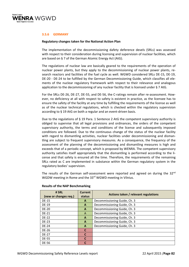

## **3.5.6 GERMANY**

## **Regulatory changes taken for the National Action Plan**

The implementation of the decommissioning dafety deference devels (SRLs) was assessed with respect to their consideration during licensing and supervision of nuclear facilities, which are based on § 7 of the German Atomic Energy Act (AtG).

The regulations of nuclear law are basically geared to the requirements of the operation of nuclear power plants, but they apply to the decommissioning of nuclear power plants, re‐ search reactors and facilities of the fuel cycle as well. WGWD considered SRLs DE‐15, DE‐19, DE-20 - DE-24 to be fulfilled by the German Decommissioning Guide, which classifies all elements of the nuclear regulatory framework with respect to their relevance and analogous application to the decommissioning of any nuclear facility that is licensed under § 7 AtG.

For the SRLs DE-26, DE-27, DE-55, and DE-56, the C-ratings remain after re-assessment. However, no deficiency at all with respect to safety is existent in practice, as the licensee has to ensure the safety of the facility at any time by fulfilling the requirements of the license as well as of the nuclear technical regulations, which is checked within the regulatory supervision according to § 19 AtG on both a regular and an event-driven basis.

Due to the regulations of § 19 Para. 1 Sentence 2 AtG the competent supervisory authority is obliged to supervise that all legal provisions and ordinances, the orders of the competent supervisory authority, the terms and conditions of the license and subsequently imposed conditions are followed. Due to the continuous change of the status of the nuclear facility with regard to dismantling activities, nuclear facilities under decommissioning and dismantling are subject to frequent supervisory measures. As a consequence, the frequency of the assessment of the planning of the decommissioning and dismantling measures is high and exceeds that of a periodic concept, which is proposed by WENRA. The competent supervisory authority satisfies itself appropriately that the dismantling is performed according to the li‐ cense and that safety is ensured all the time. Therefore, the requirements of the remaining SRLs rated as C are implemented in substance within the German regulatory system in the regulatory bodies' supervision.

The results of the German self-assessment were reported and agreed on during the 32<sup>nd</sup> WGDW meeting in Rome and the 33<sup>rd</sup> WGWD meeting in Vilnius.

| # SRL<br>(new or changes req.) | <b>Current</b><br>status | Actions taken / relevant regulations |
|--------------------------------|--------------------------|--------------------------------------|
| <b>DE-15</b>                   | A                        | Decommissioning Guide, Ch. 3         |
| DE-19                          | A                        | Decommissioning Guide, Ch. 3         |
| <b>DE-20</b>                   | A                        | Decommissioning Guide, Ch. 3         |
| <b>DF-21</b>                   | A                        | Decommissioning Guide, Ch. 3         |
| <b>DE-22</b>                   | A                        | Decommissioning Guide, Ch. 3         |
| <b>DE-23</b>                   | A                        | Decommissioning Guide, Ch. 3         |
| <b>DE-24</b>                   | A                        | Decommissioning Guide, Ch. 3         |
| DE-26                          | C                        |                                      |
| <b>DE-27</b>                   | $\mathbf C$              |                                      |
| <b>DE-55</b>                   | $\mathbf{C}$             |                                      |
| <b>DE-56</b>                   |                          |                                      |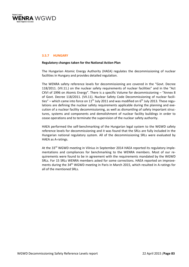

## **3.5.7 HUNGARY**

## **Regulatory changes taken for the National Action Plan**

The Hungarian Atomic Energy Authority (HAEA) regulates the decommissioning of nuclear facilities in Hungary and provides detailed regulation.

The WENRA safety reference levels for decommissioning are covered in the "Govt. Decree 118/2011. (VII.11.) on the nuclear safety requirements of nuclear facilities" and in the "Act CXVI of 1996 on Atomic Energy". There is a specific Volume for decommissioning – "Annex 8 of Govt. Decree 118/2011. (VII.11). Nuclear Safety Code Decommissioning of nuclear facili‐ ties" – which came into force on  $11<sup>th</sup>$  July 2011 and was modified on  $6<sup>th</sup>$  July 2013. These regulations are defining the nuclear safety requirements applicable during the planning and exe‐ cution of a nuclear facility decommissioning, as well as dismantling of safety important struc‐ tures, systems and components and demolishment of nuclear facility buildings in order to cease operations and to terminate the supervision of the nuclear safety authority.

HAEA performed the self-benchmarking of the Hungarian legal system to the WGWD safety reference levels for decommissioning and it was found that the SRLs are fully included in the Hungarian national regulatory system. All of the decommissioning SRLs were evaluated by HAEA as A‐ratings.

At the 33<sup>rd</sup> WGWD meeting in Vilnius in September 2014 HAEA reported its regulatory implementations and compliances for benchmarking to the WENRA members. Most of our re‐ quirements were found to be in agreement with the requirements mandated by the WGWD SRLs. For 15 SRLs WENRA members asked for some corrections. HAEA reported on improve‐ ments during the 34<sup>th</sup> WGWD meeting in Paris in March 2015, which resulted in A-ratings for all of the mentioned SRLs.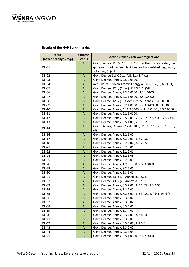

| # SRL                 | <b>Current</b>            | Actions taken / relevant regulations                               |  |
|-----------------------|---------------------------|--------------------------------------------------------------------|--|
| (new or changes req.) | status                    |                                                                    |  |
|                       | A                         | Govt. Decree 118/2011, (VII. 11.) on the nuclear safety re-        |  |
| <b>DE-01</b>          |                           | quirements of nuclear facilities and on related regulatory         |  |
|                       |                           | activities, 5. $\S$ (1)                                            |  |
| <b>DE-02</b>          | A                         | Govt. Decree 118/2011, (VII. 11.) 8. § (1)                         |  |
| <b>DE-03</b>          | A                         | Govt. Decree, Annex, 2.5.2.0500.                                   |  |
| <b>DE-04</b>          | A                         | Act CXVI of 1996 on Atomic Energy 41. §, 62. § (1), 63. § (1)      |  |
| <b>DE-05</b>          | A                         | Govt. Decree, 12. § (1), (4), 118/2011. (VII. 11.)                 |  |
| <b>DE-06</b>          | A                         | Govt. Decree, Annex, 2.3.4.0100., 2.2.1.0100.                      |  |
| <b>DE-07</b>          | A                         | Govt. Decree, Annex, 2.3.1.0300., 2.5.1.0400.                      |  |
| <b>DE-08</b>          | A                         | Govt. Decree, 12. § (3), Govt. Decree, Annex, 2.4.2.0100.          |  |
| <b>DE-09</b>          | A                         | Govt. Decree, Annex, 8.2.1.0100., 8.2.3.0700., 8.3.3.0100.         |  |
| <b>DE-10</b>          | A                         | Govt. Decree, Annex, 4.11.2.0300., 4.11,2.0400., 8.3.4.0300.       |  |
| DE-11                 | A                         | Govt. Decree, Annex, 2.2.1.0100.                                   |  |
| <b>DE-12</b>          | A                         | Govt. Decree, Annex, 2.5.2.01., 2.5.2.02., 2.5.2.03., 2.5.2.04.    |  |
| <b>DE-13</b>          | A                         | Govt. Decree, Annex, 2.5.1.01., 2.5.1.02.                          |  |
| <b>DE-14</b>          | A                         | Govt. Decree, Annex, 2.2.4.0100., 118/2011, (VII. 11.) 8. §<br>(4) |  |
| <b>DE-16</b>          | A                         | Govt. Decree, Annex, 8.2.1.02.                                     |  |
| <b>DE-17</b>          | A                         | Govt. Decree, Annex, 8.2.2.01., 8.2.2.03.                          |  |
| <b>DE-18</b>          | A                         | Govt. Decree, Annex, 8.2.2.02., 8.2.2.05.                          |  |
| <b>DE-21</b>          | A                         | Govt. Decree, Annex, 8.2.3.04.                                     |  |
| <b>DE-22</b>          | A                         | Govt. Decree, Annex, 8.2.2.01.                                     |  |
| <b>DE-24</b>          | A                         | Govt. Decree, Annex, 8.2.3.08.                                     |  |
| <b>DE-25</b>          | A                         | Govt. Decree, Annex, 8.2.3.09.                                     |  |
| <b>DE-28</b>          | A                         | Govt. Decree, Annex, 1.2.8.1500., 8.2.3.0100.                      |  |
| <b>DE-29</b>          | A                         | Govt. Decree, Annex, 8.2.5.01.                                     |  |
| <b>DE-30</b>          | A                         | Govt. Decree, Annex, 8.3.1.01.                                     |  |
| <b>DE-31</b>          | A                         | Govt. Decree, 43. § (2), Annex, 8.3.2.03.                          |  |
| <b>DE-32</b>          | A                         | Govt. Decree, 43. § (2), Annex, 8.3.2.03.                          |  |
| <b>DE-33</b>          | A                         | Govt. Decree, Annex, 8.3.2.01., 8.3.2.05., 8.3.2.06.               |  |
| <b>DE-34</b>          | A                         | Govt. Decree, Annex, 8.3.2.05.                                     |  |
| <b>DE-35</b>          | $\boldsymbol{\mathsf{A}}$ | Govt. Decree, Annex, 8.3.3.01., 8.3.3.02., 8. § (4), 14. § (3)     |  |
| DE-36                 | A                         | Govt. Decree, Annex, 8.3.3.02.                                     |  |
| <b>DE-37</b>          | A                         | Govt. Decree, Annex, 8.3.3.02.                                     |  |
| <b>DE-38</b>          | A                         | Govt. Decree, Annex, 8.3.4.01.                                     |  |
| <b>DE-39</b>          | A                         | Govt. Decree, Annex, 8.3.4.02.                                     |  |
| <b>DE-40</b>          | A                         | Govt. Decree, Annex, 8.3.4.03., 8.3.4.04.                          |  |
| DE-41                 | A                         | Govt. Decree, Annex, 8.3.5.01.                                     |  |
| <b>DE-42</b>          | A                         | Govt. Decree, Annex, 8.3.6.01., 8.2.5.01.                          |  |
| <b>DE-43</b>          | A                         | Govt. Decree, Annex, 8.3.6.02.                                     |  |
| <b>DE-44</b>          |                           |                                                                    |  |
|                       | A                         | Govt. Decree, Annex, 8.3.6.04.                                     |  |
| <b>DE-45</b>          | A                         | Govt. Decree, Annex, 2.5.1.0100., 2.5.2.0400.                      |  |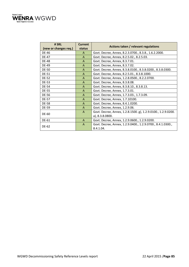

| # SRL                 | <b>Current</b> | Actions taken / relevant regulations                          |  |
|-----------------------|----------------|---------------------------------------------------------------|--|
| (new or changes req.) | status         |                                                               |  |
| DE-46                 | A              | Govt. Decree, Annex, 8.2.3.0700., 8.3.8., 1.6.2.2000.         |  |
| <b>DE-47</b>          | A              | Govt. Decree, Annex, 8.2.5.02., 8.2.5.03.                     |  |
| <b>DE-48</b>          | $\mathsf{A}$   | Govt. Decree, Annex, 8.3.7.01.                                |  |
| DE-49                 | A              | Govt. Decree, Annex, 8.3.7.02.                                |  |
| <b>DE-50</b>          | A              | Govt. Decree, Annex, 8.3.8.0100., 8.3.8.0200., 8.3.8.0300.    |  |
| <b>DE-51</b>          | A              | Govt. Decree, Annex, 8.2.5.01., 8.3.8.1000.                   |  |
| <b>DE-52</b>          | A              | Govt. Decree, Annex, 1.2.8.0500., 8.2.2.0700.                 |  |
| <b>DE-53</b>          | $\mathsf{A}$   | Govt. Decree, Annex, 8.3.8.08.                                |  |
| <b>DE-54</b>          | A              | Govt. Decree, Annex, 8.3.8.10., 8.3.8.13.                     |  |
| <b>DE-55</b>          | A              | Govt. Decree, Annex, 1.7.3.01.                                |  |
| <b>DE-56</b>          | A              | Govt. Decree, Annex, 1.7.3.03., 1.7.3.09.                     |  |
| <b>DE-57</b>          | A              | Govt. Decree, Annex, 1.7.10100.                               |  |
| <b>DE-58</b>          | $\mathsf{A}$   | Govt. Decree, Annex, 8.4.1.0200.                              |  |
| <b>DE-59</b>          | $\mathsf{A}$   | Govt. Decree, Annex, 1.2.9.06.                                |  |
| <b>DE-60</b>          | $\mathsf{A}$   | Govt. Decree, Annex, 1.2.8.1500. g), 1.2.9.0100., 1.2.9.0200. |  |
|                       |                | a), 8.3.8.0800.                                               |  |
| DE-61                 | $\mathsf{A}$   | Govt. Decree, Annex, 1.2.9.0600., 1.2.9.0200.                 |  |
| DE-62                 | $\mathsf{A}$   | Govt. Decree, Annex, 1.2.9.0400., 1.2.9.0700., 8.4.1.0300.,   |  |
|                       |                | 8.4.1.04.                                                     |  |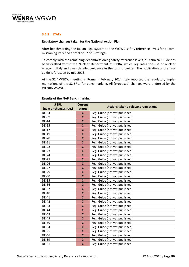

## **3.5.8 ITALY**

## **Regulatory changes taken for the National Action Plan**

After benchmarking the Italian legal system to the WGWD safety reference levels for decom‐ missioning Italy had a total of 32 of C-ratings.

To comply with the remaining decommissioning safety reference levels, a Technical Guide has been drafted within the Nuclear Department of ISPRA, which regulates the use of nuclear energy in Italy and gives detailed guidance in the form of guides. The publication of the final guide is foreseen by mid 2015.

At the 32<sup>th</sup> WGDW meeting in Rome in February 2014, Italy reported the regulatory implementations of the 32 SRLs for benchmarking. All (proposed) changes were endorsed by the WENRA WGWD.

| # SRL                 | <b>Current</b> | Actions taken / relevant regulations |  |
|-----------------------|----------------|--------------------------------------|--|
| (new or changes req.) | status         |                                      |  |
| <b>DE-04</b>          | $\mathbf c$    | Reg. Guide (not yet published)       |  |
| <b>DE-09</b>          | $\mathbf c$    | Reg. Guide (not yet published)       |  |
| <b>DE-14</b>          | C              | Reg. Guide (not yet published)       |  |
| <b>DE-15</b>          | $\mathbf c$    | Reg. Guide (not yet published)       |  |
| <b>DE-17</b>          | $\mathbf c$    | Reg. Guide (not yet published)       |  |
| <b>DE-19</b>          | $\mathbf c$    | Reg. Guide (not yet published)       |  |
| <b>DE-20</b>          | $\mathbf c$    | Reg. Guide (not yet published)       |  |
| <b>DE-21</b>          | $\mathbf c$    | Reg. Guide (not yet published)       |  |
| <b>DE-22</b>          | $\mathbf c$    | Reg. Guide (not yet published)       |  |
| <b>DE-23</b>          | $\mathbf c$    | Reg. Guide (not yet published)       |  |
| <b>DE-24</b>          | $\mathbf c$    | Reg. Guide (not yet published)       |  |
| <b>DE-25</b>          | C              | Reg. Guide (not yet published)       |  |
| <b>DE-26</b>          | $\mathbf c$    | Reg. Guide (not yet published)       |  |
| <b>DE-27</b>          | $\mathbf c$    | Reg. Guide (not yet published)       |  |
| <b>DE-29</b>          | $\mathbf c$    | Reg. Guide (not yet published)       |  |
| <b>DE-30</b>          | $\mathbf c$    | Reg. Guide (not yet published)       |  |
| <b>DE-35</b>          | $\mathbf c$    | Reg. Guide (not yet published)       |  |
| <b>DE-36</b>          | $\mathbf c$    | Reg. Guide (not yet published)       |  |
| <b>DE-37</b>          | $\mathbf c$    | Reg. Guide (not yet published)       |  |
| <b>DE-40</b>          | $\mathbf c$    | Reg. Guide (not yet published)       |  |
| <b>DE-41</b>          | $\mathbf c$    | Reg. Guide (not yet published)       |  |
| <b>DE-42</b>          | $\mathbf c$    | Reg. Guide (not yet published)       |  |
| <b>DE-43</b>          | $\mathbf c$    | Reg. Guide (not yet published)       |  |
| <b>DE-44</b>          | $\mathbf c$    | Reg. Guide (not yet published)       |  |
| <b>DE-48</b>          | $\mathbf c$    | Reg. Guide (not yet published)       |  |
| <b>DE-49</b>          | $\mathbf c$    | Reg. Guide (not yet published)       |  |
| <b>DE-50</b>          | $\mathbf c$    | Reg. Guide (not yet published)       |  |
| <b>DE-54</b>          | $\mathbf c$    | Reg. Guide (not yet published)       |  |
| <b>DE-55</b>          | $\mathbf c$    | Reg. Guide (not yet published)       |  |
| <b>DE-56</b>          | C              | Reg. Guide (not yet published)       |  |
| <b>DE-59</b>          | $\mathbf c$    | Reg. Guide (not yet published)       |  |
| DE-61                 | $\mathbf c$    | Reg. Guide (not yet published)       |  |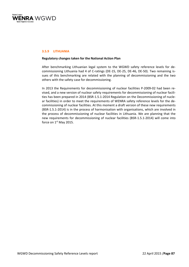

## **3.5.9 LITHUANIA**

## **Regulatory changes taken for the National Action Plan**

After benchmarking Lithuanian legal system to the WGWD safety reference levels for de‐ commissioning Lithuania had 4 of C-ratings (DE-15, DE-25, DE-46, DE-50). Two remaining issues of this benchmarking are related with the planning of decommissioning and the two others with the safety case for decommissioning.

In 2013 the Requirements for decommissioning of nuclear facilities P‐2009‐02 had been re‐ vised, and a new version of nuclear safety requirements for decommissioning of nuclear facili‐ ties has been prepared in 2014 (BSR-1.5.1-2014 Regulation on the Decommissioning of nuclear facilities) in order to meet the requirements of WENRA safety reference levels for the de‐ commissioning of nuclear facilities. At this moment a draft version of these new requirements (BSR‐1.5.1‐2014) is in the process of harmonisation with organisations, which are involved in the process of decommissioning of nuclear facilities in Lithuania. We are planning that the new requirements for decommissioning of nuclear facilities (BSR‐1.5.1‐2014) will come into force on  $1<sup>st</sup>$  May 2015.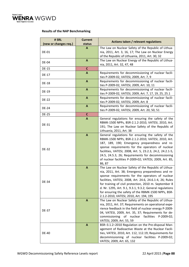

| # SRL<br>(new or changes req.) | <b>Current</b><br>status  | Actions taken / relevant regulations                                                                                                                                                                                                                                                                                                                                                                                                              |
|--------------------------------|---------------------------|---------------------------------------------------------------------------------------------------------------------------------------------------------------------------------------------------------------------------------------------------------------------------------------------------------------------------------------------------------------------------------------------------------------------------------------------------|
| DE-01                          | A                         | The Law on Nuclear Safety of the Republic of Lithua-<br>nia, 2011, Art. 3, 16, 17; The Law on Nuclear Energy                                                                                                                                                                                                                                                                                                                                      |
|                                |                           | of the Republic of Lithuania, 2011, Art. 30, 32                                                                                                                                                                                                                                                                                                                                                                                                   |
| DE-04                          | $\mathbf{A}$              | The Law on Nuclear Energy of the Republic of Lithua-<br>nia, 2011, Art. 32, 47, 48                                                                                                                                                                                                                                                                                                                                                                |
| <b>DE-15</b>                   | C                         |                                                                                                                                                                                                                                                                                                                                                                                                                                                   |
| <b>DE-17</b>                   | A                         | Requirements for decommissioning of nuclear facili-<br>ties P-2009-02, VATESI, 2009, Art. 7, 9                                                                                                                                                                                                                                                                                                                                                    |
| <b>DE-18</b>                   | A                         | Requirements for decommissioning of nuclear facili-<br>ties P-2009-02, VATESI, 2009, Art. 10, 11                                                                                                                                                                                                                                                                                                                                                  |
| DE-19                          | A                         | Requirements for decommissioning of nuclear facili-<br>ties P-2009-02, VATESI, 2009, Art. 7, 17, 19, 25, 25.1                                                                                                                                                                                                                                                                                                                                     |
| <b>DE-22</b>                   | A                         | Requirements for decommissioning of nuclear facili-<br>ties P-2009-02, VATESI, 2009, Art. 8                                                                                                                                                                                                                                                                                                                                                       |
| DE-24                          | $\boldsymbol{\mathsf{A}}$ | Requirements for decommissioning of nuclear facili-<br>ties P-2009-02, VATESI, 2009, Art. 20, 50, 51                                                                                                                                                                                                                                                                                                                                              |
| <b>DE-25</b>                   | $\mathbf c$               |                                                                                                                                                                                                                                                                                                                                                                                                                                                   |
| DE-31                          | A                         | General regulations for ensuring the safety of the<br>RBMK-1500 NPPs, BSR-2.1.2-2010, VATESI, 2010, Art.<br>191; The Law on Nuclear Safety of the Republic of<br>Lithuania, 2011, Art. 38                                                                                                                                                                                                                                                         |
| <b>DE-32</b>                   | A                         | General regulations for ensuring the safety of the<br>RBMK-1500 NPPs, BSR-2.1.2-2010, VATESI, 2010, Art.<br>187, 189, 190; Emergency preparedness and re-<br>sponse requirements for the operators of nuclear<br>facilities, VATESI, 2008, Art. 5, 23.2.3, 24.2, 24.2.1-5,<br>24.5, 24.5.3, 26; Requirements for decommissioning<br>of nuclear facilities P-2009-02; VATESI, 2009, Art. 85,<br>86, 87                                             |
| DE-34                          | A                         | The Law on Nuclear Safety of the Republic of Lithua-<br>nia, 2011, Art. 38; Emergency preparedness and re-<br>sponse requirements for the operators of nuclear<br>facilities, VATESI, 2008, Art. 24.6, 24.6.1-4, 26; Rules<br>for training of civil protection, 2010 m. September 8<br>d. Nr. 1295, Art. 9.1, 9.3.1, 9.3.2; General regulations<br>for ensuring the safety of the RBMK-1500 NPPs, BSR-<br>2.1.2-2010, VATESI, 2010, Art. 194, 195 |
| DE-37                          | A                         | The Law on Nuclear Safety of the Republic of Lithua-<br>nia, 2011, Art. 37; Requirements on operational expe-<br>rience feedback in the field of nuclear energy P-2009-<br>04, VATESI, 2009, Art. 35, 37; Requirements for de-<br>commissioning of nuclear facilities<br>P-2009-02;<br>VATESI, 2009, Art. 55, 59                                                                                                                                  |
| <b>DE-40</b>                   | A                         | BSR-3.1.2-2010 Regulation on the Pre-disposal Man-<br>agement of Radioactive Waste at the Nuclear Facili-<br>ties, VATESI, 2010, Art. 112, 112.19; Requirements for<br>decommissioning of nuclear facilities P-2009-02;<br>VATESI, 2009, Art. 65, 132                                                                                                                                                                                             |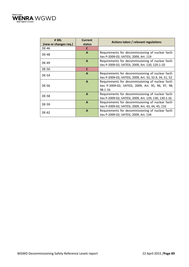

| # SRL<br>(new or changes req.) | <b>Current</b><br>status | Actions taken / relevant regulations                                                                                 |
|--------------------------------|--------------------------|----------------------------------------------------------------------------------------------------------------------|
| <b>DE-46</b>                   | C                        |                                                                                                                      |
| <b>DF-48</b>                   | $\mathbf{A}$             | Requirements for decommissioning of nuclear facili-<br>ties P-2009-02; VATESI, 2009, Art. 119                        |
| <b>DE-49</b>                   | $\mathbf{A}$             | Requirements for decommissioning of nuclear facili-<br>ties P-2009-02; VATESI, 2009, Art. 120, 120.1-10              |
| <b>DE-50</b>                   | $\mathbf{C}$             |                                                                                                                      |
| <b>DE-54</b>                   | $\mathbf{A}$             | Requirements for decommissioning of nuclear facili-<br>ties P-2009-02; VATESI, 2009, Art. 32, 32.9, 34, 51, 52       |
| <b>DE-56</b>                   | $\mathbf{A}$             | Requirements for decommissioning of nuclear facili-<br>ties P-2009-02; VATESI, 2009, Art. 95, 96, 97, 98,<br>98.1-16 |
| <b>DE-58</b>                   | $\mathbf{A}$             | Requirements for decommissioning of nuclear facili-<br>ties P-2009-02; VATESI, 2009, Art. 129, 130, 130.1-16         |
| <b>DE-59</b>                   | $\mathbf{A}$             | Requirements for decommissioning of nuclear facili-<br>ties P-2009-02; VATESI, 2009, Art. 43, 44, 45, 132            |
| DE-62                          | $\mathbf{A}$             | Requirements for decommissioning of nuclear facili-<br>ties P-2009-02; VATESI, 2009, Art. 134                        |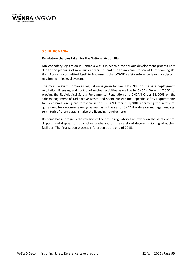

## **3.5.10 ROMANIA**

## **Regulatory changes taken for the National Action Plan**

Nuclear safety legislation in Romania was subject to a continuous development process both due to the planning of new nuclear facilities and due to implementation of European legislation. Romania committed itself to implement the WGWD safety reference levels on decom‐ missioning in its legal system.

The most relevant Romanian legislation is given by Law 111/1996 on the safe deployment, regulation, licensing and control of nuclear activities as well as by CNCAN Order 14/2000 approving the Radiological Safety Fundamental Regulation and CNCAN Order 56/2005 on the safe management of radioactive waste and spent nuclear fuel. Specific safety requirements for decommissioning are foreseen in the CNCAN Order 181/2001 approving the safety requirement for decommissioning as well as in the set of CNCAN orders on management sys‐ tem. Both of them establish also the licensing requirements.

Romania has in progress the revision of the entire regulatory framework on the safety of pre‐ disposal and disposal of radioactive waste and on the safety of decommissioning of nuclear facilities. The finalisation process is foreseen at the end of 2015.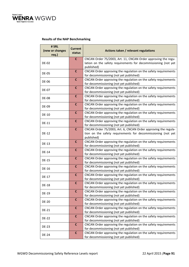

| # SRL<br>(new or changes<br>req.) | <b>Current</b><br>status | Actions taken / relevant regulations                                                                                                          |
|-----------------------------------|--------------------------|-----------------------------------------------------------------------------------------------------------------------------------------------|
| <b>DE-02</b>                      | $\mathbf{C}$             | CNCAN Order 75/2003, Art. 11, CNCAN Order approving the regu-<br>lation on the safety requirements for decommissioning (not yet<br>published) |
| <b>DE-05</b>                      | $\mathbf{C}$             | CNCAN Order approving the regulation on the safety requirements<br>for decommissioning (not yet published)                                    |
| <b>DE-06</b>                      | $\mathbf c$              | CNCAN Order approving the regulation on the safety requirements<br>for decommissioning (not yet published)                                    |
| <b>DE-07</b>                      | $\mathbf c$              | CNCAN Order approving the regulation on the safety requirements<br>for decommissioning (not yet published)                                    |
| <b>DE-08</b>                      | $\mathbf c$              | CNCAN Order approving the regulation on the safety requirements<br>for decommissioning (not yet published)                                    |
| <b>DE-09</b>                      | $\mathbf c$              | CNCAN Order approving the regulation on the safety requirements<br>for decommissioning (not yet published)                                    |
| DE-10                             | $\mathbf c$              | CNCAN Order approving the regulation on the safety requirements<br>for decommissioning (not yet published)                                    |
| DE-11                             | $\mathbf c$              | CNCAN Order approving the regulation on the safety requirements<br>for decommissioning (not yet published)                                    |
| DE-12                             | $\mathbf C$              | CNCAN Order 75/2003, Art. 6, CNCAN Order approving the regula-<br>tion on the safety requirements for decommissioning (not yet<br>published)  |
| DE-13                             | $\mathbf c$              | CNCAN Order approving the regulation on the safety requirements<br>for decommissioning (not yet published)                                    |
| DE-14                             | $\mathbf c$              | CNCAN Order approving the regulation on the safety requirements<br>for decommissioning (not yet published)                                    |
| <b>DE-15</b>                      | $\mathbf c$              | CNCAN Order approving the regulation on the safety requirements<br>for decommissioning (not yet published)                                    |
| DE-16                             | $\mathbf{C}$             | CNCAN Order approving the regulation on the safety requirements<br>for decommissioning (not yet published)                                    |
| <b>DE-17</b>                      | $\mathbf c$              | CNCAN Order approving the regulation on the safety requirements<br>for decommissioning (not yet published)                                    |
| <b>DE-18</b>                      | $\mathbf c$              | CNCAN Order approving the regulation on the safety requirements<br>for decommissioning (not yet published)                                    |
| DE-19                             | C                        | CNCAN Order approving the regulation on the safety requirements<br>for decommissioning (not yet published)                                    |
| <b>DE-20</b>                      | $\mathbf c$              | CNCAN Order approving the regulation on the safety requirements<br>for decommissioning (not yet published)                                    |
| DE-21                             | $\mathbf c$              | CNCAN Order approving the regulation on the safety requirements<br>for decommissioning (not yet published)                                    |
| <b>DE-22</b>                      | $\mathbf c$              | CNCAN Order approving the regulation on the safety requirements<br>for decommissioning (not yet published)                                    |
| DE-23                             | $\mathbf c$              | CNCAN Order approving the regulation on the safety requirements<br>for decommissioning (not yet published)                                    |
| <b>DE-24</b>                      | $\mathbf c$              | CNCAN Order approving the regulation on the safety requirements<br>for decommissioning (not yet published)                                    |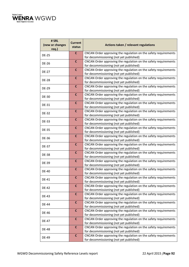

| # SRL<br>(new or changes<br>req.) | <b>Current</b><br>status | Actions taken / relevant regulations                                                                       |
|-----------------------------------|--------------------------|------------------------------------------------------------------------------------------------------------|
| <b>DE-25</b>                      | $\mathbf c$              | CNCAN Order approving the regulation on the safety requirements<br>for decommissioning (not yet published) |
| <b>DE-26</b>                      | C                        | CNCAN Order approving the regulation on the safety requirements<br>for decommissioning (not yet published) |
| <b>DE-27</b>                      | $\mathbf c$              | CNCAN Order approving the regulation on the safety requirements                                            |
| <b>DE-28</b>                      | $\mathbf c$              | for decommissioning (not yet published)<br>CNCAN Order approving the regulation on the safety requirements |
| DE-29                             | $\mathbf c$              | for decommissioning (not yet published)<br>CNCAN Order approving the regulation on the safety requirements |
| <b>DE-30</b>                      | $\mathbf c$              | for decommissioning (not yet published)<br>CNCAN Order approving the regulation on the safety requirements |
|                                   | $\mathbf c$              | for decommissioning (not yet published)<br>CNCAN Order approving the regulation on the safety requirements |
| DE-31                             | $\mathbf c$              | for decommissioning (not yet published)<br>CNCAN Order approving the regulation on the safety requirements |
| DE-32                             |                          | for decommissioning (not yet published)                                                                    |
| <b>DE-33</b>                      | C                        | CNCAN Order approving the regulation on the safety requirements<br>for decommissioning (not yet published) |
| <b>DE-35</b>                      | $\mathbf c$              | CNCAN Order approving the regulation on the safety requirements<br>for decommissioning (not yet published) |
| DE-36                             | $\mathbf c$              | CNCAN Order approving the regulation on the safety requirements<br>for decommissioning (not yet published) |
| DE-37                             | $\mathbf c$              | CNCAN Order approving the regulation on the safety requirements<br>for decommissioning (not yet published) |
| <b>DE-38</b>                      | $\mathbf c$              | CNCAN Order approving the regulation on the safety requirements<br>for decommissioning (not yet published) |
| DE-39                             | $\mathbf c$              | CNCAN Order approving the regulation on the safety requirements<br>for decommissioning (not yet published) |
| <b>DE-40</b>                      | $\mathbf c$              | CNCAN Order approving the regulation on the safety requirements                                            |
| <b>DE-41</b>                      | $\mathbf c$              | for decommissioning (not yet published)<br>CNCAN Order approving the regulation on the safety requirements |
| <b>DE-42</b>                      | $\mathbf c$              | for decommissioning (not yet published)<br>CNCAN Order approving the regulation on the safety requirements |
|                                   | $\mathbf c$              | for decommissioning (not yet published)<br>CNCAN Order approving the regulation on the safety requirements |
| DE-43                             | $\mathbf c$              | for decommissioning (not yet published)<br>CNCAN Order approving the regulation on the safety requirements |
| <b>DE-44</b>                      | $\mathbf c$              | for decommissioning (not yet published)                                                                    |
| <b>DE-46</b>                      |                          | CNCAN Order approving the regulation on the safety requirements<br>for decommissioning (not yet published) |
| <b>DE-47</b>                      | $\mathbf c$              | CNCAN Order approving the regulation on the safety requirements<br>for decommissioning (not yet published) |
| <b>DE-48</b>                      | $\mathbf c$              | CNCAN Order approving the regulation on the safety requirements<br>for decommissioning (not yet published) |
| DE-49                             | $\mathbf c$              | CNCAN Order approving the regulation on the safety requirements<br>for decommissioning (not yet published) |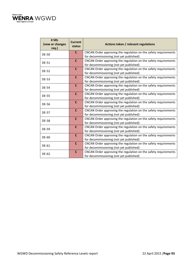

| # SRL<br>(new or changes<br>req.) | <b>Current</b><br>status | Actions taken / relevant regulations                            |
|-----------------------------------|--------------------------|-----------------------------------------------------------------|
| <b>DE-50</b>                      | $\mathbf{C}$             | CNCAN Order approving the regulation on the safety requirements |
|                                   |                          | for decommissioning (not yet published)                         |
| <b>DE-51</b>                      | $\mathbf c$              | CNCAN Order approving the regulation on the safety requirements |
|                                   |                          | for decommissioning (not yet published)                         |
| <b>DE-52</b>                      | $\mathbf{C}$             | CNCAN Order approving the regulation on the safety requirements |
|                                   |                          | for decommissioning (not yet published)                         |
| <b>DE-53</b>                      | $\mathbf c$              | CNCAN Order approving the regulation on the safety requirements |
|                                   |                          | for decommissioning (not yet published)                         |
| <b>DE-54</b>                      | $\mathbf c$              | CNCAN Order approving the regulation on the safety requirements |
|                                   |                          | for decommissioning (not yet published)                         |
| <b>DE-55</b>                      | $\mathbf c$              | CNCAN Order approving the regulation on the safety requirements |
|                                   |                          | for decommissioning (not yet published)                         |
| <b>DE-56</b>                      | $\mathbf{C}$             | CNCAN Order approving the regulation on the safety requirements |
|                                   |                          | for decommissioning (not yet published)                         |
| <b>DE-57</b>                      | $\mathbf c$              | CNCAN Order approving the regulation on the safety requirements |
|                                   |                          | for decommissioning (not yet published)                         |
| <b>DE-58</b>                      | $\mathbf C$              | CNCAN Order approving the regulation on the safety requirements |
|                                   |                          | for decommissioning (not yet published)                         |
|                                   | $\mathbf c$              | CNCAN Order approving the regulation on the safety requirements |
| <b>DE-59</b>                      |                          | for decommissioning (not yet published)                         |
|                                   | $\mathbf c$              | CNCAN Order approving the regulation on the safety requirements |
| DE-60                             |                          | for decommissioning (not yet published)                         |
|                                   | $\mathbf c$              | CNCAN Order approving the regulation on the safety requirements |
| DE-61                             |                          | for decommissioning (not yet published)                         |
|                                   | $\mathbf c$              | CNCAN Order approving the regulation on the safety requirements |
| DE-62                             |                          | for decommissioning (not yet published)                         |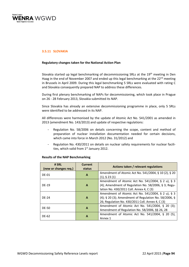

## **3.5.11 SLOVAKIA**

## **Regulatory changes taken for the National Action Plan**

Slovakia started up legal benchmarking of decommissioning SRLs at the 19<sup>th</sup> meeting in Den Haag in the end of November 2007 and ended up this legal benchmarking at the  $22^{nd}$  meeting in Brussels in April 2009. During this legal benchmarking 5 SRLs were evaluated with rating C and Slovakia consequently prepared NAP to address these differences.

During first plenary benchmarking of NAPs for decommissioning, which took place in Prague on 26 ‐ 28 February 2013, Slovakia submitted its NAP.

Since Slovakia has already an extensive decommissioning programme in place, only 5 SRLs were identified to be addressed in its NAP.

All differences were harmonised by the update of Atomic Act No. 541/2001 as amended in 2013 (amendment No. 143/2013) and update of respective regulations:

- Regulation No. 58/2006 on details concerning the scope, content and method of preparation of nuclear installation documentation needed for certain decisions, which came into force in March 2012 (No. 31/2012) and
- Regulation No. 430/2011 on details on nuclear safety requirements for nuclear facilities, which valid from  $1<sup>st</sup>$  January 2012.

| # SRL<br>(new or changes req.) | <b>Current</b><br>status | Actions taken / relevant regulations                                                                                                                           |
|--------------------------------|--------------------------|----------------------------------------------------------------------------------------------------------------------------------------------------------------|
| <b>DE-01</b>                   | A                        | Amendment of Atomic Act No. 541/2004, § 10 (2), § 20<br>(1), 623(1)                                                                                            |
| <b>DE-19</b>                   | A                        | Amendment of Atomic Act No. 541/2004, § 2 u), § 3<br>(4); Amendment of Regulation No. 58/2006, § 3; Regu-<br>lation No. 430/2011 Coll. Annex 4, C (3)          |
| DF-24                          | A                        | Amendment of Atomic Act No. 541/2004, § 2 u), § 3<br>(4); § 20 (3); Amendment of Regulation No. 58/2006, §<br>26; Regulation No. 430/2011 Coll. Annex 4, C (3) |
| <b>DE-50</b>                   | A                        | Amendment of Atomic Act No. 541/2004, § 20 (3);<br>Amendment of Regulation No. 58/2006, §§ 26, 28                                                              |
| <b>DE-62</b>                   | A                        | Amendment of Atomic Act No. 541/2004, § 20 (5),<br>Annex 1                                                                                                     |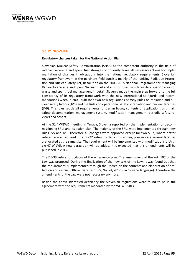

## **3.5.12 SLOVENIA**

## **Regulatory changes taken for the National Action Plan**

Slovenian Nuclear Safety Administration (SNSA) as the competent authority in the field of radioactive waste and spent fuel storage continuously takes all necessary actions for imple‐ mentation of changes in obligations into the national regulatory requirements. Slovenian regulatory framework in the pertinent field consists mainly of the Ionizing Radiation Protec‐ tion and Nuclear Safety Act, Resolution on the 2006‐2015 National Programme for Managing Radioactive Waste and Spent Nuclear Fuel and a list of rules, which regulate specific areas of waste and spent fuel management in detail. Slovenia made the main step forward to the full consistency of its regulatory framework with the new international standards and recom‐ mendations when in 2009 published two new regulations namely Rules on radiation and nuclear safety factors (JV5) and the Rules on operational safety of radiation and nuclear facilities (JV9). The rules set detail requirements for design bases, contents of applications and main safety documentation, management system, modification management, periodic safety reviews and others.

At the  $31<sup>th</sup>$  WGWD meeting in Trnava, Slovenia reported on the implementation of decommissioning SRLs and its action plan. The majority of the SRLs were implemented through new rules JV5 and JV9. Therefore all changes were approved except for two SRLs, where better reference was required. The DE‐22 refers to decommissioning plan in case several facilities are located at the same site. The requirement will be implemented with modifications of Article 47 of JV5. A new paragraph will be added. It is expected that this amendments will be published in 2015.

The DE‐33 refers to updates of the emergency plan. The amendment of the Art. 107 of the Law was proposed. During the finalization of the new text of the Law, it was found out that the requirement is implemented through the Decree on the contents and elaboration of pro‐ tection and rescue (Official Gazette of RS, No. 24/2012 – in Slovene language). Therefore the amendments of the Law were not necessary anymore.

Beside the above identified deficiency the Slovenian regulations were found to be in full agreement with the requirements mandated by the WGWD SRLs.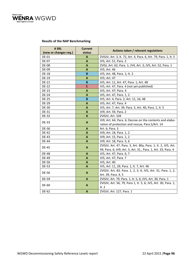

| # SRL<br>(new or changes req.) | <b>Current</b><br>status | Actions taken / relevant regulations                                                                                           |
|--------------------------------|--------------------------|--------------------------------------------------------------------------------------------------------------------------------|
| <b>DE-01</b>                   | A                        | ZVISJV, Art. 3, It. 72, Art. 4, Para. 6, Art. 79, Para. 1, It. 5                                                               |
| <b>DE-07</b>                   | A                        | JV5, Art. 51, Para. 2                                                                                                          |
| <b>DE-08</b>                   | A                        | ZVISJ, Art. 62, Para. 1; JV4, Art. 3; JV5, Art. 52, Para. 1                                                                    |
| <b>DE-09</b>                   | Α                        | JV5, Art. 46                                                                                                                   |
| <b>DE-18</b>                   | $\pmb B$                 | JV5, Art. 48, Para. 1; It. 2                                                                                                   |
| <b>DE-19</b>                   | A                        | JV5; Art. 47                                                                                                                   |
| <b>DE-21</b>                   | B                        | JV5, Art. 11, Art. 47, Para. 1, Art. 48                                                                                        |
| <b>DE-22</b>                   | $\mathbf c$              | JV5, Art. 47, Para. 4 (not yet published)                                                                                      |
| <b>DE-23</b>                   | A                        | JV5, Art. 47; Para. 4                                                                                                          |
| <b>DE-24</b>                   | A                        | JV5, Art. 47, Para. 1, 2                                                                                                       |
| <b>DE-25</b>                   | B                        | JV5, Art. 4, Para. 2, Art. 11, 16, 48                                                                                          |
| <b>DE-29</b>                   | A                        | JV5, Art. 47, Para. 4                                                                                                          |
| <b>DE-30</b>                   | A                        | JV5, Art. 7, Art. 39, Para. 5, Art. 40, Para. 1, It. 5                                                                         |
| DE-31                          | A                        | JV9, Art. 59, Para. 2                                                                                                          |
| <b>DE-32</b>                   | A                        | ZVISJV, Art. 104                                                                                                               |
| <b>DE-33</b>                   | A                        | JV9, Art. 64, Para. 6; Decree on the contents and elabo-<br>ration of protection and rescue, Para.5/Art. 14                    |
| <b>DE-36</b>                   | A                        | Art. 6, Para. 3                                                                                                                |
| <b>DE-42</b>                   | A                        | JV9, Art. 18, Para. 1, 2                                                                                                       |
| DE-43                          | A                        | JV9, Art. 15, Para. 1, 2                                                                                                       |
| <b>DE-44</b>                   | A                        | JV9, Art. 18, Para. 5, 6                                                                                                       |
| <b>DE-45</b>                   | A                        | ZVISJV, Art. 47, Para. 3, Art. 80a, Para. 1, It. 2, JV5, Art.<br>49, Para. 6; JV9, Art. 5, Art. 31., Para. 1, Art. 33, Para. 4 |
| <b>DE-48</b>                   | A                        | JV5, Art. 47, Para. 6, 7                                                                                                       |
| <b>DE-49</b>                   | A                        | JV5, Art. 47, Para. 7                                                                                                          |
| <b>DE-50</b>                   | A                        | JV5, Art. 40                                                                                                                   |
| <b>DE-53</b>                   | A                        | JV5, Art. 11, 29, Para. 1, lt. 7, Art. 46                                                                                      |
| <b>DE-56</b>                   | A                        | ZVISJV, Art. 83, Para. 1, 2, 3, 4; JV5, Art. 31, Para. 1, 2,<br>Art. 39, Para. 4, 5                                            |
| <b>DE-59</b>                   | A                        | ZVISJV, Art. 79, Para. 1, lt. 5, 6; JV5, Art. 30, Para. 1                                                                      |
| <b>DE-60</b>                   | A                        | ZVISJV, Art. 56, 79, Para 1, lt. 5, 6; JV5, Art. 30, Para. 1,<br>It. $2$                                                       |
| DE-62                          | A                        | ZVISJV, Art. 127, Para. 1                                                                                                      |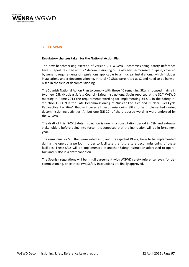

## **3.5.13 SPAIN**

## **Regulatory changes taken for the National Action Plan**

The new benchmarking exercise of version 2.1 WGWD Decommissioning Safety Reference Levels Report resulted with 22 decommissioning SRL's already harmonised in Spain, covered by generic requirements of regulations applicable to all nuclear installations, which includes installations under decommissioning. In total 40 SRLs were rated as C, and need to be harmonised in the field of decommissioning.

The Spanish National Action Plan to comply with these 40 remaining SRLs is focused mainly in two new CSN (Nuclear Safety Council) Safety Instructions. Spain reported at the 32<sup>nd</sup> WGWD meeting in Rome 2014 the requirements wording for implementing 34 SRL in the Safety Instruction IS‐XX "On the Safe Decommissioning of Nuclear Facilities and Nuclear Fuel Cycle Radioactive Facilities" that will cover all decommissioning SRLs to be implemented during decommissioning activities. All but one (DE‐22) of the proposed wording were endorsed by the WGWD.

The draft of this IS‐XX Safety Instruction is now in a consultation period in CSN and external stakeholders before being into force. It is supposed that the instruction will be in force next year.

The remaining six SRL that were rated as C, and the rejected DE‐22, have to be implemented during the operating period in order to facilitate the future safe decommissioning of these facilities. These SRLs will be implemented in another Safety Instruction addressed to opera‐ tors and is also in a draft condition.

The Spanish regulations will be in full agreement with WGWD safety reference levels for de‐ commissioning, once these two Safety Instructions are finally approved.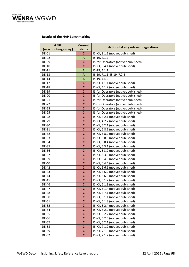

| # SRL                 | <b>Current</b>            | Actions taken / relevant regulations |
|-----------------------|---------------------------|--------------------------------------|
| (new or changes req.) | status                    |                                      |
| DE-01                 | $\mathbf c$               | IS-XX, 3.1.1 (not yet published)     |
| <b>DE-02</b>          | A                         | IS-19, 4.1.2                         |
| <b>DE-09</b>          | $\mathbf c$               | IS-for-Operators (not yet published) |
| <b>DE-10</b>          | $\mathbf c$               | IS-XX, 5.4.1 (not yet published)     |
| DE-11                 | A                         | IS-19, 4.1.1                         |
| <b>DE-13</b>          | A                         | IS-19, 7.1.1; IS-19, 7.2.4           |
| <b>DE-14</b>          | $\boldsymbol{\mathsf{A}}$ | IS-19, 4.4.2                         |
| <b>DE-17</b>          | $\mathbf c$               | IS-XX, 4.1.1 (not yet published)     |
| <b>DE-18</b>          | $\mathbf c$               | IS-XX, 4.1.2 (not yet published)     |
| <b>DE-19</b>          | $\mathbf c$               | IS-for-Operators (not yet published) |
| <b>DE-20</b>          | $\mathbf c$               | IS-for-Operators (not yet published) |
| <b>DE-21</b>          | $\mathbf c$               | IS-for-Operators (not yet published) |
| <b>DE-22</b>          | C                         | IS-for-Operators (not yet Published) |
| <b>DE-23</b>          | C                         | IS-for-Operators (not yet published) |
| <b>DE-25</b>          | $\mathbf c$               | IS-for-Operators (not yet published) |
| <b>DE-28</b>          | $\mathbf c$               | IS-XX, 4.2.1 (not yet published)     |
| <b>DE-29</b>          | $\mathbf c$               | IS-XX, 4.2.2 (not yet published)     |
| <b>DE-30</b>          | $\mathbf c$               | IS-XX, 5.2.1 (not yet published)     |
| DE-31                 | $\mathbf c$               | IS-XX, 5.8.1 (not yet published)     |
| <b>DE-32</b>          | $\mathbf c$               | IS-XX, 5.8.2 (not yet published)     |
| <b>DE-33</b>          | $\mathbf c$               | IS-XX, 5.8.3 (not yet published)     |
| <b>DE-34</b>          | $\mathbf c$               | IS-XX, 5.8.4 (not yet published)     |
| <b>DE-35</b>          | C                         | IS-XX, 5.3.1 (not yet published)     |
| <b>DE-36</b>          | $\mathbf c$               | IS-XX, 5.3.2 (not yet published)     |
| <b>DE-37</b>          | $\mathbf c$               | IS-XX, 5.3.3 (not yet published)     |
| <b>DE-39</b>          | $\mathbf c$               | IS-XX, 5.4.3 (not yet published)     |
| <b>DE-40</b>          | $\mathbf c$               | IS-XX, 5.4.4 (not yet published)     |
| <b>DE-42</b>          | C                         | IS-XX, 5.6.1 (not yet published)     |
| <b>DE-43</b>          | $\mathbf c$               | IS-XX, 5.6.2 (not yet published)     |
| <b>DE-44</b>          | $\mathbf c$               | IS-XX, 5.6.3 (not yet published)     |
| <b>DE-45</b>          | $\mathbf c$               | IS-XX, 5.1.2 (not yet published)     |
| <b>DE-46</b>          | $\mathbf c$               | IS-XX, 5.1.3 (not yet published)     |
| <b>DE-47</b>          | C                         | IS-XX, 5.1.4 (not yet published)     |
| <b>DE-48</b>          | $\mathbf c$               | IS-XX, 5.7.1 (not yet published)     |
| <b>DE-50</b>          | $\mathbf c$               | IS-XX, 6.1.1 (not yet published)     |
| <b>DE-51</b>          | $\mathbf c$               | IS-XX, 6.1.3 (not yet published)     |
| <b>DE-52</b>          | $\mathbf c$               | IS-XX, 6.2.4 (not yet published)     |
| <b>DE-54</b>          | $\mathbf c$               | IS-XX, 6.2.2 (not yet published)     |
| <b>DE-55</b>          | $\mathbf c$               | IS-XX, 6.2.2 (not yet published)     |
| <b>DE-56</b>          | $\mathbf c$               | IS-XX, 6.2.3 (not yet published)     |
| <b>DE-57</b>          | C                         | IS-XX, 6.2.1 (not yet published)     |
| <b>DE-58</b>          | $\mathbf c$               | IS-XX, 7.1.2 (not yet published)     |
| <b>DE-59</b>          | $\mathbf c$               | IS-XX, 7.1.3 (not yet published)     |
| DE-62                 | $\mathbf c$               | IS-XX, 7.1.2 (not yet published)     |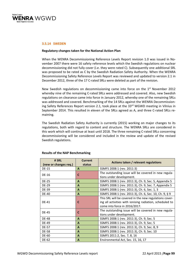

## **3.5.14 SWEDEN**

#### **Regulatory changes taken for the National Action Plan**

When the WENRA Decommissioning Reference Levels Report revision 1.0 was issued in November 2007 there were 16 safety reference levels which the Swedish regulations on nuclear decommissioning did not fully cover (i.e. they were rated C). Subsequently one additional SRL was proposed to be rated as C by the Swedish Radiation Safety Authority. When the WENRA Decommissioning Safety Reference Levels Report was reviewed and updated to version 2.1 in December 2012, three of the 17 C-rated SRLs were deleted as part of the revision.

New Swedish regulations on decommissioning came into force on the  $1<sup>st</sup>$  November 2012 whereby nine of the remaining C-rated SRLs were addressed and covered. Also, new Swedish regulations on clearance came into force in January 2012, whereby one of the remaining SRLs was addressed and covered. Benchmarking of the 14 SRLs against the WENRA Decommissioning Safety References Report version 2.1, took place at the 33<sup>rd</sup> WGWD meeting in Vilnius in September 2014. This resulted in eleven of the SRLs agreed as A, and three C‐rated SRLs re‐ maining.

The Swedish Radiation Safety Authority is currently (2015) working on major changes to its regulations, both with regard to content and structure. The WENRA SRLs are considered in this work which will continue at least until 2018. The three remaining C‐rated SRLs concerning decommissioning will be considered and included in the review and update of the revised Swedish regulations.

| # SRL                 | <b>Current</b> | Actions taken / relevant regulations                     |
|-----------------------|----------------|----------------------------------------------------------|
| (new or changes req.) | status         |                                                          |
| <b>DE-15</b>          | $\mathbf{A}$   | SSMFS 2008:1 (rev. 2011:3)                               |
| DE-16                 | С              | The outstanding issue will be covered in new regula-     |
|                       |                | tions under development.                                 |
| <b>DE-25</b>          | A              | SSMFS 2008:1 (rev. 2011:3), Ch. 9, Sec. 5, Appendix 5    |
| <b>DE-29</b>          | A              | SSMFS 2008:1 (rev. 2011:3), Ch. 9, Sec. 7, Appendix 5    |
| <b>DE-39</b>          | $\mathbf{A}$   | SSMFS 2008:1 (rev. 2011:3), Ch. 6, Sec. 1, 3             |
| <b>DE-40</b>          | A              | SSMFS 2008:1 (rev. 2011:3), Ch. 6, Sec. 10, Ch. 9, § 9   |
|                       |                | This SRL will be covered in the new regulations cover-   |
| DE-41                 | C              | ing all activities with ionising radiation, scheduled to |
|                       |                | come into force in 2016/2017.                            |
| <b>DE-45</b>          | C              | The outstanding issue will be covered in new regula-     |
|                       |                | tions under development.                                 |
| <b>DE-48</b>          | A              | SSMFS 2008:1 (rev. 2011:3), Ch. 9, Sec. 5                |
| <b>DE-49</b>          | A              | SSMFS 2008:1 (rev. 2011:3), Ch. 9, Sec. 5                |
| <b>DE-57</b>          | $\mathbf{A}$   | SSMFS 2008:1 (rev. 2011:3), Ch. 9, Sec. 8, 9             |
| <b>DE-58</b>          | $\mathbf{A}$   | SSMFS 2008:1 (rev. 2011:3), Ch. 9, Sec. 10               |
| <b>DE-60</b>          | A              | SSMFS 2011:2, Sec. 7, 8, 16                              |
| DE-62                 | $\mathbf{A}$   | Environmental Act, Sec. 15, 16, 17                       |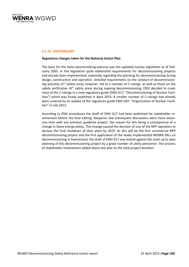

### **3.5.15 SWITZERLAND**

## **Regulatory changes taken for the National Action Plan**

The basis for the Swiss benchmarking exercise was the updated nuclear legislation as of Feb‐ ruary 2005. In this legislation quite elaborated requirements for decommissioning projects had already been implemented, especially regarding the planning for decommissioning during design, construction and operation. Detailed requirements on the conduct of decommission‐ ing activities ( $3<sup>rd</sup>$  safety area), however, led to a number of C-ratings, as well as those on the safety verification (4<sup>th</sup> safety area) during ongoing decommissioning. ENSI decided to cover most of the C-ratings in a new regulatory guide (ENSI G17: "Decommissioning of Nuclear Facilities") which was finally published in April 2014. A smaller number of C-ratings had already been covered by an update of the regulatory guide ENSI G07: "Organization of Nuclear Facilities" in July 2013.

According to ENSI procedures the draft of ENSI G17 had been published for stakeholder in‐ volvement before the final editing. Response and subsequent discussions were more exten‐ sive than with any previous guideline project, the reason for this being a consequence of a change in Swiss energy policy. This change caused the decision of one of the NPP operators to declare the final shutdown of their plant by 2019. As this will be the first commercial NPP decommissioning project and the first application of the newly implemented WENRA SRLs on decommissioning in Switzerland, the draft of ENSI G17 was biased against the most up to date planning of this decommissioning project by a great number of utility personnel. The process of stakeholder involvement added about one year to the total project duration.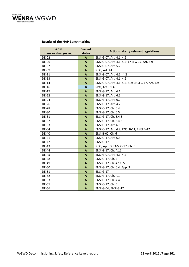

| # SRL                 | <b>Current</b> | Actions taken / relevant regulations               |
|-----------------------|----------------|----------------------------------------------------|
| (new or changes req.) | status         |                                                    |
| <b>DE-02</b>          | A              | ENSI G-07, Art. 4.1, 4.2                           |
| <b>DE-06</b>          | A              | ENSI G-07, Art. 4.1, 4.2; ENSI G-17, Art. 4.9      |
| <b>DE-07</b>          | $\mathbf{A}$   | ENSI G-07, Art. 5.2                                |
| <b>DE-09</b>          | $\mathbf{A}$   | <b>NEO, Art. 41</b>                                |
| <b>DE-11</b>          | A              | ENSI G-07, Art. 4.1, 4.2                           |
| <b>DE-13</b>          | A              | ENSI G-07, Art. 4.1, 4.2                           |
| <b>DE-14</b>          | A              | ENSI G-07, Art. 4.1, 4.2, 5.2; ENSI G-17, Art. 4.9 |
| <b>DE-16</b>          | B              | RPO, Art. 81.4                                     |
| <b>DE-17</b>          | A              | ENSI G-17, Art. 6.1                                |
| <b>DE-22</b>          | A              | ENSI G-17, Art. 6.1                                |
| <b>DE-24</b>          | A              | ENSI G-17, Art. 6.2                                |
| <b>DE-26</b>          | A              | ENSI G-17, Art. 4.2                                |
| <b>DE-28</b>          | $\mathbf{A}$   | ENSI G-17, Ch. 6.4                                 |
| <b>DE-30</b>          | $\mathbf{A}$   | ENSI G-17, Ch. 6.5                                 |
| <b>DE-31</b>          | $\mathsf{A}$   | ENSI G-17, Ch. 6.4.6                               |
| <b>DE-32</b>          | A              | ENSI G-17, Ch. 6.4.6                               |
| <b>DE-33</b>          | A              | ENSI G-17, Art. 6.5                                |
| <b>DE-34</b>          | $\mathbf{A}$   | ENSI G-17, Art. 4.9; ENSI B-11; ENSI B-12          |
| <b>DE-40</b>          | A              | ENSI B-02, Ch. 6                                   |
| <b>DE-41</b>          | $\mathsf{A}$   | ENSI G-17, Art. 6.5                                |
| <b>DE-42</b>          | A              | ENSI G-17                                          |
| <b>DE-43</b>          | A              | NEO, App. 3; ENSI G-17, Ch. 5                      |
| <b>DE-44</b>          | $\mathbf{A}$   | ENSI G-17, Ch. 4.11                                |
| <b>DE-45</b>          | A              | ENSI G-07, Art. 4.1, 4.2                           |
| <b>DE-48</b>          | A              | ENSI G-17, Ch. 5                                   |
| <b>DE-49</b>          | $\mathbf{A}$   | ENSI G-17, Ch. 4.11, 5                             |
| <b>DE-50</b>          | $\mathbf{A}$   | ENSI G-17, Ch. 6.4, App. 3                         |
| <b>DE-51</b>          | A              | ENSI G-17                                          |
| <b>DE-52</b>          | A              | ENSI G-17, Ch. 4.1                                 |
| <b>DE-53</b>          | A              | ENSI G-17, Ch. 4.4                                 |
| <b>DE-55</b>          | A              | ENSI G-17, Ch. 5                                   |
| <b>DE-56</b>          | $\mathbf{A}$   | <b>ENSI G-04; ENSI G-17</b>                        |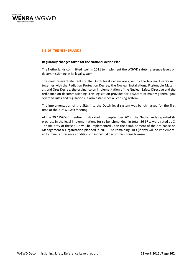

## **3.5.16 THE NETHERLANDS**

## **Regulatory changes taken for the National Action Plan**

The Netherlands committed itself in 2011 to implement the WGWD safety reference levels on decommissioning in its legal system.

The most relevant elements of the Dutch legal system are given by the Nuclear Energy Act, together with the Radiation Protection Decree, the Nuclear Installations, Fissionable Materi‐ als and Ores Decree, the ordinance on implementation of the Nuclear Safety Directive and the ordinance on decommissioning. This legislation provides for a system of mainly general goal oriented rules and regulations. It also establishes a licensing system.

The implementation of the SRLs into the Dutch legal system was benchmarked for the first time at the 21<sup>st</sup> WGWD meeting.

At the 29<sup>th</sup> WGWD meeting in Stockholm in September 2012, the Netherlands reported its progress in the legal implementations for re-benchmarking. In total, 26 SRLs were rated as C. The majority of these SRLs will be implemented upon the establishment of the ordinance on Management & Organisation planned in 2015. The remaining SRLs (if any) will be implement‐ ed by means of licence conditions in individual decommissioning licenses.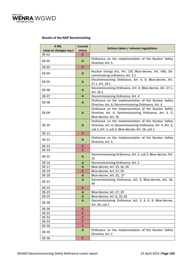

| # SRL<br>(new or changes req.) | <b>Current</b><br>status | Actions taken / relevant regulations                                                                                                                                        |
|--------------------------------|--------------------------|-----------------------------------------------------------------------------------------------------------------------------------------------------------------------------|
| DE-01                          | C                        |                                                                                                                                                                             |
| <b>DE-02</b>                   | A                        | Ordinance on the implementation of the Nuclear Safety<br>Directive, Art. 5                                                                                                  |
| DE-03                          | C                        |                                                                                                                                                                             |
| DE-04                          | A                        | Nuclear Energy Act, Art. 15f; Bkse-decree, Art. 44b; De-<br>commissionig ordinance, Art. 3.1                                                                                |
| <b>DE-05</b>                   | A                        | Decommissioning Ordinance, Art. 4, 9; Bkse-decree, Art.<br>27.1, Art. 29.1                                                                                                  |
| <b>DE-06</b>                   | A                        | Decommissioning Ordinance, Art. 4; Bkse-decree, Art. 27.1,<br>Art. 29.1                                                                                                     |
| <b>DE-07</b>                   | A                        | Decommissioning Ordinance, Art. 4                                                                                                                                           |
| <b>DE-08</b>                   | A                        | Ordinance on the implementation of the Nuclear Safety<br>Directive, Art. 6; Decommissioning Ordinance, Art. 4                                                               |
| DE-09                          | A                        | Ordinance on the implementation of the Nuclear Safety<br>Directive, Art. 6; Decommissioning Ordinance, Art. 3, 5;<br>Bkse-decree, Art. 26                                   |
| <b>DE-10</b>                   | A                        | Ordinance on the implementation of the Nuclear Safety<br>Directive, Art. 6; Decommissioning Ordinance, Art. 4, Art. 3,<br>sub 1, Art. 5, sub 2; Bkse-decree, Art. 26, sub 1 |
| <b>DE-11</b>                   | C                        |                                                                                                                                                                             |
| <b>DE-12</b>                   | A                        | Ordinance on the implementation of the Nuclear Safety<br>Directive, Art. 5                                                                                                  |
| <b>DE-13</b>                   | C                        |                                                                                                                                                                             |
| DE-14                          | $\mathbf C$              |                                                                                                                                                                             |
| <b>DE-15</b>                   | A                        | Decommissioning Ordinance, Art. 2, sub 2; Bkse-decree, Art.<br>25                                                                                                           |
| <b>DE-16</b>                   | A                        | Decommissioning Ordinance, Art. 2                                                                                                                                           |
| <b>DE-17</b>                   | A                        | Bkse-decree, Art. 25, 26, 30                                                                                                                                                |
| <b>DE-19</b>                   | $\mathbf C$              | Bkse-decree, Art. 27, 29                                                                                                                                                    |
| <b>DE-20</b>                   | A                        | Bkse-decree, Art. 25, 27                                                                                                                                                    |
| DE-21                          | A                        | Decommissioning Ordinance, Art. 3; Bkse-decree, Art. 26,<br>44                                                                                                              |
| <b>DE-22</b>                   | C                        |                                                                                                                                                                             |
| <b>DE-23</b>                   | A                        | Bkse-decree, Art. 27, 29                                                                                                                                                    |
| <b>DE-25</b>                   | A                        | Bkse-decree, Art. 6, 10, 26                                                                                                                                                 |
| <b>DE-28</b>                   | A                        | Decommissioning Ordinance, Art. 3, 4, 6, 9; Bkse-decree,<br>Art. 26, sub 1                                                                                                  |
| <b>DE-30</b>                   | $\mathbf{C}$             |                                                                                                                                                                             |
| DE-31                          | $\mathbf{C}$             |                                                                                                                                                                             |
| <b>DE-32</b>                   | C                        |                                                                                                                                                                             |
| <b>DE-33</b>                   | C                        |                                                                                                                                                                             |
| <b>DE-34</b>                   | $\mathsf{C}$             |                                                                                                                                                                             |
| <b>DE-35</b>                   | A                        | Ordinance on the implementation of the Nuclear Safety<br>Directive, Art. 2                                                                                                  |
| <b>DE-36</b>                   | $\mathsf{C}$             |                                                                                                                                                                             |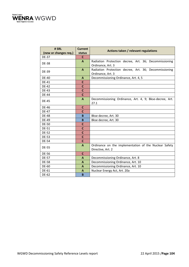

| # SRL                 | <b>Current</b> | Actions taken / relevant regulations                    |
|-----------------------|----------------|---------------------------------------------------------|
| (new or changes req.) | status         |                                                         |
| <b>DE-37</b>          | $\mathbf C$    |                                                         |
| <b>DE-38</b>          | $\mathbf{A}$   | Radiation Protection decree, Art. 36; Decommissioning   |
|                       |                | Ordinance, Art. 3                                       |
| DE-39                 | $\mathbf{A}$   | Radiation Protection decree, Art. 36; Decommissioning   |
|                       |                | Ordinance, Art. 3                                       |
| <b>DE-40</b>          | A              | Decommissioning Ordinance, Art. 4, 5                    |
| DE-41                 | $\mathbf c$    |                                                         |
| <b>DE-42</b>          | C              |                                                         |
| DE-43                 | $\mathbf C$    |                                                         |
| <b>DE-44</b>          | C              |                                                         |
| <b>DE-45</b>          | A              | Decommissioning Ordinance, Art. 4, 9; Bkse-decree, Art. |
|                       |                | 27.1                                                    |
| <b>DE-46</b>          | $\mathbf C$    |                                                         |
| <b>DE-47</b>          | C              |                                                         |
| <b>DE-48</b>          | B              | Bkse decree, Art. 30                                    |
| DE-49                 | $\mathbf B$    | Bkse decree, Art. 30                                    |
| <b>DE-50</b>          | $\mathbf c$    |                                                         |
| <b>DE-51</b>          | $\mathbf C$    |                                                         |
| <b>DE-52</b>          | C              |                                                         |
| <b>DE-53</b>          | $\mathsf{C}$   |                                                         |
| <b>DE-54</b>          | $\mathbf c$    |                                                         |
|                       | A              | Ordinance on the implementation of the Nuclear Safety   |
| <b>DE-55</b>          |                | Directive, Art. 2                                       |
| <b>DE-56</b>          | $\mathbf C$    |                                                         |
| <b>DE-57</b>          | A              | Decommissioning Ordinance, Art. 8                       |
| <b>DE-58</b>          | A              | Decommissioning Ordinance, Art. 10                      |
| <b>DE-60</b>          | A              | Decommissioning Ordinance, Art. 10                      |
| DE-61                 | A              | Nuclear Energy Act, Art. 20a                            |
| DE-62                 | B              |                                                         |